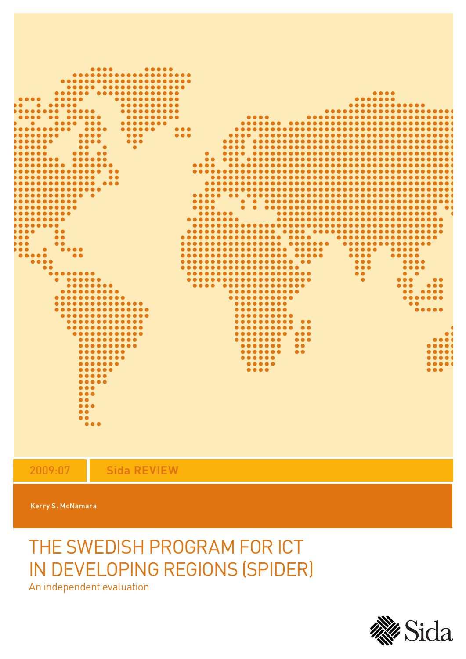

2009:07 **Sida REVIEW**

Kerry S. McNamara

# THE SWEDISH PROGRAM FOR ICT IN DEVELOPING REGIONS (SPIDER)

An independent evaluation

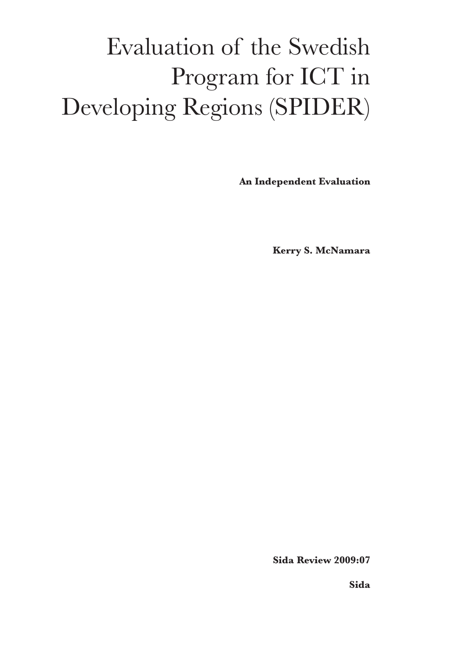# Evaluation of the Swedish Program for ICT in Developing Regions (SPIDER)

**An Independent Evaluation**

**Kerry S. McNamara**

 **Sida Review 2009:07**

**Sida**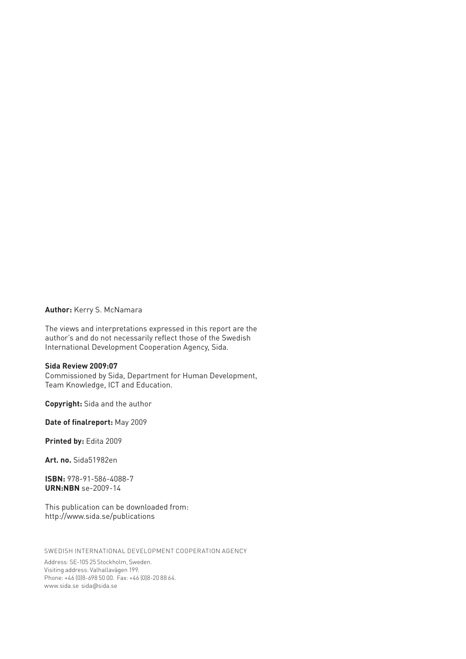#### **Author:** Kerry S. McNamara

The views and interpretations expressed in this report are the author's and do not necessarily reflect those of the Swedish International Development Cooperation Agency, Sida.

#### **Sida Review 2009:07**

Commissioned by Sida, Department for Human Development, Team Knowledge, ICT and Education.

**Copyright:** Sida and the author

**Date of finalreport:** May 2009

**Printed by:** Edita 2009

**Art. no.** Sida51982en

**ISBN:** 978-91-586-4088-7 **URN:NBN** se-2009-14

This publication can be downloaded from: http://www.sida.se/publications

SWEDISH INTERNATIONAL DEVELOPMENT COOPERATION AGENCY

Address: SE-105 25 Stockholm, Sweden. Visiting address: Valhallavägen 199. Phone: +46 (0)8-698 50 00. Fax: +46 (0)8-20 88 64. www.sida.se sida@sida.se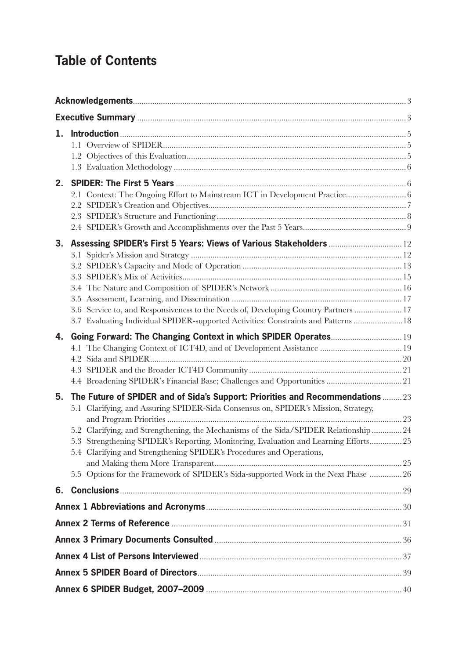# **Table of Contents**

| 1. |                                                                                                                                                                                                                                                                                                                                                                                                                                                                                                                     |  |
|----|---------------------------------------------------------------------------------------------------------------------------------------------------------------------------------------------------------------------------------------------------------------------------------------------------------------------------------------------------------------------------------------------------------------------------------------------------------------------------------------------------------------------|--|
| 2. |                                                                                                                                                                                                                                                                                                                                                                                                                                                                                                                     |  |
| 3. | Assessing SPIDER's First 5 Years: Views of Various Stakeholders  12<br>3.6 Service to, and Responsiveness to the Needs of, Developing Country Partners  17<br>3.7 Evaluating Individual SPIDER-supported Activities: Constraints and Patterns  18                                                                                                                                                                                                                                                                   |  |
| 4. | Going Forward: The Changing Context in which SPIDER Operates 19                                                                                                                                                                                                                                                                                                                                                                                                                                                     |  |
| 5. | The Future of SPIDER and of Sida's Support: Priorities and Recommendations  23<br>5.1 Clarifying, and Assuring SPIDER-Sida Consensus on, SPIDER's Mission, Strategy,<br>5.2 Clarifying, and Strengthening, the Mechanisms of the Sida/SPIDER Relationship 24<br>5.3 Strengthening SPIDER's Reporting, Monitoring, Evaluation and Learning Efforts 25<br>5.4 Clarifying and Strengthening SPIDER's Procedures and Operations,<br>5.5 Options for the Framework of SPIDER's Sida-supported Work in the Next Phase  26 |  |
| 6. |                                                                                                                                                                                                                                                                                                                                                                                                                                                                                                                     |  |
|    |                                                                                                                                                                                                                                                                                                                                                                                                                                                                                                                     |  |
|    |                                                                                                                                                                                                                                                                                                                                                                                                                                                                                                                     |  |
|    |                                                                                                                                                                                                                                                                                                                                                                                                                                                                                                                     |  |
|    |                                                                                                                                                                                                                                                                                                                                                                                                                                                                                                                     |  |
|    |                                                                                                                                                                                                                                                                                                                                                                                                                                                                                                                     |  |
|    |                                                                                                                                                                                                                                                                                                                                                                                                                                                                                                                     |  |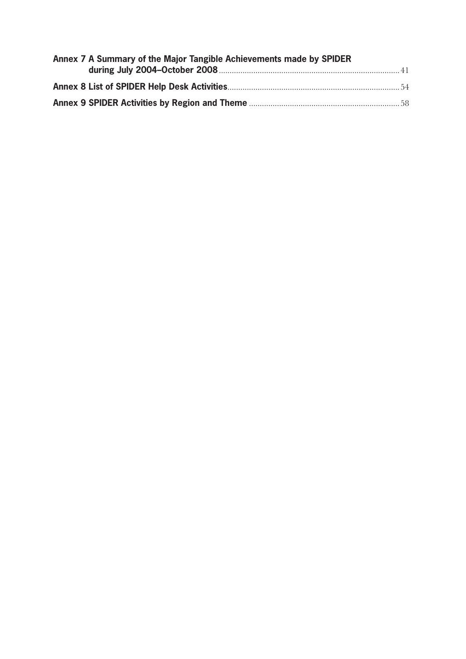| Annex 7 A Summary of the Major Tangible Achievements made by SPIDER |  |
|---------------------------------------------------------------------|--|
|                                                                     |  |
|                                                                     |  |
|                                                                     |  |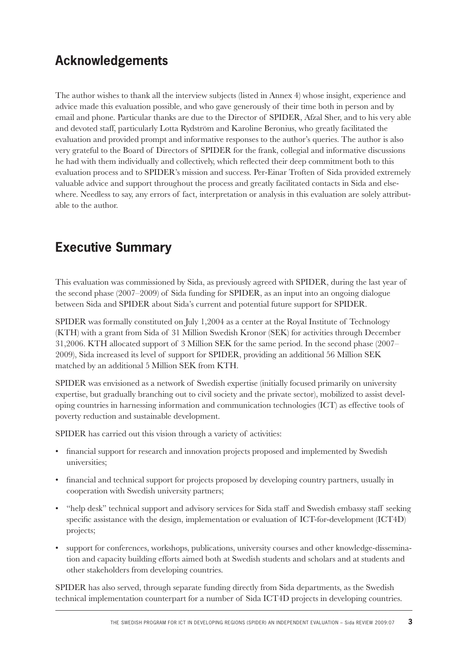# **Acknowledgements**

The author wishes to thank all the interview subjects (listed in Annex 4) whose insight, experience and advice made this evaluation possible, and who gave generously of their time both in person and by email and phone. Particular thanks are due to the Director of SPIDER, Afzal Sher, and to his very able and devoted staff, particularly Lotta Rydström and Karoline Beronius, who greatly facilitated the evaluation and provided prompt and informative responses to the author's queries. The author is also very grateful to the Board of Directors of SPIDER for the frank, collegial and informative discussions he had with them individually and collectively, which reflected their deep commitment both to this evaluation process and to SPIDER's mission and success. Per-Einar Troften of Sida provided extremely valuable advice and support throughout the process and greatly facilitated contacts in Sida and elsewhere. Needless to say, any errors of fact, interpretation or analysis in this evaluation are solely attributable to the author.

# **Executive Summary**

This evaluation was commissioned by Sida, as previously agreed with SPIDER, during the last year of the second phase (2007–2009) of Sida funding for SPIDER, as an input into an ongoing dialogue between Sida and SPIDER about Sida's current and potential future support for SPIDER.

SPIDER was formally constituted on July 1,2004 as a center at the Royal Institute of Technology (KTH) with a grant from Sida of 31 Million Swedish Kronor (SEK) for activities through December 31,2006. KTH allocated support of 3 Million SEK for the same period. In the second phase (2007– 2009), Sida increased its level of support for SPIDER, providing an additional 56 Million SEK matched by an additional 5 Million SEK from KTH.

SPIDER was envisioned as a network of Swedish expertise (initially focused primarily on university expertise, but gradually branching out to civil society and the private sector), mobilized to assist developing countries in harnessing information and communication technologies (ICT) as effective tools of poverty reduction and sustainable development.

SPIDER has carried out this vision through a variety of activities:

- financial support for research and innovation projects proposed and implemented by Swedish universities;
- financial and technical support for projects proposed by developing country partners, usually in cooperation with Swedish university partners;
- "help desk" technical support and advisory services for Sida staff and Swedish embassy staff seeking specific assistance with the design, implementation or evaluation of ICT-for-development (ICT4D) projects;
- support for conferences, workshops, publications, university courses and other knowledge-dissemination and capacity building efforts aimed both at Swedish students and scholars and at students and other stakeholders from developing countries.

SPIDER has also served, through separate funding directly from Sida departments, as the Swedish technical implementation counterpart for a number of Sida ICT4D projects in developing countries.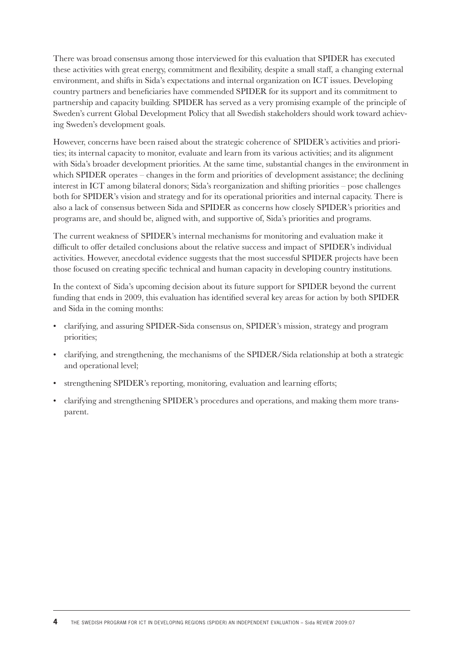There was broad consensus among those interviewed for this evaluation that SPIDER has executed these activities with great energy, commitment and flexibility, despite a small staff, a changing external environment, and shifts in Sida's expectations and internal organization on ICT issues. Developing country partners and beneficiaries have commended SPIDER for its support and its commitment to partnership and capacity building. SPIDER has served as a very promising example of the principle of Sweden's current Global Development Policy that all Swedish stakeholders should work toward achieving Sweden's development goals.

However, concerns have been raised about the strategic coherence of SPIDER's activities and priorities; its internal capacity to monitor, evaluate and learn from its various activities; and its alignment with Sida's broader development priorities. At the same time, substantial changes in the environment in which SPIDER operates – changes in the form and priorities of development assistance; the declining interest in ICT among bilateral donors; Sida's reorganization and shifting priorities – pose challenges both for SPIDER's vision and strategy and for its operational priorities and internal capacity. There is also a lack of consensus between Sida and SPIDER as concerns how closely SPIDER's priorities and programs are, and should be, aligned with, and supportive of, Sida's priorities and programs.

The current weakness of SPIDER's internal mechanisms for monitoring and evaluation make it difficult to offer detailed conclusions about the relative success and impact of SPIDER's individual activities. However, anecdotal evidence suggests that the most successful SPIDER projects have been those focused on creating specific technical and human capacity in developing country institutions.

In the context of Sida's upcoming decision about its future support for SPIDER beyond the current funding that ends in 2009, this evaluation has identified several key areas for action by both SPIDER and Sida in the coming months:

- clarifying, and assuring SPIDER-Sida consensus on, SPIDER's mission, strategy and program priorities;
- clarifying, and strengthening, the mechanisms of the SPIDER/Sida relationship at both a strategic and operational level;
- strengthening SPIDER's reporting, monitoring, evaluation and learning efforts;
- clarifying and strengthening SPIDER's procedures and operations, and making them more transparent.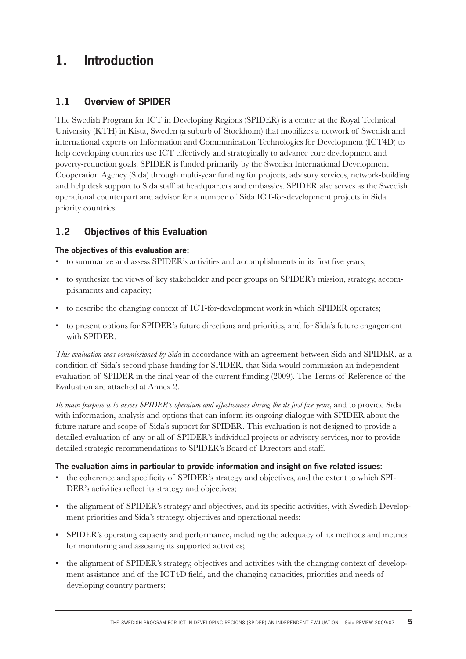# **1. Introduction**

#### **1.1 Overview of SPIDER**

The Swedish Program for ICT in Developing Regions (SPIDER) is a center at the Royal Technical University (KTH) in Kista, Sweden (a suburb of Stockholm) that mobilizes a network of Swedish and international experts on Information and Communication Technologies for Development (ICT4D) to help developing countries use ICT effectively and strategically to advance core development and poverty-reduction goals. SPIDER is funded primarily by the Swedish International Development Cooperation Agency (Sida) through multi-year funding for projects, advisory services, network-building and help desk support to Sida staff at headquarters and embassies. SPIDER also serves as the Swedish operational counterpart and advisor for a number of Sida ICT-for-development projects in Sida priority countries.

#### **1.2 Objectives of this Evaluation**

#### **The objectives of this evaluation are:**

- to summarize and assess SPIDER's activities and accomplishments in its first five years;
- to synthesize the views of key stakeholder and peer groups on SPIDER's mission, strategy, accomplishments and capacity;
- to describe the changing context of ICT-for-development work in which SPIDER operates;
- to present options for SPIDER's future directions and priorities, and for Sida's future engagement with SPIDER.

*This evaluation was commissioned by Sida* in accordance with an agreement between Sida and SPIDER, as a condition of Sida's second phase funding for SPIDER, that Sida would commission an independent evaluation of SPIDER in the final year of the current funding (2009). The Terms of Reference of the Evaluation are attached at Annex 2.

Its main purpose is to assess SPIDER's operation and effectiveness during the its first five years, and to provide Sida with information, analysis and options that can inform its ongoing dialogue with SPIDER about the future nature and scope of Sida's support for SPIDER. This evaluation is not designed to provide a detailed evaluation of any or all of SPIDER's individual projects or advisory services, nor to provide detailed strategic recommendations to SPIDER's Board of Directors and staff.

#### **The evaluation aims in particular to provide information and insight on five related issues:**

- the coherence and specificity of SPIDER's strategy and objectives, and the extent to which SPI-DER's activities reflect its strategy and objectives;
- the alignment of SPIDER's strategy and objectives, and its specific activities, with Swedish Development priorities and Sida's strategy, objectives and operational needs;
- SPIDER's operating capacity and performance, including the adequacy of its methods and metrics for monitoring and assessing its supported activities;
- the alignment of SPIDER's strategy, objectives and activities with the changing context of development assistance and of the ICT4D field, and the changing capacities, priorities and needs of developing country partners;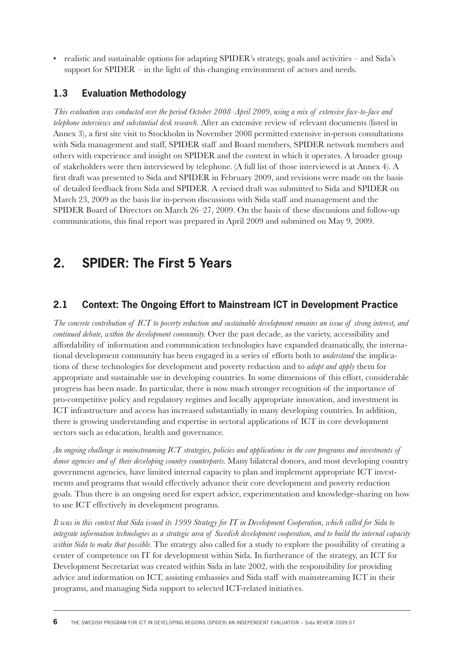• realistic and sustainable options for adapting SPIDER's strategy, goals and activities – and Sida's support for SPIDER – in the light of this changing environment of actors and needs.

#### **1.3 Evaluation Methodology**

*This evaluation was conducted over the period October 2008–April 2009, using a mix of extensive face-to-face and telephone interviews and substantial desk research.* After an extensive review of relevant documents (listed in Annex 3), a first site visit to Stockholm in November 2008 permitted extensive in-person consultations with Sida management and staff, SPIDER staff and Board members, SPIDER network members and others with experience and insight on SPIDER and the context in which it operates. A broader group of stakeholders were then interviewed by telephone. (A full list of those interviewed is at Annex 4). A first draft was presented to Sida and SPIDER in February 2009, and revisions were made on the basis of detailed feedback from Sida and SPIDER. A revised draft was submitted to Sida and SPIDER on March 23, 2009 as the basis for in-person discussions with Sida staff and management and the SPIDER Board of Directors on March 26–27, 2009. On the basis of these discussions and follow-up communications, this final report was prepared in April 2009 and submitted on May 9, 2009.

# **2. SPIDER: The First 5 Years**

#### **2.1 Context: The Ongoing Effort to Mainstream ICT in Development Practice**

*The concrete contribution of ICT to poverty reduction and sustainable development remains an issue of strong interest, and continued debate, within the development community.* Over the past decade, as the variety, accessibility and affordability of information and communication technologies have expanded dramatically, the international development community has been engaged in a series of efforts both to *understand* the implications of these technologies for development and poverty reduction and to *adapt and apply* them for appropriate and sustainable use in developing countries. In some dimensions of this effort, considerable progress has been made. In particular, there is now much stronger recognition of the importance of pro-competitive policy and regulatory regimes and locally appropriate innovation, and investment in ICT infrastructure and access has increased substantially in many developing countries. In addition, there is growing understanding and expertise in sectoral applications of ICT in core development sectors such as education, health and governance.

*An ongoing challenge is mainstreaming ICT strategies, policies and applications in the core programs and investments of donor agencies and of their developing country counterparts.* Many bilateral donors, and most developing country government agencies, have limited internal capacity to plan and implement appropriate ICT investments and programs that would effectively advance their core development and poverty reduction goals. Thus there is an ongoing need for expert advice, experimentation and knowledge-sharing on how to use ICT effectively in development programs.

*It was in this context that Sida issued its 1999 Strategy for IT in Development Cooperation, which called for Sida to integrate information technologies as a strategic area of Swedish development cooperation, and to build the internal capacity within Sida to make that possible.* The strategy also called for a study to explore the possibility of creating a center of competence on IT for development within Sida. In furtherance of the strategy, an ICT for Development Secretariat was created within Sida in late 2002, with the responsibility for providing advice and information on ICT, assisting embassies and Sida staff with mainstreaming ICT in their programs, and managing Sida support to selected ICT-related initiatives.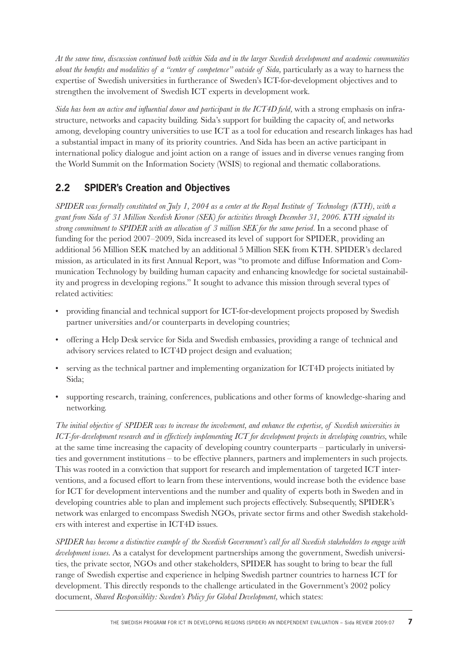*At the same time, discussion continued both within Sida and in the larger Swedish development and academic communities about the benefits and modalities of a "center of competence" outside of Sida*, particularly as a way to harness the expertise of Swedish universities in furtherance of Sweden's ICT-for-development objectives and to strengthen the involvement of Swedish ICT experts in development work.

*Sida has been an active and influential donor and participant in the ICT4D field*, with a strong emphasis on infrastructure, networks and capacity building. Sida's support for building the capacity of, and networks among, developing country universities to use ICT as a tool for education and research linkages has had a substantial impact in many of its priority countries. And Sida has been an active participant in international policy dialogue and joint action on a range of issues and in diverse venues ranging from the World Summit on the Information Society (WSIS) to regional and thematic collaborations.

## **2.2 SPIDER's Creation and Objectives**

*SPIDER was formally constituted on July 1, 2004 as a center at the Royal Institute of Technology (KTH), with a grant from Sida of 31 Million Swedish Kronor (SEK) for activities through December 31, 2006. KTH signaled its strong commitment to SPIDER with an allocation of 3 million SEK for the same period.* In a second phase of funding for the period 2007–2009, Sida increased its level of support for SPIDER, providing an additional 56 Million SEK matched by an additional 5 Million SEK from KTH. SPIDER's declared mission, as articulated in its first Annual Report, was "to promote and diffuse Information and Communication Technology by building human capacity and enhancing knowledge for societal sustainability and progress in developing regions." It sought to advance this mission through several types of related activities:

- providing financial and technical support for ICT-for-development projects proposed by Swedish partner universities and/or counterparts in developing countries;
- offering a Help Desk service for Sida and Swedish embassies, providing a range of technical and advisory services related to ICT4D project design and evaluation;
- serving as the technical partner and implementing organization for ICT4D projects initiated by Sida;
- supporting research, training, conferences, publications and other forms of knowledge-sharing and networking.

*The initial objective of SPIDER was to increase the involvement, and enhance the expertise, of Swedish universities in ICT-for-development research and in effectively implementing ICT for development projects in developing countries,* while at the same time increasing the capacity of developing country counterparts – particularly in universities and government institutions – to be effective planners, partners and implementers in such projects. This was rooted in a conviction that support for research and implementation of targeted ICT interventions, and a focused effort to learn from these interventions, would increase both the evidence base for ICT for development interventions and the number and quality of experts both in Sweden and in developing countries able to plan and implement such projects effectively. Subsequently, SPIDER's network was enlarged to encompass Swedish NGOs, private sector firms and other Swedish stakeholders with interest and expertise in ICT4D issues.

*SPIDER has become a distinctive example of the Swedish Government's call for all Swedish stakeholders to engage with development issues.* As a catalyst for development partnerships among the government, Swedish universities, the private sector, NGOs and other stakeholders, SPIDER has sought to bring to bear the full range of Swedish expertise and experience in helping Swedish partner countries to harness ICT for development. This directly responds to the challenge articulated in the Government's 2002 policy document, *Shared Responsiblity: Sweden's Policy for Global Development*, which states: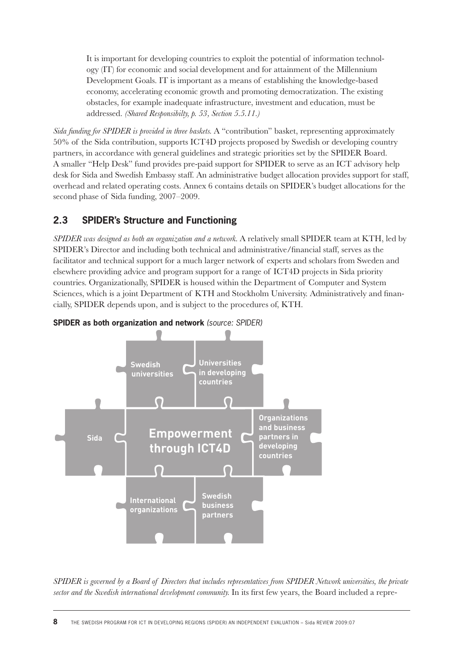It is important for developing countries to exploit the potential of information technology (IT) for economic and social development and for attainment of the Millennium Development Goals. IT is important as a means of establishing the knowledge-based economy, accelerating economic growth and promoting democratization. The existing obstacles, for example inadequate infrastructure, investment and education, must be addressed. *(Shared Responsibilty, p. 53, Section 5.5.11.)*

*Sida funding for SPIDER is provided in three baskets.* A "contribution" basket, representing approximately 50% of the Sida contribution, supports ICT4D projects proposed by Swedish or developing country partners, in accordance with general guidelines and strategic priorities set by the SPIDER Board. A smaller "Help Desk" fund provides pre-paid support for SPIDER to serve as an ICT advisory help desk for Sida and Swedish Embassy staff. An administrative budget allocation provides support for staff, overhead and related operating costs. Annex 6 contains details on SPIDER's budget allocations for the second phase of Sida funding, 2007–2009.

## **2.3 SPIDER's Structure and Functioning**

*SPIDER was designed as both an organization and a network.* A relatively small SPIDER team at KTH, led by SPIDER's Director and including both technical and administrative/financial staff, serves as the facilitator and technical support for a much larger network of experts and scholars from Sweden and elsewhere providing advice and program support for a range of ICT4D projects in Sida priority countries. Organizationally, SPIDER is housed within the Department of Computer and System Sciences, which is a joint Department of KTH and Stockholm University. Administratively and financially, SPIDER depends upon, and is subject to the procedures of, KTH.



#### **SPIDER as both organization and network** (source: SPIDER)

*SPIDER is governed by a Board of Directors that includes representatives from SPIDER Network universities, the private*  sector and the Swedish international development community. In its first few years, the Board included a repre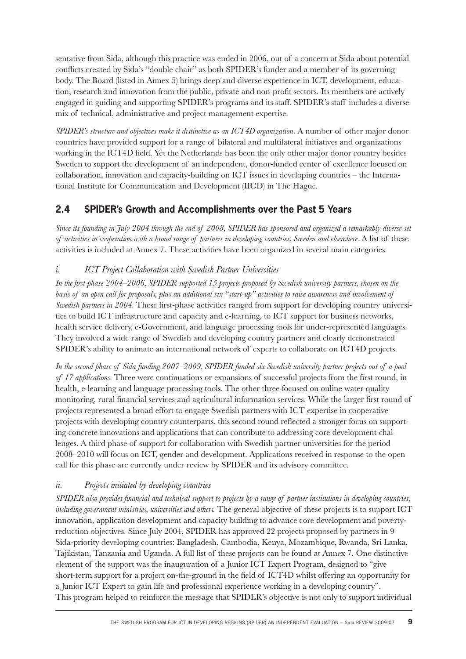sentative from Sida, although this practice was ended in 2006, out of a concern at Sida about potential conflicts created by Sida's "double chair" as both SPIDER's funder and a member of its governing body. The Board (listed in Annex 5) brings deep and diverse experience in ICT, development, education, research and innovation from the public, private and non-profit sectors. Its members are actively engaged in guiding and supporting SPIDER's programs and its staff. SPIDER's staff includes a diverse mix of technical, administrative and project management expertise.

*SPIDER's structure and objectives make it distinctive as an ICT4D organization.* A number of other major donor countries have provided support for a range of bilateral and multilateral initiatives and organizations working in the ICT4D field. Yet the Netherlands has been the only other major donor country besides Sweden to support the development of an independent, donor-funded center of excellence focused on collaboration, innovation and capacity-building on ICT issues in developing countries – the International Institute for Communication and Development (IICD) in The Hague.

## **2.4 SPIDER's Growth and Accomplishments over the Past 5 Years**

*Since its founding in July 2004 through the end of 2008, SPIDER has sponsored and organized a remarkably diverse set of activities in cooperation with a broad range of partners in developing countries, Sweden and elsewhere.* A list of these activities is included at Annex 7. These activities have been organized in several main categories.

#### *i. ICT Project Collaboration with Swedish Partner Universities*

In the first phase 2004–2006, SPIDER supported 15 projects proposed by Swedish university partners, chosen on the *basis of an open call for proposals, plus an additional six "start-up" activities to raise awareness and involvement of Swedish partners in 2004*. These first-phase activities ranged from support for developing country universities to build ICT infrastructure and capacity and e-learning, to ICT support for business networks, health service delivery, e-Government, and language processing tools for under-represented languages. They involved a wide range of Swedish and developing country partners and clearly demonstrated SPIDER's ability to animate an international network of experts to collaborate on ICT4D projects.

*In the second phase of Sida funding 2007–2009, SPIDER funded six Swedish university partner projects out of a pool of 17 applications.* Three were continuations or expansions of successful projects from the first round, in health, e-learning and language processing tools. The other three focused on online water quality monitoring, rural financial services and agricultural information services. While the larger first round of projects represented a broad effort to engage Swedish partners with ICT expertise in cooperative projects with developing country counterparts, this second round reflected a stronger focus on supporting concrete innovations and applications that can contribute to addressing core development challenges. A third phase of support for collaboration with Swedish partner universities for the period 2008–2010 will focus on ICT, gender and development. Applications received in response to the open call for this phase are currently under review by SPIDER and its advisory committee.

#### *ii. Projects initiated by developing countries*

*SPIDER also provides financial and technical support to projects by a range of partner institutions in developing countries, including government ministries, universities and others.* The general objective of these projects is to support ICT innovation, application development and capacity building to advance core development and povertyreduction objectives. Since July 2004, SPIDER has approved 22 projects proposed by partners in 9 Sida-priority developing countries: Bangladesh, Cambodia, Kenya, Mozambique, Rwanda, Sri Lanka, Tajikistan, Tanzania and Uganda. A full list of these projects can be found at Annex 7. One distinctive element of the support was the inauguration of a Junior ICT Expert Program, designed to "give short-term support for a project on-the-ground in the field of ICT4D whilst offering an opportunity for a Junior ICT Expert to gain life and professional experience working in a developing country". This program helped to reinforce the message that SPIDER's objective is not only to support individual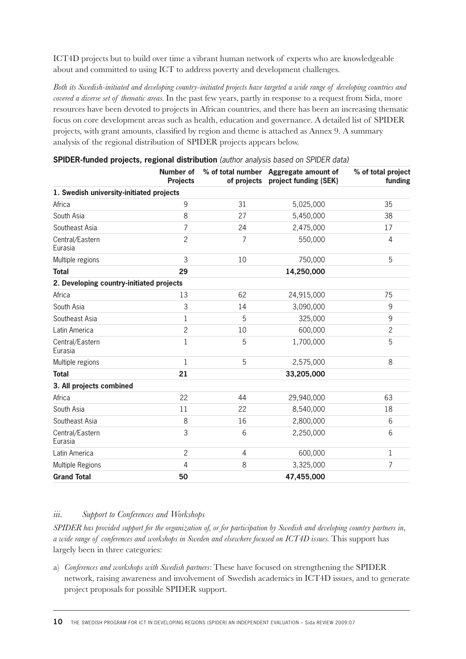ICT4D projects but to build over time a vibrant human network of experts who are knowledgeable about and committed to using ICT to address poverty and development challenges.

*Both its Swedish-initiated and developing country-initiated projects have targeted a wide range of developing countries and covered a diverse set of thematic areas.* In the past few years, partly in response to a request from Sida, more resources have been devoted to projects in African countries, and there has been an increasing thematic focus on core development areas such as health, education and governance. A detailed list of SPIDER projects, with grant amounts, classified by region and theme is attached as Annex 9. A summary analysis of the regional distribution of SPIDER projects appears below.

|                                          | Number of<br><b>Projects</b> |                | % of total number Aggregate amount of<br>of projects project funding (SEK) | % of total project<br>funding |
|------------------------------------------|------------------------------|----------------|----------------------------------------------------------------------------|-------------------------------|
| 1. Swedish university-initiated projects |                              |                |                                                                            |                               |
| Africa                                   | 9                            | 31             | 5,025,000                                                                  | 35                            |
| South Asia                               | 8                            | 27             | 5,450,000                                                                  | 38                            |
| Southeast Asia                           | 7                            | 24             | 2,475,000                                                                  | 17                            |
| Central/Eastern<br>Eurasia               | $\overline{c}$               | $\overline{7}$ | 550,000                                                                    | $\overline{4}$                |
| Multiple regions                         | 3                            | 10             | 750,000                                                                    | 5                             |
| <b>Total</b>                             | 29                           |                | 14,250,000                                                                 |                               |
| 2. Developing country-initiated projects |                              |                |                                                                            |                               |
| Africa                                   | 13                           | 62             | 24,915,000                                                                 | 75                            |
| South Asia                               | 3                            | 14             | 3,090,000                                                                  | 9                             |
| Southeast Asia                           | $\mathbf 1$                  | 5              | 325,000                                                                    | 9                             |
| Latin America                            | $\overline{c}$               | 10             | 600,000                                                                    | $\overline{2}$                |
| Central/Eastern<br>Eurasia               | 1                            | 5              | 1,700,000                                                                  | 5                             |
| Multiple regions                         | $\mathbf{1}$                 | 5              | 2,575,000                                                                  | 8                             |
| <b>Total</b>                             | 21                           |                | 33,205,000                                                                 |                               |
| 3. All projects combined                 |                              |                |                                                                            |                               |
| Africa                                   | 22                           | 44             | 29,940,000                                                                 | 63                            |
| South Asia                               | 11                           | 22             | 8,540,000                                                                  | 18                            |
| Southeast Asia                           | 8                            | 16             | 2,800,000                                                                  | 6                             |
| Central/Eastern<br>Eurasia               | 3                            | 6              | 2,250,000                                                                  | 6                             |
| Latin America                            | $\overline{c}$               | 4              | 600,000                                                                    | 1                             |
| Multiple Regions                         | $\overline{4}$               | 8              | 3,325,000                                                                  | 7                             |
| <b>Grand Total</b>                       | 50                           |                | 47,455,000                                                                 |                               |

| SPIDER-funded projects, regional distribution (author analysis based on SPIDER data) |  |  |  |  |
|--------------------------------------------------------------------------------------|--|--|--|--|
|                                                                                      |  |  |  |  |

#### *iii. Support to Conferences and Workshops*

*SPIDER has provided support for the organization of, or for participation by Swedish and developing country partners in, a wide range of conferences and workshops in Sweden and elsewhere focused on ICT4D issues.* This support has largely been in three categories:

a) *Conferences and workshops with Swedish partners:* These have focused on strengthening the SPIDER network, raising awareness and involvement of Swedish academics in ICT4D issues, and to generate project proposals for possible SPIDER support.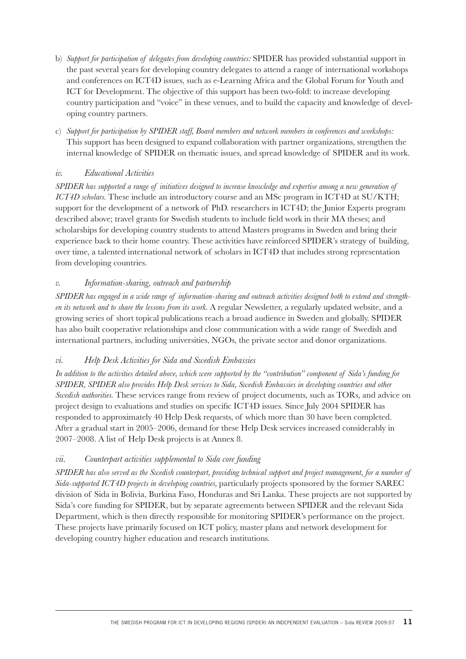- b) *Support for participation of delegates from developing countries:* SPIDER has provided substantial support in the past several years for developing country delegates to attend a range of international workshops and conferences on ICT4D issues, such as e-Learning Africa and the Global Forum for Youth and ICT for Development. The objective of this support has been two-fold: to increase developing country participation and "voice" in these venues, and to build the capacity and knowledge of developing country partners.
- c) *Support for participation by SPIDER staff, Board members and network members in conferences and workshops:*  This support has been designed to expand collaboration with partner organizations, strengthen the internal knowledge of SPIDER on thematic issues, and spread knowledge of SPIDER and its work.

#### *iv. Educational Activities*

*SPIDER has supported a range of initiatives designed to increase knowledge and expertise among a new generation of ICT4D scholars.* These include an introductory course and an MSc program in ICT4D at SU/KTH; support for the development of a network of PhD. researchers in ICT4D; the Junior Experts program described above; travel grants for Swedish students to include field work in their MA theses; and scholarships for developing country students to attend Masters programs in Sweden and bring their experience back to their home country. These activities have reinforced SPIDER's strategy of building, over time, a talented international network of scholars in ICT4D that includes strong representation from developing countries.

#### *v. Information-sharing, outreach and partnership*

*SPIDER has engaged in a wide range of information-sharing and outreach activities designed both to extend and strengthen its network and to share the lessons from its work.* A regular Newsletter, a regularly updated website, and a growing series of short topical publications reach a broad audience in Sweden and globally. SPIDER has also built cooperative relationships and close communication with a wide range of Swedish and international partners, including universities, NGOs, the private sector and donor organizations.

#### *vi. Help Desk Activities for Sida and Swedish Embassies*

*In addition to the activities detailed above, which were supported by the "contribution" component of Sida's funding for SPIDER, SPIDER also provides Help Desk services to Sida, Swedish Embassies in developing countries and other Swedish authorities.* These services range from review of project documents, such as TORs, and advice on project design to evaluations and studies on specific ICT4D issues. Since July 2004 SPIDER has responded to approximately 40 Help Desk requests, of which more than 30 have been completed. After a gradual start in 2005–2006, demand for these Help Desk services increased considerably in 2007–2008. A list of Help Desk projects is at Annex 8.

#### *vii. Counterpart activities supplemental to Sida core funding*

*SPIDER has also served as the Swedish counterpart, providing technical support and project management, for a number of Sida-supported ICT4D projects in developing countries,* particularly projects sponsored by the former SAREC division of Sida in Bolivia, Burkina Faso, Honduras and Sri Lanka. These projects are not supported by Sida's core funding for SPIDER, but by separate agreements between SPIDER and the relevant Sida Department, which is then directly responsible for monitoring SPIDER's performance on the project. These projects have primarily focused on ICT policy, master plans and network development for developing country higher education and research institutions.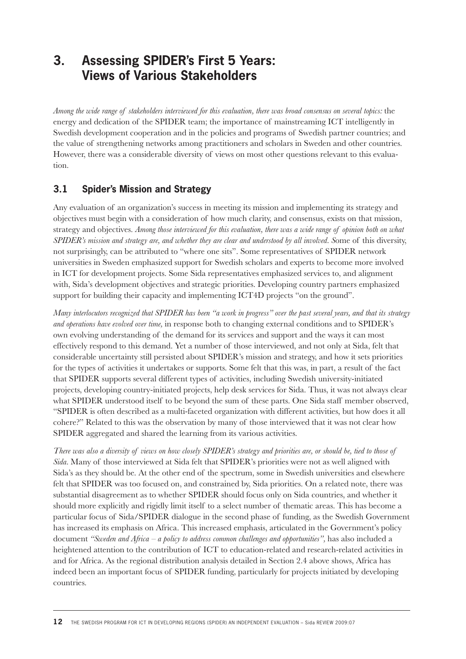## **3. Assessing SPIDER's First 5 Years: Views of Various Stakeholders**

*Among the wide range of stakeholders interviewed for this evaluation, there was broad consensus on several topics:* the energy and dedication of the SPIDER team; the importance of mainstreaming ICT intelligently in Swedish development cooperation and in the policies and programs of Swedish partner countries; and the value of strengthening networks among practitioners and scholars in Sweden and other countries. However, there was a considerable diversity of views on most other questions relevant to this evaluation.

## **3.1 Spider's Mission and Strategy**

Any evaluation of an organization's success in meeting its mission and implementing its strategy and objectives must begin with a consideration of how much clarity, and consensus, exists on that mission, strategy and objectives. *Among those interviewed for this evaluation, there was a wide range of opinion both on what SPIDER's mission and strategy are, and whether they are clear and understood by all involved. S*ome of this diversity, not surprisingly, can be attributed to "where one sits". Some representatives of SPIDER network universities in Sweden emphasized support for Swedish scholars and experts to become more involved in ICT for development projects. Some Sida representatives emphasized services to, and alignment with, Sida's development objectives and strategic priorities. Developing country partners emphasized support for building their capacity and implementing ICT4D projects "on the ground".

*Many interlocutors recognized that SPIDER has been "a work in progress" over the past several years, and that its strategy and operations have evolved over time,* in response both to changing external conditions and to SPIDER's own evolving understanding of the demand for its services and support and the ways it can most effectively respond to this demand. Yet a number of those interviewed, and not only at Sida, felt that considerable uncertainty still persisted about SPIDER's mission and strategy, and how it sets priorities for the types of activities it undertakes or supports. Some felt that this was, in part, a result of the fact that SPIDER supports several different types of activities, including Swedish university-initiated projects, developing country-initiated projects, help desk services for Sida. Thus, it was not always clear what SPIDER understood itself to be beyond the sum of these parts. One Sida staff member observed, "SPIDER is often described as a multi-faceted organization with different activities, but how does it all cohere?" Related to this was the observation by many of those interviewed that it was not clear how SPIDER aggregated and shared the learning from its various activities.

*There was also a diversity of views on how closely SPIDER's strategy and priorities are, or should be, tied to those of Sida.* Many of those interviewed at Sida felt that SPIDER's priorities were not as well aligned with Sida's as they should be. At the other end of the spectrum, some in Swedish universities and elsewhere felt that SPIDER was too focused on, and constrained by, Sida priorities. On a related note, there was substantial disagreement as to whether SPIDER should focus only on Sida countries, and whether it should more explicitly and rigidly limit itself to a select number of thematic areas. This has become a particular focus of Sida/SPIDER dialogue in the second phase of funding, as the Swedish Government has increased its emphasis on Africa. This increased emphasis, articulated in the Government's policy document *"Sweden and Africa – a policy to address common challenges and opportunities"*, has also included a heightened attention to the contribution of ICT to education-related and research-related activities in and for Africa. As the regional distribution analysis detailed in Section 2.4 above shows, Africa has indeed been an important focus of SPIDER funding, particularly for projects initiated by developing countries.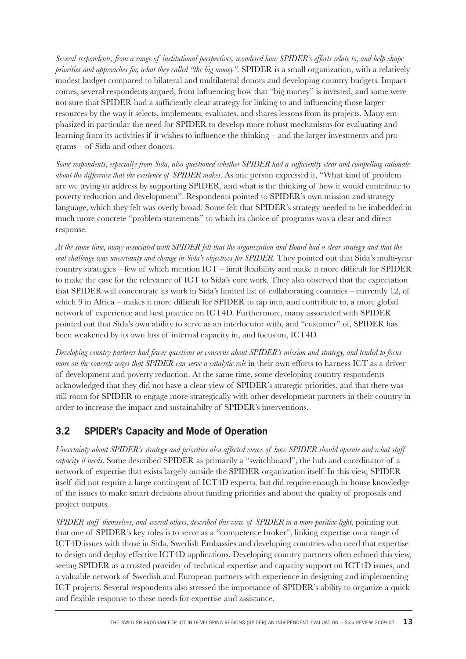*Several respondents, from a range of institutional perspectives, wondered how SPIDER's efforts relate to, and help shape priorities and approaches for, what they called "the big money".* SPIDER is a small organization, with a relatively modest budget compared to bilateral and multilateral donors and developing country budgets. Impact comes, several respondents argued, from influencing how that "big money" is invested, and some were not sure that SPIDER had a sufficiently clear strategy for linking to and influencing those larger resources by the way it selects, implements, evaluates, and shares lessons from its projects. Many emphasized in particular the need for SPIDER to develop more robust mechanisms for evaluating and learning from its activities if it wishes to influence the thinking – and the larger investments and programs – of Sida and other donors.

*Some respondents, especially from Sida, also questioned whether SPIDER had a sufficiently clear and compelling rationale about the difference that the existence of SPIDER makes.* As one person expressed it, "What kind of problem are we trying to address by supporting SPIDER, and what is the thinking of how it would contribute to poverty reduction and development". Respondents pointed to SPIDER's own mission and strategy language, which they felt was overly broad. Some felt that SPIDER's strategy needed to be imbedded in much more concrete "problem statements" to which its choice of programs was a clear and direct response.

*At the same time, many associated with SPIDER felt that the organization and Board had a clear strategy and that the real challenge was uncertainty and change in Sida's objectives for SPIDER.* They pointed out that Sida's multi-year country strategies – few of which mention  $ICT$  – limit flexibility and make it more difficult for SPIDER to make the case for the relevance of ICT to Sida's core work. They also observed that the expectation that SPIDER will concentrate its work in Sida's limited list of collaborating countries – currently 12, of which 9 in Africa – makes it more difficult for SPIDER to tap into, and contribute to, a more global network of experience and best practice on ICT4D. Furthermore, many associated with SPIDER pointed out that Sida's own ability to serve as an interlocutor with, and "customer" of, SPIDER has been weakened by its own loss of internal capacity in, and focus on, ICT4D.

*Developing country partners had fewer questions or concerns about SPIDER's mission and strategy, and tended to focus more on the concrete ways that SPIDER can serve a catalytic role* in their own efforts to harness ICT as a driver of development and poverty reduction. At the same time, some developing country respondents acknowledged that they did not have a clear view of SPIDER's strategic priorities, and that there was still room for SPIDER to engage more strategically with other development partners in their country in order to increase the impact and sustainabilty of SPIDER's interventions.

## **3.2 SPIDER's Capacity and Mode of Operation**

*Uncertainty about SPIDER's strategy and priorities also affected views of how SPIDER should operate and what staff capacity it needs.* Some described SPIDER as primarily a "switchboard", the hub and coordinator of a network of expertise that exists largely outside the SPIDER organization itself. In this view, SPIDER itself did not require a large contingent of ICT4D experts, but did require enough in-house knowledge of the issues to make smart decisions about funding priorities and about the quality of proposals and project outputs.

*SPIDER staff themselves, and several others, described this view of SPIDER in a more positive light,* pointing out that one of SPIDER's key roles is to serve as a "competence broker", linking expertise on a range of ICT4D issues with those in Sida, Swedish Embassies and developing countries who need that expertise to design and deploy effective ICT4D applications. Developing country partners often echoed this view, seeing SPIDER as a trusted provider of technical expertise and capacity support on ICT4D issues, and a valuable network of Swedish and European partners with experience in designing and implementing ICT projects. Several respondents also stressed the importance of SPIDER's ability to organize a quick and flexible response to these needs for expertise and assistance.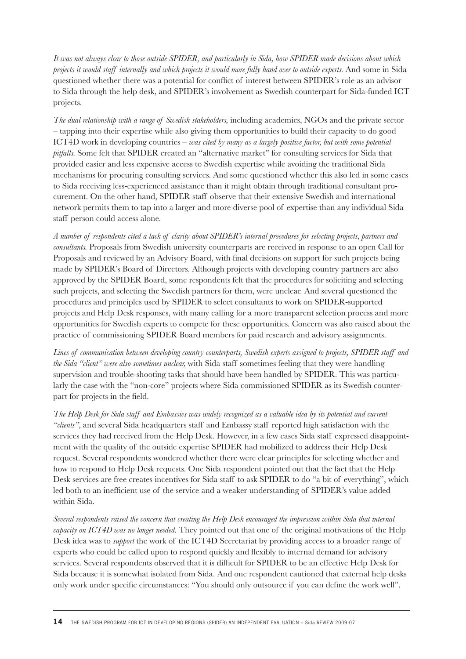*It was not always clear to those outside SPIDER, and particularly in Sida, how SPIDER made decisions about which projects it would staff internally and which projects it would more fully hand over to outside experts.* And some in Sida questioned whether there was a potential for conflict of interest between SPIDER's role as an advisor to Sida through the help desk, and SPIDER's involvement as Swedish counterpart for Sida-funded ICT projects.

*The dual relationship with a range of Swedish stakeholders,* including academics, NGOs and the private sector – tapping into their expertise while also giving them opportunities to build their capacity to do good ICT4D work in developing countries – *was cited by many as a largely positive factor, but with some potential pitfalls.* Some felt that SPIDER created an "alternative market" for consulting services for Sida that provided easier and less expensive access to Swedish expertise while avoiding the traditional Sida mechanisms for procuring consulting services. And some questioned whether this also led in some cases to Sida receiving less-experienced assistance than it might obtain through traditional consultant procurement. On the other hand, SPIDER staff observe that their extensive Swedish and international network permits them to tap into a larger and more diverse pool of expertise than any individual Sida staff person could access alone.

*A number of respondents cited a lack of clarity about SPIDER's internal procedures for selecting projects, partners and consultants.* Proposals from Swedish university counterparts are received in response to an open Call for Proposals and reviewed by an Advisory Board, with final decisions on support for such projects being made by SPIDER's Board of Directors. Although projects with developing country partners are also approved by the SPIDER Board, some respondents felt that the procedures for soliciting and selecting such projects, and selecting the Swedish partners for them, were unclear. And several questioned the procedures and principles used by SPIDER to select consultants to work on SPIDER-supported projects and Help Desk responses, with many calling for a more transparent selection process and more opportunities for Swedish experts to compete for these opportunities. Concern was also raised about the practice of commissioning SPIDER Board members for paid research and advisory assignments.

*Lines of communication between developing country counterparts, Swedish experts assigned to projects, SPIDER staff and the Sida "client" were also sometimes unclear,* with Sida staff sometimes feeling that they were handling supervision and trouble-shooting tasks that should have been handled by SPIDER. This was particularly the case with the "non-core" projects where Sida commissioned SPIDER as its Swedish counterpart for projects in the field.

*The Help Desk for Sida staff and Embassies was widely recognized as a valuable idea by its potential and current "clients",* and several Sida headquarters staff and Embassy staff reported high satisfaction with the services they had received from the Help Desk. However, in a few cases Sida staff expressed disappointment with the quality of the outside expertise SPIDER had mobilized to address their Help Desk request. Several respondents wondered whether there were clear principles for selecting whether and how to respond to Help Desk requests. One Sida respondent pointed out that the fact that the Help Desk services are free creates incentives for Sida staff to ask SPIDER to do "a bit of everything", which led both to an inefficient use of the service and a weaker understanding of SPIDER's value added within Sida.

*Several respondents raised the concern that creating the Help Desk encouraged the impression within Sida that internal capacity on ICT4D was no longer needed.* They pointed out that one of the original motivations of the Help Desk idea was to *support* the work of the ICT4D Secretariat by providing access to a broader range of experts who could be called upon to respond quickly and flexibly to internal demand for advisory services. Several respondents observed that it is difficult for SPIDER to be an effective Help Desk for Sida because it is somewhat isolated from Sida. And one respondent cautioned that external help desks only work under specific circumstances: "You should only outsource if you can define the work well".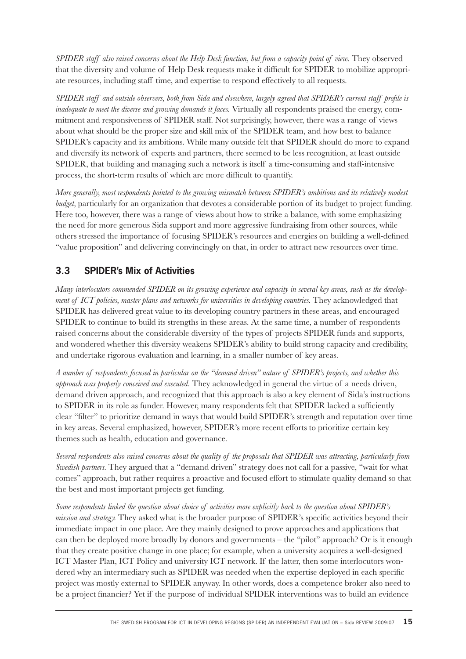*SPIDER staff also raised concerns about the Help Desk function, but from a capacity point of view.* They observed that the diversity and volume of Help Desk requests make it difficult for SPIDER to mobilize appropriate resources, including staff time, and expertise to respond effectively to all requests.

*SPIDER staff and outside observers, both from Sida and elsewhere, largely agreed that SPIDER's current staff profile is inadequate to meet the diverse and growing demands it faces.* Virtually all respondents praised the energy, commitment and responsiveness of SPIDER staff. Not surprisingly, however, there was a range of views about what should be the proper size and skill mix of the SPIDER team, and how best to balance SPIDER's capacity and its ambitions. While many outside felt that SPIDER should do more to expand and diversify its network of experts and partners, there seemed to be less recognition, at least outside SPIDER, that building and managing such a network is itself a time-consuming and staff-intensive process, the short-term results of which are more difficult to quantify.

*More generally, most respondents pointed to the growing mismatch between SPIDER's ambitions and its relatively modest budget,* particularly for an organization that devotes a considerable portion of its budget to project funding. Here too, however, there was a range of views about how to strike a balance, with some emphasizing the need for more generous Sida support and more aggressive fundraising from other sources, while others stressed the importance of focusing SPIDER's resources and energies on building a well-defined "value proposition" and delivering convincingly on that, in order to attract new resources over time.

## **3.3 SPIDER's Mix of Activities**

*Many interlocutors commended SPIDER on its growing experience and capacity in several key areas, such as the development of ICT policies, master plans and networks for universities in developing countries.* They acknowledged that SPIDER has delivered great value to its developing country partners in these areas, and encouraged SPIDER to continue to build its strengths in these areas. At the same time, a number of respondents raised concerns about the considerable diversity of the types of projects SPIDER funds and supports, and wondered whether this diversity weakens SPIDER's ability to build strong capacity and credibility, and undertake rigorous evaluation and learning, in a smaller number of key areas.

*A number of respondents focused in particular on the "demand driven" nature of SPIDER's projects, and whether this approach was properly conceived and executed.* They acknowledged in general the virtue of a needs driven, demand driven approach, and recognized that this approach is also a key element of Sida's instructions to SPIDER in its role as funder. However, many respondents felt that SPIDER lacked a sufficiently clear "filter" to prioritize demand in ways that would build SPIDER's strength and reputation over time in key areas. Several emphasized, however, SPIDER's more recent efforts to prioritize certain key themes such as health, education and governance.

*Several respondents also raised concerns about the quality of the proposals that SPIDER was attracting, particularly from Swedish partners.* They argued that a "demand driven" strategy does not call for a passive, "wait for what comes" approach, but rather requires a proactive and focused effort to stimulate quality demand so that the best and most important projects get funding.

*Some respondents linked the question about choice of activities more explicitly back to the question about SPIDER's mission and strategy*. They asked what is the broader purpose of SPIDER's specific activities beyond their immediate impact in one place. Are they mainly designed to prove approaches and applications that can then be deployed more broadly by donors and governments – the "pilot" approach? Or is it enough that they create positive change in one place; for example, when a university acquires a well-designed ICT Master Plan, ICT Policy and university ICT network. If the latter, then some interlocutors wondered why an intermediary such as SPIDER was needed when the expertise deployed in each specific project was mostly external to SPIDER anyway. In other words, does a competence broker also need to be a project financier? Yet if the purpose of individual SPIDER interventions was to build an evidence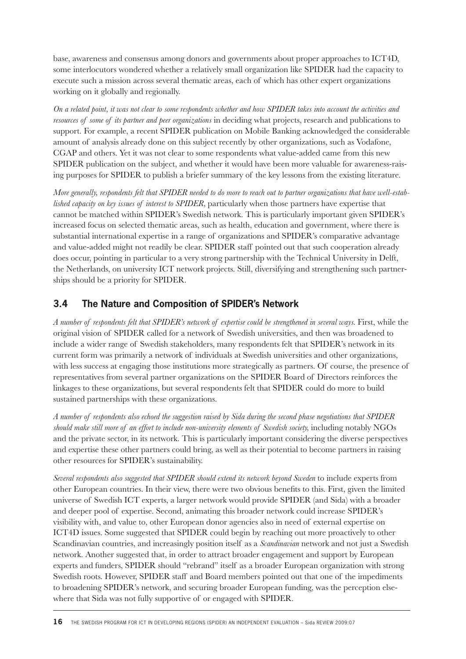base, awareness and consensus among donors and governments about proper approaches to ICT4D, some interlocutors wondered whether a relatively small organization like SPIDER had the capacity to execute such a mission across several thematic areas, each of which has other expert organizations working on it globally and regionally.

*On a related point, it was not clear to some respondents whether and how SPIDER takes into account the activities and resources of some of its partner and peer organizations* in deciding what projects, research and publications to support. For example, a recent SPIDER publication on Mobile Banking acknowledged the considerable amount of analysis already done on this subject recently by other organizations, such as Vodafone, CGAP and others. Yet it was not clear to some respondents what value-added came from this new SPIDER publication on the subject, and whether it would have been more valuable for awareness-raising purposes for SPIDER to publish a briefer summary of the key lessons from the existing literature.

*More generally, respondents felt that SPIDER needed to do more to reach out to partner organizations that have well-established capacity on key issues of interest to SPIDER,* particularly when those partners have expertise that cannot be matched within SPIDER's Swedish network. This is particularly important given SPIDER's increased focus on selected thematic areas, such as health, education and government, where there is substantial international expertise in a range of organizations and SPIDER's comparative advantage and value-added might not readily be clear. SPIDER staff pointed out that such cooperation already does occur, pointing in particular to a very strong partnership with the Technical University in Delft, the Netherlands, on university ICT network projects. Still, diversifying and strengthening such partnerships should be a priority for SPIDER.

## **3.4 The Nature and Composition of SPIDER's Network**

*A number of respondents felt that SPIDER's network of expertise could be strengthened in several ways.* First, while the original vision of SPIDER called for a network of Swedish universities, and then was broadened to include a wider range of Swedish stakeholders, many respondents felt that SPIDER's network in its current form was primarily a network of individuals at Swedish universities and other organizations, with less success at engaging those institutions more strategically as partners. Of course, the presence of representatives from several partner organizations on the SPIDER Board of Directors reinforces the linkages to these organizations, but several respondents felt that SPIDER could do more to build sustained partnerships with these organizations.

*A number of respondents also echoed the suggestion raised by Sida during the second phase negotiations that SPIDER should make still more of an effort to include non-university elements of Swedish society,* including notably NGOs and the private sector, in its network. This is particularly important considering the diverse perspectives and expertise these other partners could bring, as well as their potential to become partners in raising other resources for SPIDER's sustainability.

*Several respondents also suggested that SPIDER should extend its network beyond Sweden* to include experts from other European countries. In their view, there were two obvious benefits to this. First, given the limited universe of Swedish ICT experts, a larger network would provide SPIDER (and Sida) with a broader and deeper pool of expertise. Second, animating this broader network could increase SPIDER's visibility with, and value to, other European donor agencies also in need of external expertise on ICT4D issues. Some suggested that SPIDER could begin by reaching out more proactively to other Scandinavian countries, and increasingly position itself as a *Scandinavian* network and not just a Swedish network. Another suggested that, in order to attract broader engagement and support by European experts and funders, SPIDER should "rebrand" itself as a broader European organization with strong Swedish roots. However, SPIDER staff and Board members pointed out that one of the impediments to broadening SPIDER's network, and securing broader European funding, was the perception elsewhere that Sida was not fully supportive of or engaged with SPIDER.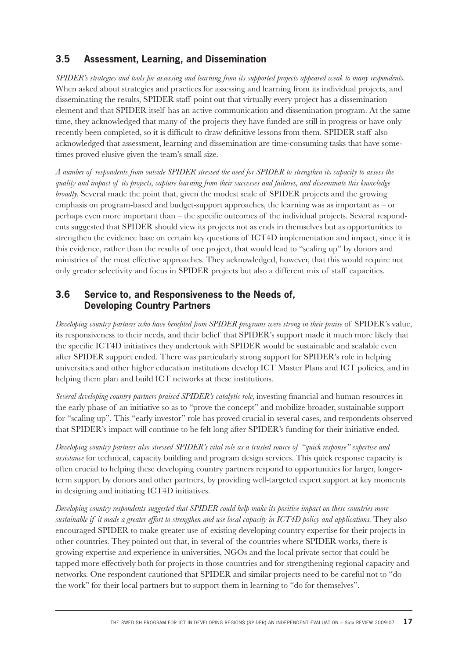#### **3.5 Assessment, Learning, and Dissemination**

*SPIDER's strategies and tools for assessing and learning from its supported projects appeared weak to many respondents.*  When asked about strategies and practices for assessing and learning from its individual projects, and disseminating the results, SPIDER staff point out that virtually every project has a dissemination element and that SPIDER itself has an active communication and dissemination program. At the same time, they acknowledged that many of the projects they have funded are still in progress or have only recently been completed, so it is difficult to draw definitive lessons from them. SPIDER staff also acknowledged that assessment, learning and dissemination are time-consuming tasks that have sometimes proved elusive given the team's small size.

*A number of respondents from outside SPIDER stressed the need for SPIDER to strengthen its capacity to assess the quality and impact of its projects, capture learning from their successes and failures, and disseminate this knowledge broadly.* Several made the point that, given the modest scale of SPIDER projects and the growing emphasis on program-based and budget-support approaches, the learning was as important as  $-$  or perhaps even more important than – the specifi c outcomes of the individual projects. Several respondents suggested that SPIDER should view its projects not as ends in themselves but as opportunities to strengthen the evidence base on certain key questions of ICT4D implementation and impact, since it is this evidence, rather than the results of one project, that would lead to "scaling up" by donors and ministries of the most effective approaches. They acknowledged, however, that this would require not only greater selectivity and focus in SPIDER projects but also a different mix of staff capacities.

#### **3.6 Service to, and Responsiveness to the Needs of, Developing Country Partners**

*Developing country partners who have benefited from SPIDER programs were strong in their praise* of SPIDER's value, its responsiveness to their needs, and their belief that SPIDER's support made it much more likely that the specific ICT4D initiatives they undertook with SPIDER would be sustainable and scalable even after SPIDER support ended. There was particularly strong support for SPIDER's role in helping universities and other higher education institutions develop ICT Master Plans and ICT policies, and in helping them plan and build ICT networks at these institutions.

*Several developing country partners praised SPIDER's catalytic role, investing financial and human resources in* the early phase of an initiative so as to "prove the concept" and mobilize broader, sustainable support for "scaling up". This "early investor" role has proved crucial in several cases, and respondents observed that SPIDER's impact will continue to be felt long after SPIDER's funding for their initiative ended.

*Developing country partners also stressed SPIDER's vital role as a trusted source of "quick response" expertise and assistance* for technical, capacity building and program design services. This quick response capacity is often crucial to helping these developing country partners respond to opportunities for larger, longerterm support by donors and other partners, by providing well-targeted expert support at key moments in designing and initiating ICT4D initiatives.

*Developing country respondents suggested that SPIDER could help make its positive impact on these countries more sustainable if it made a greater effort to strengthen and use local capacity in ICT4D policy and applications.* They also encouraged SPIDER to make greater use of existing developing country expertise for their projects in other countries. They pointed out that, in several of the countries where SPIDER works, there is growing expertise and experience in universities, NGOs and the local private sector that could be tapped more effectively both for projects in those countries and for strengthening regional capacity and networks. One respondent cautioned that SPIDER and similar projects need to be careful not to "do the work" for their local partners but to support them in learning to "do for themselves".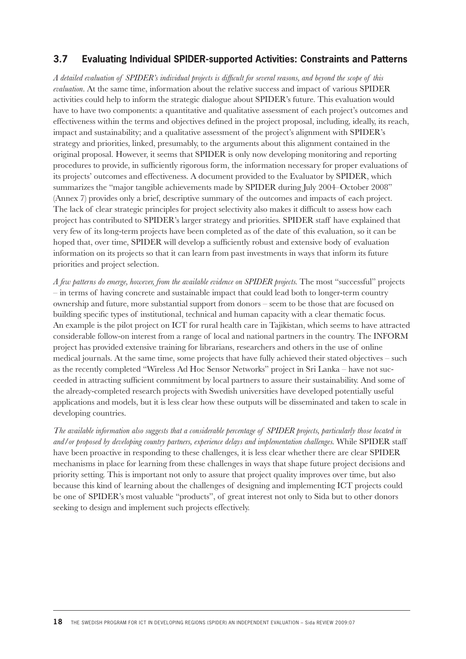#### **3.7 Evaluating Individual SPIDER-supported Activities: Constraints and Patterns**

A detailed evaluation of SPIDER's individual projects is difficult for several reasons, and beyond the scope of this *evaluation.* At the same time, information about the relative success and impact of various SPIDER activities could help to inform the strategic dialogue about SPIDER's future. This evaluation would have to have two components: a quantitative and qualitative assessment of each project's outcomes and effectiveness within the terms and objectives defined in the project proposal, including, ideally, its reach, impact and sustainability; and a qualitative assessment of the project's alignment with SPIDER's strategy and priorities, linked, presumably, to the arguments about this alignment contained in the original proposal. However, it seems that SPIDER is only now developing monitoring and reporting procedures to provide, in sufficiently rigorous form, the information necessary for proper evaluations of its projects' outcomes and effectiveness. A document provided to the Evaluator by SPIDER, which summarizes the "major tangible achievements made by SPIDER during July 2004–October 2008" (Annex 7) provides only a brief, descriptive summary of the outcomes and impacts of each project. The lack of clear strategic principles for project selectivity also makes it difficult to assess how each project has contributed to SPIDER's larger strategy and priorities. SPIDER staff have explained that very few of its long-term projects have been completed as of the date of this evaluation, so it can be hoped that, over time, SPIDER will develop a sufficiently robust and extensive body of evaluation information on its projects so that it can learn from past investments in ways that inform its future priorities and project selection.

*A few patterns do emerge, however, from the available evidence on SPIDER projects.* The most "successful" projects – in terms of having concrete and sustainable impact that could lead both to longer-term country ownership and future, more substantial support from donors – seem to be those that are focused on building specific types of institutional, technical and human capacity with a clear thematic focus. An example is the pilot project on ICT for rural health care in Tajikistan, which seems to have attracted considerable follow-on interest from a range of local and national partners in the country. The INFORM project has provided extensive training for librarians, researchers and others in the use of online medical journals. At the same time, some projects that have fully achieved their stated objectives – such as the recently completed "Wireless Ad Hoc Sensor Networks" project in Sri Lanka – have not succeeded in attracting sufficient commitment by local partners to assure their sustainability. And some of the already-completed research projects with Swedish universities have developed potentially useful applications and models, but it is less clear how these outputs will be disseminated and taken to scale in developing countries.

*The available information also suggests that a considerable percentage of SPIDER projects, particularly those located in and/or proposed by developing country partners, experience delays and implementation challenges.* While SPIDER staff have been proactive in responding to these challenges, it is less clear whether there are clear SPIDER mechanisms in place for learning from these challenges in ways that shape future project decisions and priority setting. This is important not only to assure that project quality improves over time, but also because this kind of learning about the challenges of designing and implementing ICT projects could be one of SPIDER's most valuable "products", of great interest not only to Sida but to other donors seeking to design and implement such projects effectively.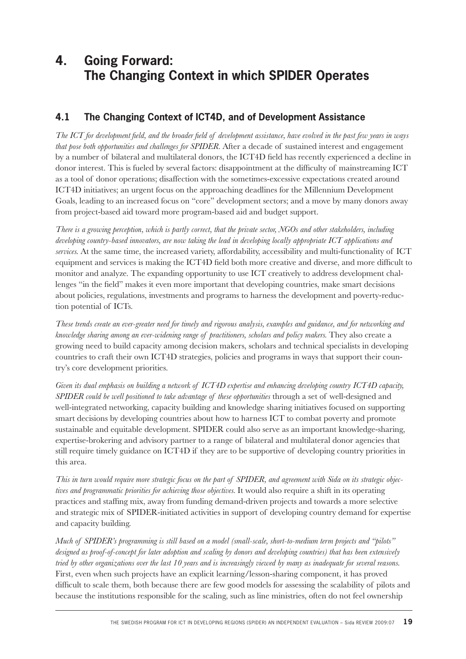# **4. Going Forward: The Changing Context in which SPIDER Operates**

## **4.1 The Changing Context of ICT4D, and of Development Assistance**

*The ICT for development field, and the broader field of development assistance, have evolved in the past few years in ways that pose both opportunities and challenges for SPIDER.* After a decade of sustained interest and engagement by a number of bilateral and multilateral donors, the ICT4D field has recently experienced a decline in donor interest. This is fueled by several factors: disappointment at the difficulty of mainstreaming ICT as a tool of donor operations; disaffection with the sometimes-excessive expectations created around ICT4D initiatives; an urgent focus on the approaching deadlines for the Millennium Development Goals, leading to an increased focus on "core" development sectors; and a move by many donors away from project-based aid toward more program-based aid and budget support.

*There is a growing perception, which is partly correct, that the private sector, NGOs and other stakeholders, including developing country-based innovators, are now taking the lead in developing locally appropriate ICT applications and services.* At the same time, the increased variety, affordability, accessibility and multi-functionality of ICT equipment and services is making the ICT4D field both more creative and diverse, and more difficult to monitor and analyze. The expanding opportunity to use ICT creatively to address development challenges "in the field" makes it even more important that developing countries, make smart decisions about policies, regulations, investments and programs to harness the development and poverty-reduction potential of ICTs.

*These trends create an ever-greater need for timely and rigorous analysis, examples and guidance, and for networking and knowledge sharing among an ever-widening range of practitioners, scholars and policy makers.* They also create a growing need to build capacity among decision makers, scholars and technical specialists in developing countries to craft their own ICT4D strategies, policies and programs in ways that support their country's core development priorities.

*Given its dual emphasis on building a network of ICT4D expertise and enhancing developing country ICT4D capacity, SPIDER could be well positioned to take advantage of these opportunities* through a set of well-designed and well-integrated networking, capacity building and knowledge sharing initiatives focused on supporting smart decisions by developing countries about how to harness ICT to combat poverty and promote sustainable and equitable development. SPIDER could also serve as an important knowledge-sharing, expertise-brokering and advisory partner to a range of bilateral and multilateral donor agencies that still require timely guidance on ICT4D if they are to be supportive of developing country priorities in this area.

*This in turn would require more strategic focus on the part of SPIDER, and agreement with Sida on its strategic objectives and programmatic priorities for achieving those objectives.* It would also require a shift in its operating practices and staffing mix, away from funding demand-driven projects and towards a more selective and strategic mix of SPIDER-initiated activities in support of developing country demand for expertise and capacity building.

*Much of SPIDER's programming is still based on a model (small-scale, short-to-medium term projects and "pilots" designed as proof-of-concept for later adoption and scaling by donors and developing countries) that has been extensively tried by other organizations over the last 10 years and is increasingly viewed by many as inadequate for several reasons.*  First, even when such projects have an explicit learning/lesson-sharing component, it has proved difficult to scale them, both because there are few good models for assessing the scalability of pilots and because the institutions responsible for the scaling, such as line ministries, often do not feel ownership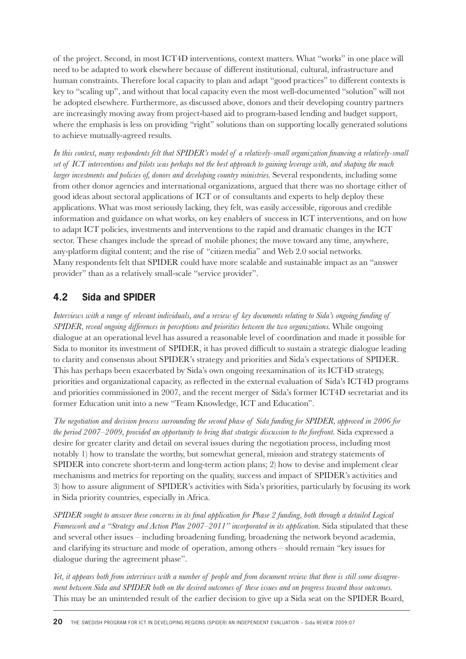of the project. Second, in most ICT4D interventions, context matters. What "works" in one place will need to be adapted to work elsewhere because of different institutional, cultural, infrastructure and human constraints. Therefore local capacity to plan and adapt "good practices" to different contexts is key to "scaling up", and without that local capacity even the most well-documented "solution" will not be adopted elsewhere. Furthermore, as discussed above, donors and their developing country partners are increasingly moving away from project-based aid to program-based lending and budget support, where the emphasis is less on providing "right" solutions than on supporting locally generated solutions to achieve mutually-agreed results.

In this context, many respondents felt that SPIDER's model of a relatively-small organization financing a relatively-small *set of ICT interventions and pilots was perhaps not the best approach to gaining leverage with, and shaping the much larger investments and policies of, donors and developing country ministries.* Several respondents, including some from other donor agencies and international organizations, argued that there was no shortage either of good ideas about sectoral applications of ICT or of consultants and experts to help deploy these applications. What was most seriously lacking, they felt, was easily accessible, rigorous and credible information and guidance on what works, on key enablers of success in ICT interventions, and on how to adapt ICT policies, investments and interventions to the rapid and dramatic changes in the ICT sector. These changes include the spread of mobile phones; the move toward any time, anywhere, any-platform digital content; and the rise of "citizen media" and Web 2.0 social networks. Many respondents felt that SPIDER could have more scalable and sustainable impact as an "answer provider" than as a relatively small-scale "service provider".

## **4.2 Sida and SPIDER**

*Interviews with a range of relevant individuals, and a review of key documents relating to Sida's ongoing funding of SPIDER, reveal ongoing differences in perceptions and priorities between the two organizations.* While ongoing dialogue at an operational level has assured a reasonable level of coordination and made it possible for Sida to monitor its investment of SPIDER, it has proved difficult to sustain a strategic dialogue leading to clarity and consensus about SPIDER's strategy and priorities and Sida's expectations of SPIDER. This has perhaps been exacerbated by Sida's own ongoing reexamination of its ICT4D strategy, priorities and organizational capacity, as reflected in the external evaluation of Sida's ICT4D programs and priorities commissioned in 2007, and the recent merger of Sida's former ICT4D secretariat and its former Education unit into a new "Team Knowledge, ICT and Education".

The negotiation and decision process surrounding the second phase of Sida funding for SPIDER, approved in 2006 for *the period 2007–2009, provided an opportunity to bring that strategic discussion to the forefront.* Sida expressed a desire for greater clarity and detail on several issues during the negotiation process, including most notably 1) how to translate the worthy, but somewhat general, mission and strategy statements of SPIDER into concrete short-term and long-term action plans; 2) how to devise and implement clear mechanisms and metrics for reporting on the quality, success and impact of SPIDER's activities and 3) how to assure alignment of SPIDER's activities with Sida's priorities, particularly by focusing its work in Sida priority countries, especially in Africa.

*SPIDER sought to answer these concerns in its final application for Phase 2 funding, both through a detailed Logical Framework and a "Strategy and Action Plan 2007–2011" incorporated in its application.* Sida stipulated that these and several other issues – including broadening funding, broadening the network beyond academia, and clarifying its structure and mode of operation, among others – should remain "key issues for dialogue during the agreement phase".

*Yet, it appears both from interviews with a number of people and from document review that there is still some disagreement between Sida and SPIDER both on the desired outcomes of these issues and on progress toward those outcomes.*  This may be an unintended result of the earlier decision to give up a Sida seat on the SPIDER Board,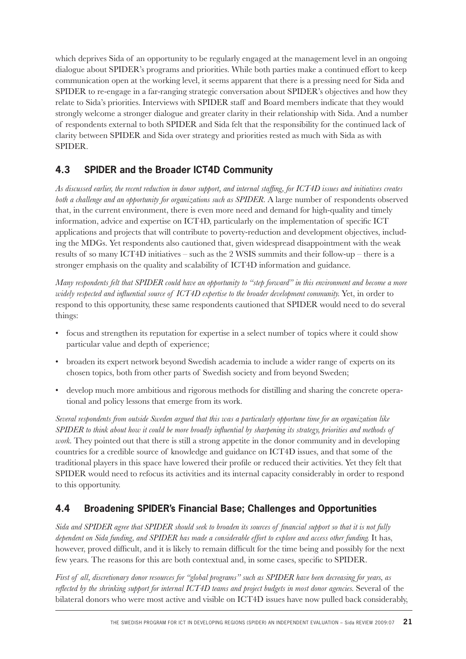which deprives Sida of an opportunity to be regularly engaged at the management level in an ongoing dialogue about SPIDER's programs and priorities. While both parties make a continued effort to keep communication open at the working level, it seems apparent that there is a pressing need for Sida and SPIDER to re-engage in a far-ranging strategic conversation about SPIDER's objectives and how they relate to Sida's priorities. Interviews with SPIDER staff and Board members indicate that they would strongly welcome a stronger dialogue and greater clarity in their relationship with Sida. And a number of respondents external to both SPIDER and Sida felt that the responsibility for the continued lack of clarity between SPIDER and Sida over strategy and priorities rested as much with Sida as with SPIDER.

## **4.3 SPIDER and the Broader ICT4D Community**

As discussed earlier, the recent reduction in donor support, and internal staffing, for ICT4D issues and initiatives creates *both a challenge and an opportunity for organizations such as SPIDER.* A large number of respondents observed that, in the current environment, there is even more need and demand for high-quality and timely information, advice and expertise on ICT4D, particularly on the implementation of specific ICT applications and projects that will contribute to poverty-reduction and development objectives, including the MDGs. Yet respondents also cautioned that, given widespread disappointment with the weak results of so many ICT4D initiatives – such as the 2 WSIS summits and their follow-up – there is a stronger emphasis on the quality and scalability of ICT4D information and guidance.

*Many respondents felt that SPIDER could have an opportunity to "step forward" in this environment and become a more widely respected and influential source of ICT4D expertise to the broader development community.* Yet, in order to respond to this opportunity, these same respondents cautioned that SPIDER would need to do several things:

- focus and strengthen its reputation for expertise in a select number of topics where it could show particular value and depth of experience;
- broaden its expert network beyond Swedish academia to include a wider range of experts on its chosen topics, both from other parts of Swedish society and from beyond Sweden;
- develop much more ambitious and rigorous methods for distilling and sharing the concrete operational and policy lessons that emerge from its work.

*Several respondents from outside Sweden argued that this was a particularly opportune time for an organization like SPIDER to think about how it could be more broadly influential by sharpening its strategy, priorities and methods of work*. They pointed out that there is still a strong appetite in the donor community and in developing countries for a credible source of knowledge and guidance on ICT4D issues, and that some of the traditional players in this space have lowered their profile or reduced their activities. Yet they felt that SPIDER would need to refocus its activities and its internal capacity considerably in order to respond to this opportunity.

## **4.4 Broadening SPIDER's Financial Base; Challenges and Opportunities**

*Sida and SPIDER agree that SPIDER should seek to broaden its sources of financial support so that it is not fully dependent on Sida funding, and SPIDER has made a considerable effort to explore and access other funding.* It has, however, proved difficult, and it is likely to remain difficult for the time being and possibly for the next few years. The reasons for this are both contextual and, in some cases, specific to SPIDER.

*First of all, discretionary donor resources for "global programs" such as SPIDER have been decreasing for years, as reflected by the shrinking support for internal ICT4D teams and project budgets in most donor agencies.* Several of the bilateral donors who were most active and visible on ICT4D issues have now pulled back considerably,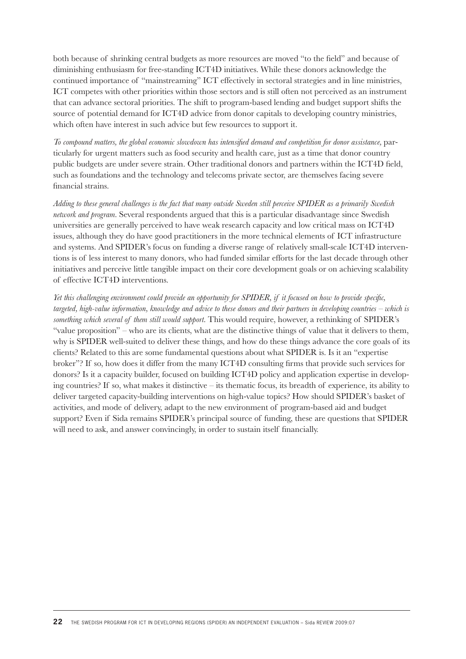both because of shrinking central budgets as more resources are moved "to the field" and because of diminishing enthusiasm for free-standing ICT4D initiatives. While these donors acknowledge the continued importance of "mainstreaming" ICT effectively in sectoral strategies and in line ministries, ICT competes with other priorities within those sectors and is still often not perceived as an instrument that can advance sectoral priorities. The shift to program-based lending and budget support shifts the source of potential demand for ICT4D advice from donor capitals to developing country ministries, which often have interest in such advice but few resources to support it.

*To compound matters, the global economic slowdown has intensified demand and competition for donor assistance, par*ticularly for urgent matters such as food security and health care, just as a time that donor country public budgets are under severe strain. Other traditional donors and partners within the ICT4D field, such as foundations and the technology and telecoms private sector, are themselves facing severe financial strains.

*Adding to these general challenges is the fact that many outside Sweden still perceive SPIDER as a primarily Swedish network and program.* Several respondents argued that this is a particular disadvantage since Swedish universities are generally perceived to have weak research capacity and low critical mass on ICT4D issues, although they do have good practitioners in the more technical elements of ICT infrastructure and systems. And SPIDER's focus on funding a diverse range of relatively small-scale ICT4D interventions is of less interest to many donors, who had funded similar efforts for the last decade through other initiatives and perceive little tangible impact on their core development goals or on achieving scalability of effective ICT4D interventions.

*Yet this challenging environment could provide an opportunity for SPIDER, if it focused on how to provide specific, targeted, high-value information, knowledge and advice to these donors and their partners in developing countries – which is something which several of them still would support.* This would require, however, a rethinking of SPIDER's "value proposition" – who are its clients, what are the distinctive things of value that it delivers to them, why is SPIDER well-suited to deliver these things, and how do these things advance the core goals of its clients? Related to this are some fundamental questions about what SPIDER is. Is it an "expertise broker"? If so, how does it differ from the many ICT4D consulting firms that provide such services for donors? Is it a capacity builder, focused on building ICT4D policy and application expertise in developing countries? If so, what makes it distinctive – its thematic focus, its breadth of experience, its ability to deliver targeted capacity-building interventions on high-value topics? How should SPIDER's basket of activities, and mode of delivery, adapt to the new environment of program-based aid and budget support? Even if Sida remains SPIDER's principal source of funding, these are questions that SPIDER will need to ask, and answer convincingly, in order to sustain itself financially.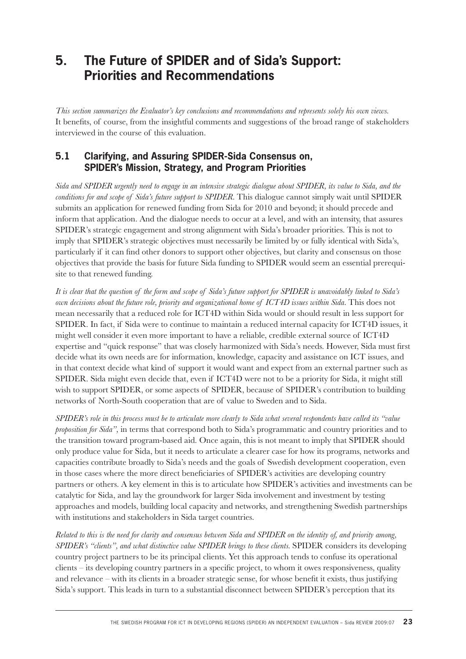# **5. The Future of SPIDER and of Sida's Support: Priorities and Recommendations**

*This section summarizes the Evaluator's key conclusions and recommendations and represents solely his own views.*  It benefits, of course, from the insightful comments and suggestions of the broad range of stakeholders interviewed in the course of this evaluation.

#### **5.1 Clarifying, and Assuring SPIDER-Sida Consensus on, SPIDER's Mission, Strategy, and Program Priorities**

*Sida and SPIDER urgently need to engage in an intensive strategic dialogue about SPIDER, its value to Sida, and the conditions for and scope of Sida's future support to SPIDER.* This dialogue cannot simply wait until SPIDER submits an application for renewed funding from Sida for 2010 and beyond; it should precede and inform that application. And the dialogue needs to occur at a level, and with an intensity, that assures SPIDER's strategic engagement and strong alignment with Sida's broader priorities. This is not to imply that SPIDER's strategic objectives must necessarily be limited by or fully identical with Sida's, particularly if it can find other donors to support other objectives, but clarity and consensus on those objectives that provide the basis for future Sida funding to SPIDER would seem an essential prerequisite to that renewed funding.

*It is clear that the question of the form and scope of Sida's future support for SPIDER is unavoidably linked to Sida's own decisions about the future role, priority and organizational home of ICT4D issues within Sida.* This does not mean necessarily that a reduced role for ICT4D within Sida would or should result in less support for SPIDER. In fact, if Sida were to continue to maintain a reduced internal capacity for ICT4D issues, it might well consider it even more important to have a reliable, credible external source of ICT4D expertise and "quick response" that was closely harmonized with Sida's needs. However, Sida must first decide what its own needs are for information, knowledge, capacity and assistance on ICT issues, and in that context decide what kind of support it would want and expect from an external partner such as SPIDER. Sida might even decide that, even if ICT4D were not to be a priority for Sida, it might still wish to support SPIDER, or some aspects of SPIDER, because of SPIDER's contribution to building networks of North-South cooperation that are of value to Sweden and to Sida.

*SPIDER's role in this process must be to articulate more clearly to Sida what several respondents have called its "value proposition for Sida",* in terms that correspond both to Sida's programmatic and country priorities and to the transition toward program-based aid. Once again, this is not meant to imply that SPIDER should only produce value for Sida, but it needs to articulate a clearer case for how its programs, networks and capacities contribute broadly to Sida's needs and the goals of Swedish development cooperation, even in those cases where the more direct beneficiaries of SPIDER's activities are developing country partners or others. A key element in this is to articulate how SPIDER's activities and investments can be catalytic for Sida, and lay the groundwork for larger Sida involvement and investment by testing approaches and models, building local capacity and networks, and strengthening Swedish partnerships with institutions and stakeholders in Sida target countries.

*Related to this is the need for clarity and consensus between Sida and SPIDER on the identity of, and priority among, SPIDER's "clients", and what distinctive value SPIDER brings to these clients.* SPIDER considers its developing country project partners to be its principal clients. Yet this approach tends to confuse its operational clients – its developing country partners in a specific project, to whom it owes responsiveness, quality and relevance – with its clients in a broader strategic sense, for whose benefi t it exists, thus justifying Sida's support. This leads in turn to a substantial disconnect between SPIDER's perception that its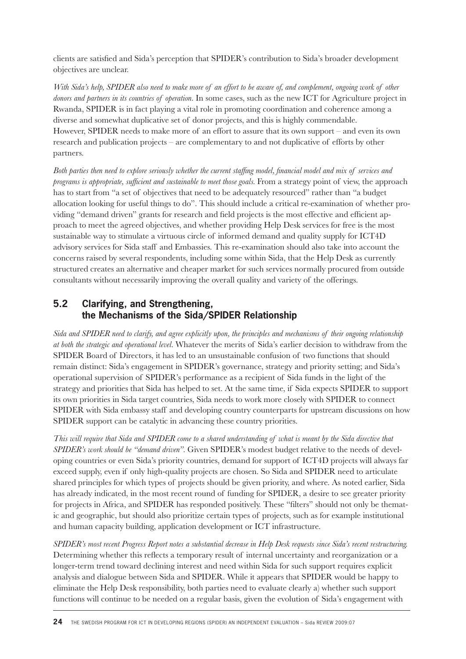clients are satisfied and Sida's perception that SPIDER's contribution to Sida's broader development objectives are unclear.

*With Sida's help, SPIDER also need to make more of an effort to be aware of, and complement, ongoing work of other donors and partners in its countries of operation.* In some cases, such as the new ICT for Agriculture project in Rwanda, SPIDER is in fact playing a vital role in promoting coordination and coherence among a diverse and somewhat duplicative set of donor projects, and this is highly commendable. However, SPIDER needs to make more of an effort to assure that its own support – and even its own research and publication projects – are complementary to and not duplicative of efforts by other partners.

Both parties then need to explore seriously whether the current staffing model, financial model and mix of services and *programs is appropriate, sufficient and sustainable to meet those goals.* From a strategy point of view, the approach has to start from "a set of objectives that need to be adequately resourced" rather than "a budget allocation looking for useful things to do". This should include a critical re-examination of whether providing "demand driven" grants for research and field projects is the most effective and efficient approach to meet the agreed objectives, and whether providing Help Desk services for free is the most sustainable way to stimulate a virtuous circle of informed demand and quality supply for ICT4D advisory services for Sida staff and Embassies. This re-examination should also take into account the concerns raised by several respondents, including some within Sida, that the Help Desk as currently structured creates an alternative and cheaper market for such services normally procured from outside consultants without necessarily improving the overall quality and variety of the offerings.

#### **5.2 Clarifying, and Strengthening, the Mechanisms of the Sida/SPIDER Relationship**

*Sida and SPIDER need to clarify, and agree explicitly upon, the principles and mechanisms of their ongoing relationship at both the strategic and operational level.* Whatever the merits of Sida's earlier decision to withdraw from the SPIDER Board of Directors, it has led to an unsustainable confusion of two functions that should remain distinct: Sida's engagement in SPIDER's governance, strategy and priority setting; and Sida's operational supervision of SPIDER's performance as a recipient of Sida funds in the light of the strategy and priorities that Sida has helped to set. At the same time, if Sida expects SPIDER to support its own priorities in Sida target countries, Sida needs to work more closely with SPIDER to connect SPIDER with Sida embassy staff and developing country counterparts for upstream discussions on how SPIDER support can be catalytic in advancing these country priorities.

*This will require that Sida and SPIDER come to a shared understanding of what is meant by the Sida directive that SPIDER's work should be "demand driven".* Given SPIDER's modest budget relative to the needs of developing countries or even Sida's priority countries, demand for support of ICT4D projects will always far exceed supply, even if only high-quality projects are chosen. So Sida and SPIDER need to articulate shared principles for which types of projects should be given priority, and where. As noted earlier, Sida has already indicated, in the most recent round of funding for SPIDER, a desire to see greater priority for projects in Africa, and SPIDER has responded positively. These "filters" should not only be thematic and geographic, but should also prioritize certain types of projects, such as for example institutional and human capacity building, application development or ICT infrastructure.

*SPIDER's most recent Progress Report notes a substantial decrease in Help Desk requests since Sida's recent restructuring.*  Determining whether this reflects a temporary result of internal uncertainty and reorganization or a longer-term trend toward declining interest and need within Sida for such support requires explicit analysis and dialogue between Sida and SPIDER. While it appears that SPIDER would be happy to eliminate the Help Desk responsibility, both parties need to evaluate clearly a) whether such support functions will continue to be needed on a regular basis, given the evolution of Sida's engagement with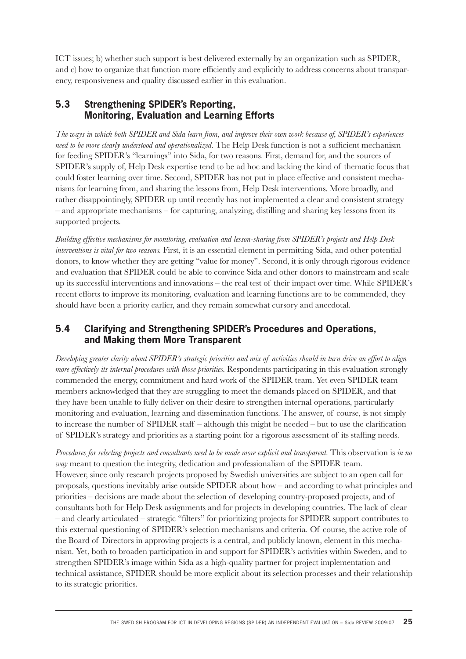ICT issues; b) whether such support is best delivered externally by an organization such as SPIDER, and c) how to organize that function more efficiently and explicitly to address concerns about transparency, responsiveness and quality discussed earlier in this evaluation.

#### **5.3 Strengthening SPIDER's Reporting, Monitoring, Evaluation and Learning Efforts**

*The ways in which both SPIDER and Sida learn from, and improve their own work because of, SPIDER's experiences need to be more clearly understood and operationalized.* The Help Desk function is not a sufficient mechanism for feeding SPIDER's "learnings" into Sida, for two reasons. First, demand for, and the sources of SPIDER's supply of, Help Desk expertise tend to be ad hoc and lacking the kind of thematic focus that could foster learning over time. Second, SPIDER has not put in place effective and consistent mechanisms for learning from, and sharing the lessons from, Help Desk interventions. More broadly, and rather disappointingly, SPIDER up until recently has not implemented a clear and consistent strategy – and appropriate mechanisms – for capturing, analyzing, distilling and sharing key lessons from its supported projects.

*Building effective mechanisms for monitoring, evaluation and lesson-sharing from SPIDER's projects and Help Desk interventions is vital for two reasons.* First, it is an essential element in permitting Sida, and other potential donors, to know whether they are getting "value for money". Second, it is only through rigorous evidence and evaluation that SPIDER could be able to convince Sida and other donors to mainstream and scale up its successful interventions and innovations – the real test of their impact over time. While SPIDER's recent efforts to improve its monitoring, evaluation and learning functions are to be commended, they should have been a priority earlier, and they remain somewhat cursory and anecdotal.

#### **5.4 Clarifying and Strengthening SPIDER's Procedures and Operations, and Making them More Transparent**

*Developing greater clarity about SPIDER's strategic priorities and mix of activities should in turn drive an effort to align more effectively its internal procedures with those priorities.* Respondents participating in this evaluation strongly commended the energy, commitment and hard work of the SPIDER team. Yet even SPIDER team members acknowledged that they are struggling to meet the demands placed on SPIDER, and that they have been unable to fully deliver on their desire to strengthen internal operations, particularly monitoring and evaluation, learning and dissemination functions. The answer, of course, is not simply to increase the number of SPIDER staff – although this might be needed – but to use the clarification of SPIDER's strategy and priorities as a starting point for a rigorous assessment of its staffing needs.

*Procedures for selecting projects and consultants need to be made more explicit and transparent.* This observation is *in no way* meant to question the integrity, dedication and professionalism of the SPIDER team. However, since only research projects proposed by Swedish universities are subject to an open call for proposals, questions inevitably arise outside SPIDER about how – and according to what principles and priorities – decisions are made about the selection of developing country-proposed projects, and of consultants both for Help Desk assignments and for projects in developing countries. The lack of clear – and clearly articulated – strategic "filters" for prioritizing projects for SPIDER support contributes to this external questioning of SPIDER's selection mechanisms and criteria. Of course, the active role of the Board of Directors in approving projects is a central, and publicly known, element in this mechanism. Yet, both to broaden participation in and support for SPIDER's activities within Sweden, and to strengthen SPIDER's image within Sida as a high-quality partner for project implementation and technical assistance, SPIDER should be more explicit about its selection processes and their relationship to its strategic priorities.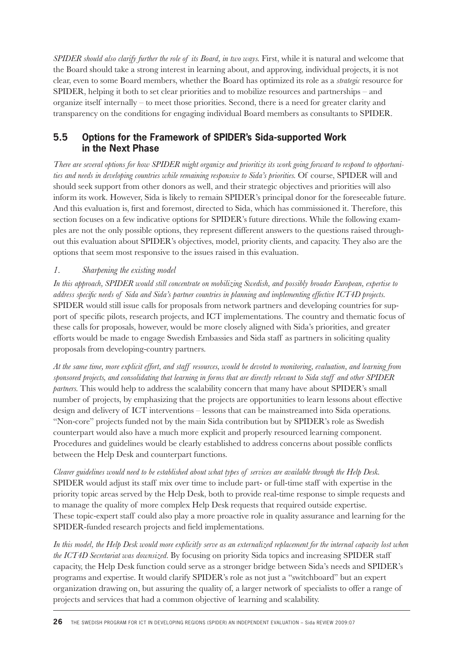*SPIDER should also clarify further the role of its Board, in two ways.* First, while it is natural and welcome that the Board should take a strong interest in learning about, and approving, individual projects, it is not clear, even to some Board members, whether the Board has optimized its role as a *strategic* resource for SPIDER, helping it both to set clear priorities and to mobilize resources and partnerships – and organize itself internally – to meet those priorities. Second, there is a need for greater clarity and transparency on the conditions for engaging individual Board members as consultants to SPIDER.

#### **5.5 Options for the Framework of SPIDER's Sida-supported Work in the Next Phase**

*There are several options for how SPIDER might organize and prioritize its work going forward to respond to opportunities and needs in developing countries while remaining responsive to Sida's priorities.* Of course, SPIDER will and should seek support from other donors as well, and their strategic objectives and priorities will also inform its work. However, Sida is likely to remain SPIDER's principal donor for the foreseeable future. And this evaluation is, first and foremost, directed to Sida, which has commissioned it. Therefore, this section focuses on a few indicative options for SPIDER's future directions. While the following examples are not the only possible options, they represent different answers to the questions raised throughout this evaluation about SPIDER's objectives, model, priority clients, and capacity. They also are the options that seem most responsive to the issues raised in this evaluation.

#### *1. Sharpening the existing model*

*In this approach, SPIDER would still concentrate on mobilizing Swedish, and possibly broader European, expertise to*  address specific needs of Sida and Sida's partner countries in planning and implementing effective ICT4D projects. SPIDER would still issue calls for proposals from network partners and developing countries for support of specific pilots, research projects, and ICT implementations. The country and thematic focus of these calls for proposals, however, would be more closely aligned with Sida's priorities, and greater efforts would be made to engage Swedish Embassies and Sida staff as partners in soliciting quality proposals from developing-country partners.

*At the same time, more explicit effort, and staff resources, would be devoted to monitoring, evaluation, and learning from sponsored projects, and consolidating that learning in forms that are directly relevant to Sida staff and other SPIDER partners.* This would help to address the scalability concern that many have about SPIDER's small number of projects, by emphasizing that the projects are opportunities to learn lessons about effective design and delivery of ICT interventions – lessons that can be mainstreamed into Sida operations. "Non-core" projects funded not by the main Sida contribution but by SPIDER's role as Swedish counterpart would also have a much more explicit and properly resourced learning component. Procedures and guidelines would be clearly established to address concerns about possible conflicts between the Help Desk and counterpart functions.

*Clearer guidelines would need to be established about what types of services are available through the Help Desk.*  SPIDER would adjust its staff mix over time to include part- or full-time staff with expertise in the priority topic areas served by the Help Desk, both to provide real-time response to simple requests and to manage the quality of more complex Help Desk requests that required outside expertise. These topic-expert staff could also play a more proactive role in quality assurance and learning for the SPIDER-funded research projects and field implementations.

*In this model, the Help Desk would more explicitly serve as an externalized replacement for the internal capacity lost when the ICT4D Secretariat was downsized.* By focusing on priority Sida topics and increasing SPIDER staff capacity, the Help Desk function could serve as a stronger bridge between Sida's needs and SPIDER's programs and expertise. It would clarify SPIDER's role as not just a "switchboard" but an expert organization drawing on, but assuring the quality of, a larger network of specialists to offer a range of projects and services that had a common objective of learning and scalability.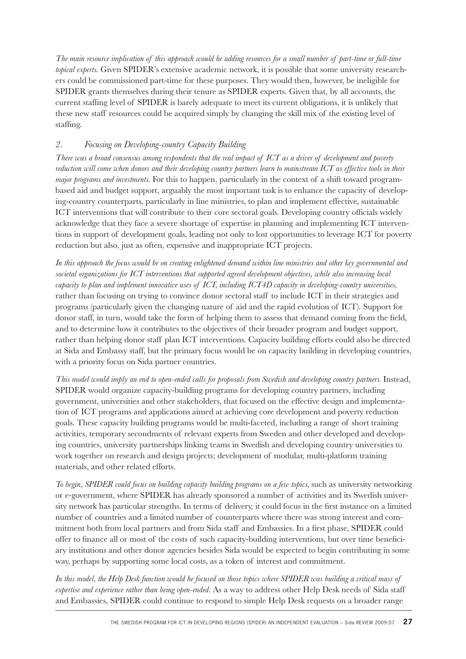*The main resource implication of this approach would be adding resources for a small number of part-time or full-time topical experts.* Given SPIDER's extensive academic network, it is possible that some university researchers could be commissioned part-time for these purposes. They would then, however, be ineligible for SPIDER grants themselves during their tenure as SPIDER experts. Given that, by all accounts, the current staffing level of SPIDER is barely adequate to meet its current obligations, it is unlikely that these new staff resources could be acquired simply by changing the skill mix of the existing level of staffing.

#### *2. Focusing on Developing-country Capacity Building*

*There was a broad consensus among respondents that the real impact of ICT as a driver of development and poverty reduction will come when donors and their developing country partners learn to mainstream ICT as effective tools in their major programs and investments.* For this to happen, particularly in the context of a shift toward programbased aid and budget support, arguably the most important task is to enhance the capacity of developing-country counterparts, particularly in line ministries, to plan and implement effective, sustainable ICT interventions that will contribute to their core sectoral goals. Developing country officials widely acknowledge that they face a severe shortage of expertise in planning and implementing ICT interventions in support of development goals, leading not only to lost opportunities to leverage ICT for poverty reduction but also, just as often, expensive and inappropriate ICT projects.

*In this approach the focus would be on creating enlightened demand within line ministries and other key governmental and societal organizations for ICT interventions that supported agreed development objectives, while also increasing local capacity to plan and implement innovative uses of ICT, including ICT4D capacity in developing-country universities,*  rather than focusing on trying to convince donor sectoral staff to include ICT in their strategies and programs (particularly given the changing nature of aid and the rapid evolution of ICT). Support for donor staff, in turn, would take the form of helping them to assess that demand coming from the field, and to determine how it contributes to the objectives of their broader program and budget support, rather than helping donor staff plan ICT interventions. Capacity building efforts could also be directed at Sida and Embassy staff, but the primary focus would be on capacity building in developing countries, with a priority focus on Sida partner countries.

*This model would imply an end to open-ended calls for proposals from Swedish and developing country partners.* Instead, SPIDER would organize capacity-building programs for developing country partners, including government, universities and other stakeholders, that focused on the effective design and implementation of ICT programs and applications aimed at achieving core development and poverty reduction goals. These capacity building programs would be multi-faceted, including a range of short training activities, temporary secondments of relevant experts from Sweden and other developed and developing countries, university partnerships linking teams in Swedish and developing country universities to work together on research and design projects; development of modular, multi-platform training materials, and other related efforts.

*To begin, SPIDER could focus on building capacity building programs on a few topics,* such as university networking or e-government, where SPIDER has already sponsored a number of activities and its Swedish university network has particular strengths. In terms of delivery, it could focus in the first instance on a limited number of countries and a limited number of counterparts where there was strong interest and commitment both from local partners and from Sida staff and Embassies. In a first phase, SPIDER could offer to finance all or most of the costs of such capacity-building interventions, but over time beneficiary institutions and other donor agencies besides Sida would be expected to begin contributing in some way, perhaps by supporting some local costs, as a token of interest and commitment.

*In this model, the Help Desk function would be focused on those topics where SPIDER was building a critical mass of expertise and experience rather than being open-ended.* As a way to address other Help Desk needs of Sida staff and Embassies, SPIDER could continue to respond to simple Help Desk requests on a broader range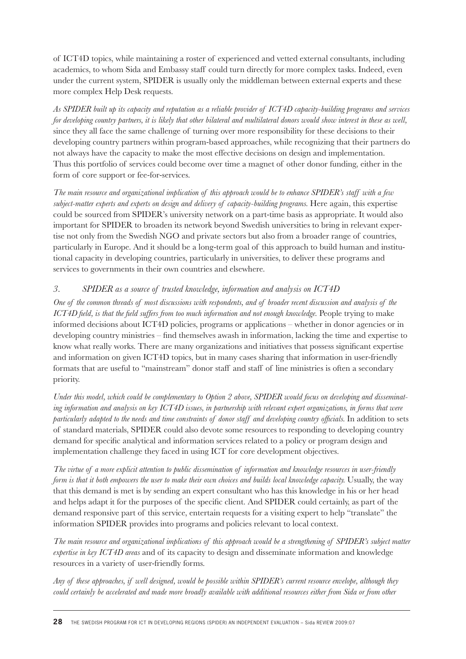of ICT4D topics, while maintaining a roster of experienced and vetted external consultants, including academics, to whom Sida and Embassy staff could turn directly for more complex tasks. Indeed, even under the current system, SPIDER is usually only the middleman between external experts and these more complex Help Desk requests.

*As SPIDER built up its capacity and reputation as a reliable provider of ICT4D capacity-building programs and services for developing country partners, it is likely that other bilateral and multilateral donors would show interest in these as well,*  since they all face the same challenge of turning over more responsibility for these decisions to their developing country partners within program-based approaches, while recognizing that their partners do not always have the capacity to make the most effective decisions on design and implementation. Thus this portfolio of services could become over time a magnet of other donor funding, either in the form of core support or fee-for-services.

*The main resource and organizational implication of this approach would be to enhance SPIDER's staff with a few subject-matter experts and experts on design and delivery of capacity-building programs.* Here again, this expertise could be sourced from SPIDER's university network on a part-time basis as appropriate. It would also important for SPIDER to broaden its network beyond Swedish universities to bring in relevant expertise not only from the Swedish NGO and private sectors but also from a broader range of countries, particularly in Europe. And it should be a long-term goal of this approach to build human and institutional capacity in developing countries, particularly in universities, to deliver these programs and services to governments in their own countries and elsewhere.

#### *3. SPIDER as a source of trusted knowledge, information and analysis on ICT4D*

*One of the common threads of most discussions with respondents, and of broader recent discussion and analysis of the ICT4D field, is that the field suffers from too much information and not enough knowledge.* People trying to make informed decisions about ICT4D policies, programs or applications – whether in donor agencies or in developing country ministries – find themselves awash in information, lacking the time and expertise to know what really works. There are many organizations and initiatives that possess significant expertise and information on given ICT4D topics, but in many cases sharing that information in user-friendly formats that are useful to "mainstream" donor staff and staff of line ministries is often a secondary priority.

*Under this model, which could be complementary to Option 2 above, SPIDER would focus on developing and disseminating information and analysis on key ICT4D issues, in partnership with relevant expert organizations, in forms that were particularly adapted to the needs and time constraints of donor staff and developing country officials*. In addition to sets of standard materials, SPIDER could also devote some resources to responding to developing country demand for specific analytical and information services related to a policy or program design and implementation challenge they faced in using ICT for core development objectives.

*The virtue of a more explicit attention to public dissemination of information and knowledge resources in user-friendly form is that it both empowers the user to make their own choices and builds local knowledge capacity.* Usually, the way that this demand is met is by sending an expert consultant who has this knowledge in his or her head and helps adapt it for the purposes of the specific client. And SPIDER could certainly, as part of the demand responsive part of this service, entertain requests for a visiting expert to help "translate" the information SPIDER provides into programs and policies relevant to local context.

*The main resource and organizational implications of this approach would be a strengthening of SPIDER's subject matter expertise in key ICT4D areas* and of its capacity to design and disseminate information and knowledge resources in a variety of user-friendly forms.

*Any of these approaches, if well designed, would be possible within SPIDER's current resource envelope, although they could certainly be accelerated and made more broadly available with additional resources either from Sida or from other*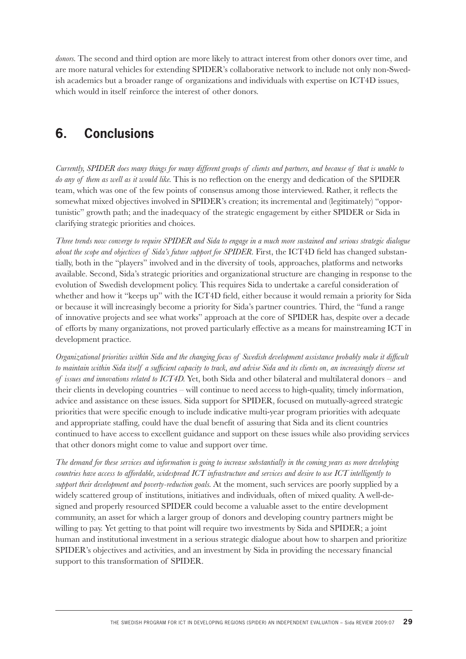*donors.* The second and third option are more likely to attract interest from other donors over time, and are more natural vehicles for extending SPIDER's collaborative network to include not only non-Swedish academics but a broader range of organizations and individuals with expertise on ICT4D issues, which would in itself reinforce the interest of other donors.

# **6. Conclusions**

*Currently, SPIDER does many things for many different groups of clients and partners, and because of that is unable to do any of them as well as it would like.* This is no reflection on the energy and dedication of the SPIDER team, which was one of the few points of consensus among those interviewed. Rather, it reflects the somewhat mixed objectives involved in SPIDER's creation; its incremental and (legitimately) "opportunistic" growth path; and the inadequacy of the strategic engagement by either SPIDER or Sida in clarifying strategic priorities and choices.

*Three trends now converge to require SPIDER and Sida to engage in a much more sustained and serious strategic dialogue about the scope and objectives of Sida's future support for SPIDER*. First, the ICT4D field has changed substantially, both in the "players" involved and in the diversity of tools, approaches, platforms and networks available. Second, Sida's strategic priorities and organizational structure are changing in response to the evolution of Swedish development policy. This requires Sida to undertake a careful consideration of whether and how it "keeps up" with the ICT4D field, either because it would remain a priority for Sida or because it will increasingly become a priority for Sida's partner countries. Third, the "fund a range of innovative projects and see what works" approach at the core of SPIDER has, despite over a decade of efforts by many organizations, not proved particularly effective as a means for mainstreaming ICT in development practice.

*Organizational priorities within Sida and the changing focus of Swedish development assistance probably make it difficult* to maintain within Sida itself a sufficient capacity to track, and advise Sida and its clients on, an increasingly diverse set *of issues and innovations related to ICT4D.* Yet, both Sida and other bilateral and multilateral donors – and their clients in developing countries – will continue to need access to high-quality, timely information, advice and assistance on these issues. Sida support for SPIDER, focused on mutually-agreed strategic priorities that were specific enough to include indicative multi-year program priorities with adequate and appropriate staffing, could have the dual benefit of assuring that Sida and its client countries continued to have access to excellent guidance and support on these issues while also providing services that other donors might come to value and support over time.

*The demand for these services and information is going to increase substantially in the coming years as more developing countries have access to affordable, widespread ICT infrastructure and services and desire to use ICT intelligently to support their development and poverty-reduction goals.* At the moment, such services are poorly supplied by a widely scattered group of institutions, initiatives and individuals, often of mixed quality. A well-designed and properly resourced SPIDER could become a valuable asset to the entire development community, an asset for which a larger group of donors and developing country partners might be willing to pay. Yet getting to that point will require two investments by Sida and SPIDER; a joint human and institutional investment in a serious strategic dialogue about how to sharpen and prioritize SPIDER's objectives and activities, and an investment by Sida in providing the necessary financial support to this transformation of SPIDER.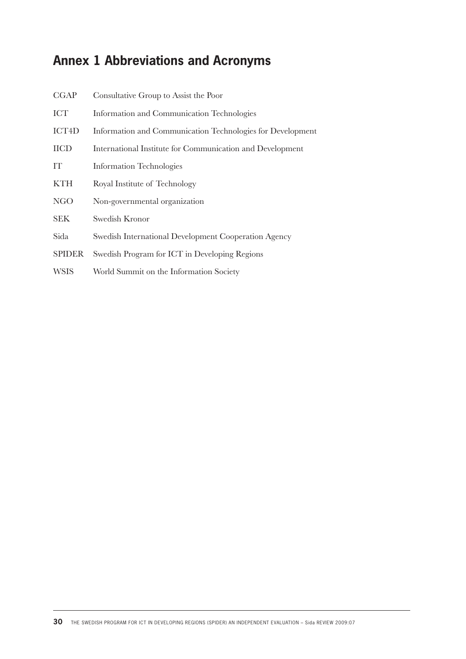# **Annex 1 Abbreviations and Acronyms**

| CGAP          | Consultative Group to Assist the Poor                      |
|---------------|------------------------------------------------------------|
| <b>ICT</b>    | Information and Communication Technologies                 |
| ICT4D         | Information and Communication Technologies for Development |
| <b>IICD</b>   | International Institute for Communication and Development  |
| IT            | <b>Information Technologies</b>                            |
| <b>KTH</b>    | Royal Institute of Technology                              |
| <b>NGO</b>    | Non-governmental organization                              |
| <b>SEK</b>    | Swedish Kronor                                             |
| Sida          | Swedish International Development Cooperation Agency       |
| <b>SPIDER</b> | Swedish Program for ICT in Developing Regions              |
| <b>WSIS</b>   | World Summit on the Information Society                    |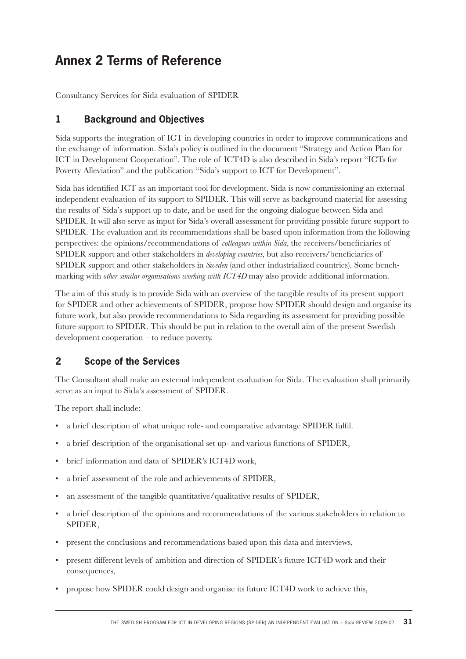# **Annex 2 Terms of Reference**

Consultancy Services for Sida evaluation of SPIDER

#### **1 Background and Objectives**

Sida supports the integration of ICT in developing countries in order to improve communications and the exchange of information. Sida's policy is outlined in the document "Strategy and Action Plan for ICT in Development Cooperation". The role of ICT4D is also described in Sida's report "ICTs for Poverty Alleviation" and the publication "Sida's support to ICT for Development".

Sida has identified ICT as an important tool for development. Sida is now commissioning an external independent evaluation of its support to SPIDER. This will serve as background material for assessing the results of Sida's support up to date, and be used for the ongoing dialogue between Sida and SPIDER. It will also serve as input for Sida's overall assessment for providing possible future support to SPIDER. The evaluation and its recommendations shall be based upon information from the following perspectives: the opinions/recommendations of *colleagues within Sida*, the receivers/beneficiaries of SPIDER support and other stakeholders in *developing countries*, but also receivers/beneficiaries of SPIDER support and other stakeholders in *Sweden* (and other industrialized countries). Some benchmarking with *other similar organisations working with ICT4D* may also provide additional information.

The aim of this study is to provide Sida with an overview of the tangible results of its present support for SPIDER and other achievements of SPIDER, propose how SPIDER should design and organise its future work, but also provide recommendations to Sida regarding its assessment for providing possible future support to SPIDER. This should be put in relation to the overall aim of the present Swedish development cooperation – to reduce poverty.

## **2 Scope of the Services**

The Consultant shall make an external independent evaluation for Sida. The evaluation shall primarily serve as an input to Sida's assessment of SPIDER.

The report shall include:

- a brief description of what unique role- and comparative advantage SPIDER fulfil.
- a brief description of the organisational set up- and various functions of SPIDER,
- brief information and data of SPIDER's ICT4D work,
- a brief assessment of the role and achievements of SPIDER,
- an assessment of the tangible quantitative/qualitative results of SPIDER,
- a brief description of the opinions and recommendations of the various stakeholders in relation to SPIDER,
- present the conclusions and recommendations based upon this data and interviews,
- present different levels of ambition and direction of SPIDER's future ICT4D work and their consequences,
- propose how SPIDER could design and organise its future ICT4D work to achieve this,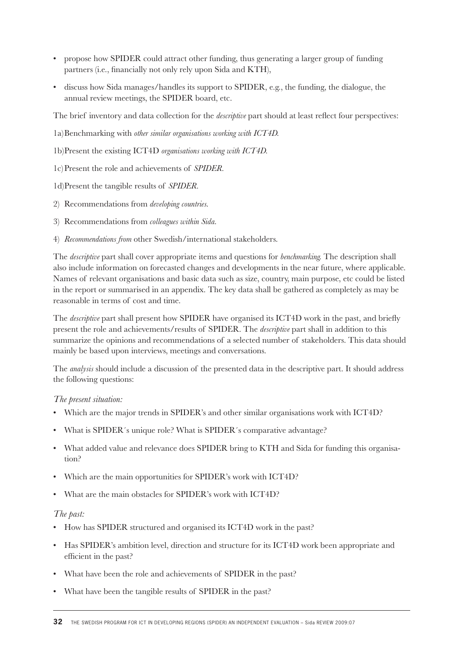- propose how SPIDER could attract other funding, thus generating a larger group of funding partners (i.e., financially not only rely upon Sida and KTH),
- discuss how Sida manages/handles its support to SPIDER, e.g., the funding, the dialogue, the annual review meetings, the SPIDER board, etc.

The brief inventory and data collection for the *descriptive* part should at least reflect four perspectives:

1a) Benchmarking with *other similar organisations working with ICT4D.*

- 1b) Present the existing ICT4D *organisations working with ICT4D.*
- 1c) Present the role and achievements of *SPIDER.*
- 1d) Present the tangible results of *SPIDER.*
- 2) Recommendations from *developing countries.*
- 3) Recommendations from *colleagues within Sida.*
- 4) *Recommendations from* other Swedish/international stakeholders.

The *descriptive* part shall cover appropriate items and questions for *benchmarking.* The description shall also include information on forecasted changes and developments in the near future, where applicable. Names of relevant organisations and basic data such as size, country, main purpose, etc could be listed in the report or summarised in an appendix. The key data shall be gathered as completely as may be reasonable in terms of cost and time.

The *descriptive* part shall present how SPIDER have organised its ICT4D work in the past, and briefly present the role and achievements/results of SPIDER. The *descriptive* part shall in addition to this summarize the opinions and recommendations of a selected number of stakeholders. This data should mainly be based upon interviews, meetings and conversations.

The *analysis* should include a discussion of the presented data in the descriptive part. It should address the following questions:

#### *The present situation:*

- Which are the major trends in SPIDER's and other similar organisations work with ICT4D?
- What is SPIDER´s unique role? What is SPIDER´s comparative advantage?
- What added value and relevance does SPIDER bring to KTH and Sida for funding this organisation?
- Which are the main opportunities for SPIDER's work with ICT4D?
- What are the main obstacles for SPIDER's work with ICT4D?

#### *The past:*

- How has SPIDER structured and organised its ICT4D work in the past?
- Has SPIDER's ambition level, direction and structure for its ICT4D work been appropriate and efficient in the past?
- What have been the role and achievements of SPIDER in the past?
- What have been the tangible results of SPIDER in the past?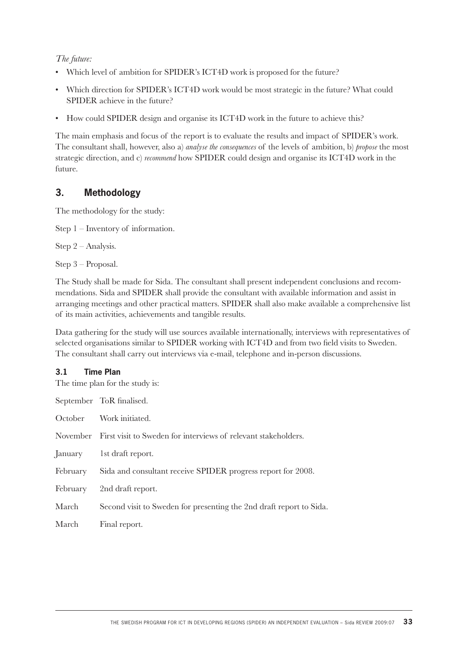### *The future:*

- Which level of ambition for SPIDER's ICT4D work is proposed for the future?
- Which direction for SPIDER's ICT4D work would be most strategic in the future? What could SPIDER achieve in the future?
- How could SPIDER design and organise its ICT4D work in the future to achieve this?

The main emphasis and focus of the report is to evaluate the results and impact of SPIDER's work. The consultant shall, however, also a) *analyse the consequences* of the levels of ambition, b) *propose* the most strategic direction, and c) *recommend* how SPIDER could design and organise its ICT4D work in the future.

# **3. Methodology**

The methodology for the study:

Step 1 – Inventory of information.

Step 2 – Analysis.

Step 3 – Proposal.

The Study shall be made for Sida. The consultant shall present independent conclusions and recommendations. Sida and SPIDER shall provide the consultant with available information and assist in arranging meetings and other practical matters. SPIDER shall also make available a comprehensive list of its main activities, achievements and tangible results.

Data gathering for the study will use sources available internationally, interviews with representatives of selected organisations similar to SPIDER working with ICT4D and from two field visits to Sweden. The consultant shall carry out interviews via e-mail, telephone and in-person discussions.

### **3.1 Time Plan**

The time plan for the study is:

|          | September ToR finalised.                                                |
|----------|-------------------------------------------------------------------------|
| October  | Work initiated.                                                         |
|          | November First visit to Sweden for interviews of relevant stakeholders. |
| January  | 1st draft report.                                                       |
| February | Sida and consultant receive SPIDER progress report for 2008.            |
| February | 2nd draft report.                                                       |
| March    | Second visit to Sweden for presenting the 2nd draft report to Sida.     |
| March    | Final report.                                                           |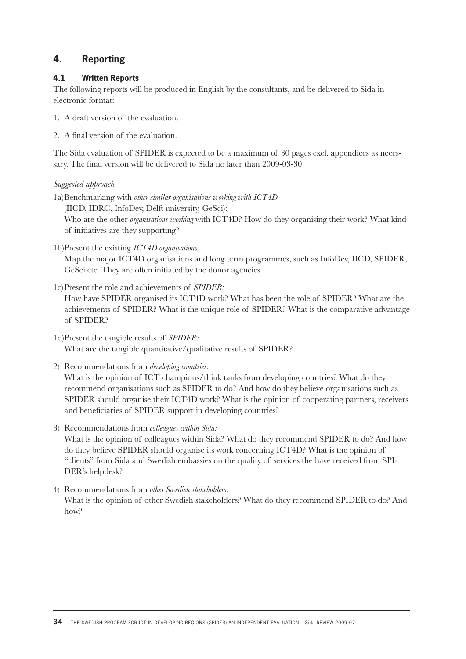## **4. Reporting**

### **4.1 Written Reports**

The following reports will be produced in English by the consultants, and be delivered to Sida in electronic format:

- 1. A draft version of the evaluation.
- 2. A final version of the evaluation.

The Sida evaluation of SPIDER is expected to be a maximum of 30 pages excl. appendices as necessary. The final version will be delivered to Sida no later than 2009-03-30.

### *Suggested approach*

- 1a) Benchmarking with *other similar organisations working with ICT4D*  (IICD, IDRC, InfoDev, Delft university, GeSci): Who are the other *organisations working* with ICT4D? How do they organising their work? What kind of initiatives are they supporting?
- 1b) Present the existing *ICT4D organisations:*

 Map the major ICT4D organisations and long term programmes, such as InfoDev, IICD, SPIDER, GeSci etc. They are often initiated by the donor agencies.

1c) Present the role and achievements of *SPIDER:*

 How have SPIDER organised its ICT4D work? What has been the role of SPIDER? What are the achievements of SPIDER? What is the unique role of SPIDER? What is the comparative advantage of SPIDER?

- 1d) Present the tangible results of *SPIDER:* What are the tangible quantitative/qualitative results of SPIDER?
- 2) Recommendations from *developing countries:*

What is the opinion of ICT champions/think tanks from developing countries? What do they recommend organisations such as SPIDER to do? And how do they believe organisations such as SPIDER should organise their ICT4D work? What is the opinion of cooperating partners, receivers and beneficiaries of SPIDER support in developing countries?

3) Recommendations from *colleagues within Sida:*

 What is the opinion of colleagues within Sida? What do they recommend SPIDER to do? And how do they believe SPIDER should organise its work concerning ICT4D? What is the opinion of "clients" from Sida and Swedish embassies on the quality of services the have received from SPI-DER's helpdesk?

4) Recommendations from *other Swedish stakeholders:* What is the opinion of other Swedish stakeholders? What do they recommend SPIDER to do? And how?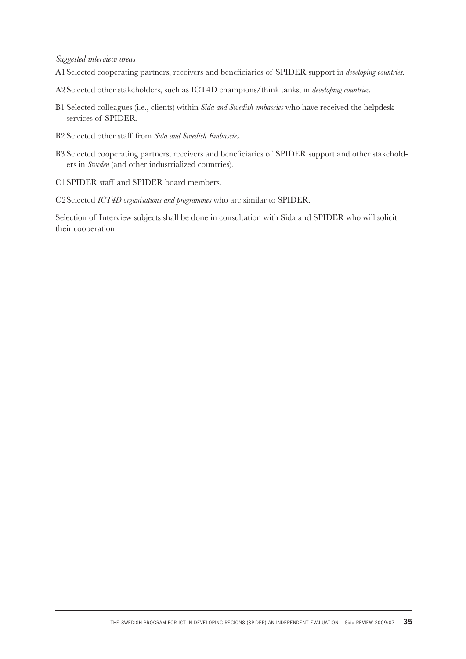### *Suggested interview areas*

- A1 Selected cooperating partners, receivers and beneficiaries of SPIDER support in *developing countries*.
- A2 Selected other stakeholders, such as ICT4D champions/think tanks, in *developing countries.*
- B1 Selected colleagues (i.e., clients) within *Sida and Swedish embassies* who have received the helpdesk services of SPIDER.
- B2 Selected other staff from *Sida and Swedish Embassies.*
- B3 Selected cooperating partners, receivers and beneficiaries of SPIDER support and other stakeholders in *Sweden* (and other industrialized countries).
- C1 SPIDER staff and SPIDER board members.

C2 Selected *ICT4D organisations and programmes* who are similar to SPIDER.

Selection of Interview subjects shall be done in consultation with Sida and SPIDER who will solicit their cooperation.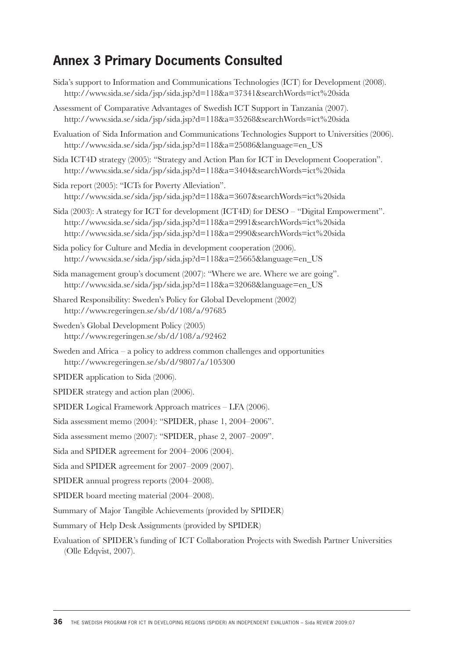# **Annex 3 Primary Documents Consulted**

| Sida's support to Information and Communications Technologies (ICT) for Development (2008).<br>http://www.sida.se/sida/jsp/sida.jsp?d=118&a=37341&searchWords=ict%20sida                                                                          |
|---------------------------------------------------------------------------------------------------------------------------------------------------------------------------------------------------------------------------------------------------|
| Assessment of Comparative Advantages of Swedish ICT Support in Tanzania (2007).<br>http://www.sida.se/sida/jsp/sida.jsp?d=118&a=35268&searchWords=ict%20sida                                                                                      |
| Evaluation of Sida Information and Communications Technologies Support to Universities (2006).<br>http://www.sida.se/sida/jsp/sida.jsp?d=118&a=25086&language=en_US                                                                               |
| Sida ICT4D strategy (2005): "Strategy and Action Plan for ICT in Development Cooperation".<br>http://www.sida.se/sida/jsp/sida.jsp?d=118&a=3404&searchWords=ict%20sida                                                                            |
| Sida report (2005): "ICTs for Poverty Alleviation".<br>http://www.sida.se/sida/jsp/sida.jsp?d=118&a=3607&searchWords=ict%20sida                                                                                                                   |
| Sida (2003): A strategy for ICT for development (ICT4D) for DESO – "Digital Empowerment".<br>http://www.sida.se/sida/jsp/sida.jsp?d=118&a=2991&searchWords=ict%20sida<br>http://www.sida.se/sida/jsp/sida.jsp?d=118&a=2990&searchWords=ict%20sida |
| Sida policy for Culture and Media in development cooperation (2006).<br>http://www.sida.se/sida/jsp/sida.jsp?d=118&a=25665&language=en_US                                                                                                         |
| Sida management group's document (2007): "Where we are. Where we are going".<br>http://www.sida.se/sida/jsp/sida.jsp?d=118&a=32068&language=en_US                                                                                                 |
| Shared Responsibility: Sweden's Policy for Global Development (2002)<br>http://www.regeringen.se/sb/d/108/a/97685                                                                                                                                 |
| Sweden's Global Development Policy (2005)<br>http://www.regeringen.se/sb/d/108/a/92462                                                                                                                                                            |
| Sweden and Africa $-$ a policy to address common challenges and opportunities<br>http://www.regeringen.se/sb/d/9807/a/105300                                                                                                                      |
| SPIDER application to Sida (2006).                                                                                                                                                                                                                |
| SPIDER strategy and action plan (2006).                                                                                                                                                                                                           |
| SPIDER Logical Framework Approach matrices – LFA (2006).                                                                                                                                                                                          |
| Sida assessment memo (2004): "SPIDER, phase 1, 2004-2006".                                                                                                                                                                                        |
| Sida assessment memo (2007): "SPIDER, phase 2, 2007-2009".                                                                                                                                                                                        |
| Sida and SPIDER agreement for 2004–2006 (2004).                                                                                                                                                                                                   |
| Sida and SPIDER agreement for 2007–2009 (2007).                                                                                                                                                                                                   |
| SPIDER annual progress reports (2004–2008).                                                                                                                                                                                                       |
| SPIDER board meeting material (2004–2008).                                                                                                                                                                                                        |
| Summary of Major Tangible Achievements (provided by SPIDER)                                                                                                                                                                                       |
| Summary of Help Desk Assignments (provided by SPIDER)                                                                                                                                                                                             |
| Evaluation of SPIDER's funding of ICT Collaboration Projects with Swedish Partner Universities<br>(Olle Edqvist, 2007).                                                                                                                           |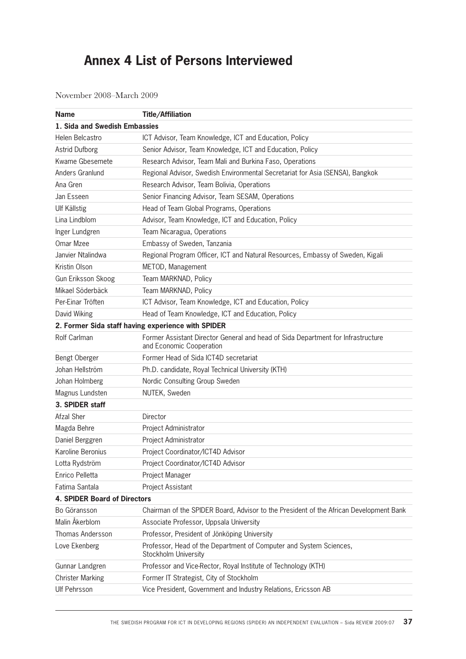# **Annex 4 List of Persons Interviewed**

November 2008–March 2009

| <b>Name</b>                         | <b>Title/Affiliation</b>                                                                                     |
|-------------------------------------|--------------------------------------------------------------------------------------------------------------|
| 1. Sida and Swedish Embassies       |                                                                                                              |
| Helen Belcastro                     | ICT Advisor, Team Knowledge, ICT and Education, Policy                                                       |
| <b>Astrid Dufborg</b>               | Senior Advisor, Team Knowledge, ICT and Education, Policy                                                    |
| Kwame Gbesemete                     | Research Advisor, Team Mali and Burkina Faso, Operations                                                     |
| Anders Granlund                     | Regional Advisor, Swedish Environmental Secretariat for Asia (SENSA), Bangkok                                |
| Ana Gren                            | Research Advisor, Team Bolivia, Operations                                                                   |
| Jan Esseen                          | Senior Financing Advisor, Team SESAM, Operations                                                             |
| <b>Ulf Källstig</b>                 | Head of Team Global Programs, Operations                                                                     |
| Lina Lindblom                       | Advisor, Team Knowledge, ICT and Education, Policy                                                           |
| Inger Lundgren                      | Team Nicaragua, Operations                                                                                   |
| Omar Mzee                           | Embassy of Sweden, Tanzania                                                                                  |
| Janvier Ntalindwa                   | Regional Program Officer, ICT and Natural Resources, Embassy of Sweden, Kigali                               |
| Kristin Olson                       | METOD, Management                                                                                            |
| Gun Eriksson Skoog                  | Team MARKNAD, Policy                                                                                         |
| Mikael Söderbäck                    | Team MARKNAD, Policy                                                                                         |
| Per-Einar Tröften                   | ICT Advisor, Team Knowledge, ICT and Education, Policy                                                       |
| David Wiking                        | Head of Team Knowledge, ICT and Education, Policy                                                            |
|                                     | 2. Former Sida staff having experience with SPIDER                                                           |
| Rolf Carlman                        | Former Assistant Director General and head of Sida Department for Infrastructure<br>and Economic Cooperation |
| Bengt Oberger                       | Former Head of Sida ICT4D secretariat                                                                        |
| Johan Hellström                     | Ph.D. candidate, Royal Technical University (KTH)                                                            |
| Johan Holmberg                      | Nordic Consulting Group Sweden                                                                               |
| Magnus Lundsten                     | NUTEK, Sweden                                                                                                |
| 3. SPIDER staff                     |                                                                                                              |
| <b>Afzal Sher</b>                   | Director                                                                                                     |
| Magda Behre                         | Project Administrator                                                                                        |
| Daniel Berggren                     | Project Administrator                                                                                        |
| Karoline Beronius                   | Project Coordinator/ICT4D Advisor                                                                            |
| Lotta Rydström                      | Project Coordinator/ICT4D Advisor                                                                            |
| Enrico Pelletta                     | Project Manager                                                                                              |
| Fatima Santala                      | Project Assistant                                                                                            |
| <b>4. SPIDER Board of Directors</b> |                                                                                                              |
| Bo Göransson                        | Chairman of the SPIDER Board, Advisor to the President of the African Development Bank                       |
| Malin Åkerblom                      | Associate Professor, Uppsala University                                                                      |
| Thomas Andersson                    | Professor, President of Jönköping University                                                                 |
| Love Ekenberg                       | Professor, Head of the Department of Computer and System Sciences,<br>Stockholm University                   |
| Gunnar Landgren                     | Professor and Vice-Rector, Royal Institute of Technology (KTH)                                               |
| <b>Christer Marking</b>             | Former IT Strategist, City of Stockholm                                                                      |
| <b>Ulf Pehrsson</b>                 | Vice President, Government and Industry Relations, Ericsson AB                                               |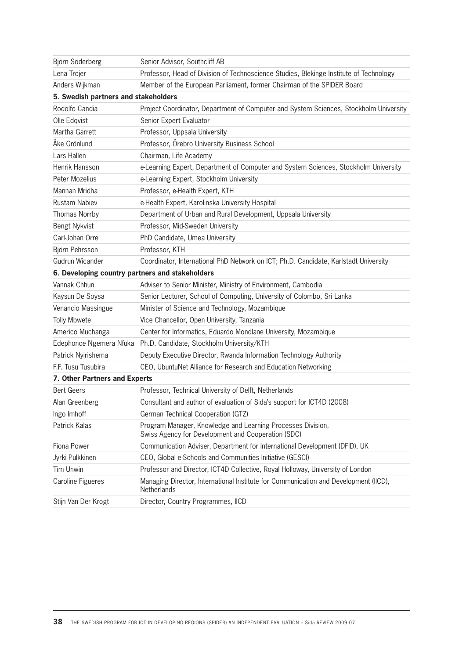| Björn Söderberg                                 | Senior Advisor, Southcliff AB                                                                                     |
|-------------------------------------------------|-------------------------------------------------------------------------------------------------------------------|
| Lena Trojer                                     | Professor, Head of Division of Technoscience Studies, Blekinge Institute of Technology                            |
| Anders Wijkman                                  | Member of the European Parliament, former Chairman of the SPIDER Board                                            |
| 5. Swedish partners and stakeholders            |                                                                                                                   |
| Rodolfo Candia                                  | Project Coordinator, Department of Computer and System Sciences, Stockholm University                             |
| Olle Edqvist                                    | Senior Expert Evaluator                                                                                           |
| Martha Garrett                                  | Professor, Uppsala University                                                                                     |
| Åke Grönlund                                    | Professor, Örebro University Business School                                                                      |
| Lars Hallen                                     | Chairman, Life Academy                                                                                            |
| Henrik Hansson                                  | e-Learning Expert, Department of Computer and System Sciences, Stockholm University                               |
| Peter Mozelius                                  | e-Learning Expert, Stockholm University                                                                           |
| Mannan Mridha                                   | Professor, e-Health Expert, KTH                                                                                   |
| <b>Rustam Nabiev</b>                            | e-Health Expert, Karolinska University Hospital                                                                   |
| <b>Thomas Norrby</b>                            | Department of Urban and Rural Development, Uppsala University                                                     |
| <b>Bengt Nykvist</b>                            | Professor, Mid-Sweden University                                                                                  |
| Carl-Johan Orre                                 | PhD Candidate, Umea University                                                                                    |
| Björn Pehrsson                                  | Professor, KTH                                                                                                    |
| Gudrun Wicander                                 | Coordinator, International PhD Network on ICT; Ph.D. Candidate, Karlstadt University                              |
| 6. Developing country partners and stakeholders |                                                                                                                   |
| Vannak Chhun                                    | Adviser to Senior Minister, Ministry of Environment, Cambodia                                                     |
| Kaysun De Soysa                                 | Senior Lecturer, School of Computing, University of Colombo, Sri Lanka                                            |
| Venancio Massingue                              | Minister of Science and Technology, Mozambique                                                                    |
| <b>Tolly Mbwete</b>                             | Vice Chancellor, Open University, Tanzania                                                                        |
| Americo Muchanga                                | Center for Informatics, Eduardo Mondlane University, Mozambique                                                   |
|                                                 | Edephonce Ngemera Nfuka Ph.D. Candidate, Stockholm University/KTH                                                 |
| Patrick Nyirishema                              | Deputy Executive Director, Rwanda Information Technology Authority                                                |
| F.F. Tusu Tusubira                              | CEO, UbuntuNet Alliance for Research and Education Networking                                                     |
| 7. Other Partners and Experts                   |                                                                                                                   |
| <b>Bert Geers</b>                               | Professor, Technical University of Delft, Netherlands                                                             |
| Alan Greenberg                                  | Consultant and author of evaluation of Sida's support for ICT4D (2008)                                            |
| Ingo Imhoff                                     | German Technical Cooperation (GTZ)                                                                                |
| Patrick Kalas                                   | Program Manager, Knowledge and Learning Processes Division,<br>Swiss Agency for Development and Cooperation (SDC) |
| Fiona Power                                     | Communication Adviser, Department for International Development (DFID), UK                                        |
| Jyrki Pulkkinen                                 | CEO, Global e-Schools and Communities Initiative (GESCI)                                                          |
| <b>Tim Unwin</b>                                | Professor and Director, ICT4D Collective, Royal Holloway, University of London                                    |
| <b>Caroline Figueres</b>                        | Managing Director, International Institute for Communication and Development (IICD),<br>Netherlands               |
| Stijn Van Der Krogt                             | Director, Country Programmes, IICD                                                                                |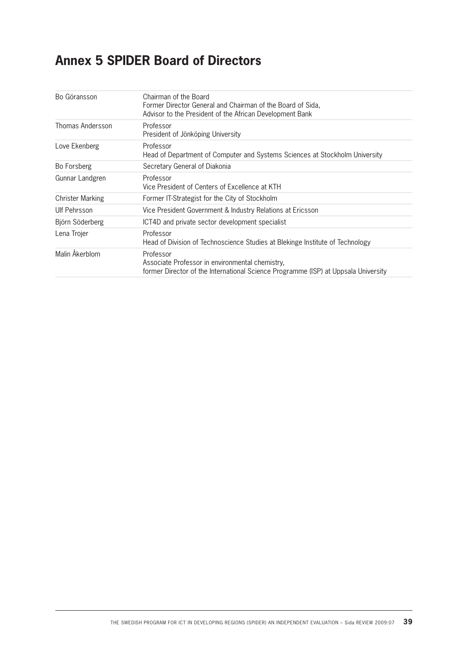# **Annex 5 SPIDER Board of Directors**

| Bo Göransson            | Chairman of the Board<br>Former Director General and Chairman of the Board of Sida,<br>Advisor to the President of the African Development Bank    |
|-------------------------|----------------------------------------------------------------------------------------------------------------------------------------------------|
| Thomas Andersson        | Professor<br>President of Jönköping University                                                                                                     |
| Love Ekenberg           | Professor<br>Head of Department of Computer and Systems Sciences at Stockholm University                                                           |
| Bo Forsberg             | Secretary General of Diakonia                                                                                                                      |
| Gunnar Landgren         | Professor<br>Vice President of Centers of Excellence at KTH                                                                                        |
| <b>Christer Marking</b> | Former IT-Strategist for the City of Stockholm                                                                                                     |
| Ulf Pehrsson            | Vice President Government & Industry Relations at Ericsson                                                                                         |
| Björn Söderberg         | ICT4D and private sector development specialist                                                                                                    |
| Lena Trojer             | Professor<br>Head of Division of Technoscience Studies at Blekinge Institute of Technology                                                         |
| Malin Akerblom          | Professor<br>Associate Professor in environmental chemistry,<br>former Director of the International Science Programme (ISP) at Uppsala University |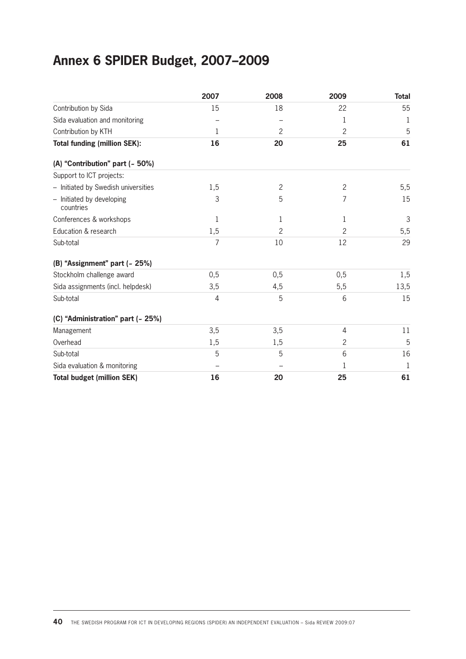# **Annex 6 SPIDER Budget, 2007–2009**

|                                        | 2007           | 2008           | 2009           | <b>Total</b> |
|----------------------------------------|----------------|----------------|----------------|--------------|
| Contribution by Sida                   | 15             | 18             | 22             | 55           |
| Sida evaluation and monitoring         |                |                | 1              | 1            |
| Contribution by KTH                    | 1              | $\overline{c}$ | 2              | 5            |
| <b>Total funding (million SEK):</b>    | 16             | 20             | 25             | 61           |
| (A) "Contribution" part (~ 50%)        |                |                |                |              |
| Support to ICT projects:               |                |                |                |              |
| - Initiated by Swedish universities    | 1,5            | $\overline{c}$ | $\overline{c}$ | 5,5          |
| - Initiated by developing<br>countries | 3              | 5              | 7              | 15           |
| Conferences & workshops                | 1              | 1              | 1              | 3            |
| Education & research                   | 1,5            | 2              | 2              | 5,5          |
| Sub-total                              | $\overline{7}$ | 10             | 12             | 29           |
| (B) "Assignment" part (~ 25%)          |                |                |                |              |
| Stockholm challenge award              | 0, 5           | 0,5            | 0,5            | 1,5          |
| Sida assignments (incl. helpdesk)      | 3,5            | 4,5            | 5,5            | 13,5         |
| Sub-total                              | $\overline{4}$ | 5              | 6              | 15           |
| (C) "Administration" part (~ 25%)      |                |                |                |              |
| Management                             | 3,5            | 3,5            | 4              | 11           |
| Overhead                               | 1,5            | 1,5            | $\overline{c}$ | 5            |
| Sub-total                              | 5              | 5              | 6              | 16           |
| Sida evaluation & monitoring           |                |                | 1              | 1            |
| <b>Total budget (million SEK)</b>      | 16             | 20             | 25             | 61           |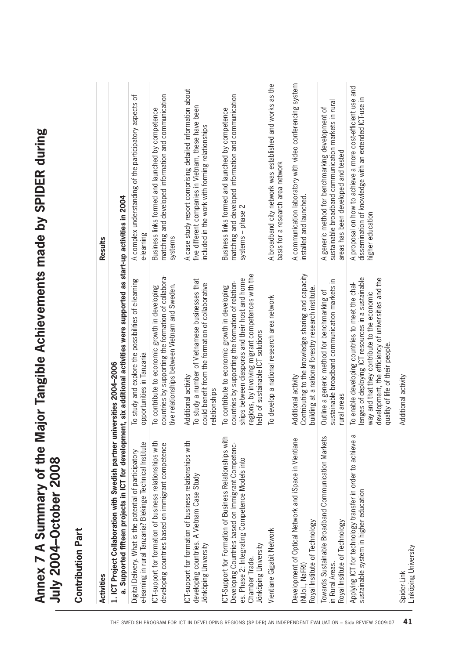| <b>Contribution Part</b>                                                                                                                                                                                    |                                                                                                                                                                                                                                                    |                                                                                                                                                                      |
|-------------------------------------------------------------------------------------------------------------------------------------------------------------------------------------------------------------|----------------------------------------------------------------------------------------------------------------------------------------------------------------------------------------------------------------------------------------------------|----------------------------------------------------------------------------------------------------------------------------------------------------------------------|
| <b>Activities</b>                                                                                                                                                                                           |                                                                                                                                                                                                                                                    | <b>Results</b>                                                                                                                                                       |
| 1. ICT Project Collaboration with Swedish partner universities 2004-2006                                                                                                                                    | a. Supported fifteen projects in ICT for development, six additional activities were supported as start-up activities in 2004                                                                                                                      |                                                                                                                                                                      |
| e-learning in rural Tanzania? Blekinge Technical Institute<br>Digital Delivery. What is the potential of participatory                                                                                      | To study and explore the possibilities of e-learning<br>opportunities in Tanzania                                                                                                                                                                  | A complex understanding of the participatory aspects of<br>e-learning                                                                                                |
| ICT-support for formation of business relationships with<br>developing countries based on immigrant competence                                                                                              | countries by supporting the formation of collabora-<br>tive relationships between Vietnam and Sweden.<br>To contribute to economic growth in developing                                                                                            | matching and developed information and communication<br>Business links formed and launched by competence<br>systems                                                  |
| ICT-support for formation of business relationships with<br>developing countries. A Vietnam Case Study<br>Jönköping University                                                                              | To study a number of Vietnamese businesses that<br>could benefit from the formation of collaborative<br>Additional activity<br>relationships                                                                                                       | A case study report comprising detailed information about<br>five different companies in Vietnam, these have been<br>included in the work with forming relationships |
| ICT-Support for Formation of Business Relationships with<br>Developing Countries based on Immigrant Competenc-<br>es. Phase 2: Integrating Competence Models into<br>Jönköping University<br>Chamber Trade. | regions, by involving migrant competences with the<br>ships between diasporas and their host and home<br>countries by supporting the formation of relation-<br>To contribute to economic growth in developing<br>help of sustainable ICT solutions | matching and developed information and communication<br>Business links formed and launched by competence<br>systems - phase 2                                        |
| Vientiane Gigabit Network                                                                                                                                                                                   | To develop a national research area network                                                                                                                                                                                                        | A broadband city network was established and works as the<br>basis for a research area network                                                                       |
| Development of Optical Network and iSpace in Vientiane<br>Royal Institute of Technology<br>(NUoL, NaFRI)                                                                                                    | Contributing to the knowledge sharing and capacity<br>building at a national forestry research institute.<br>Additional activity                                                                                                                   | A communication laboratory with video conferencing system<br>installed and launched.                                                                                 |
| Towards Sustainable Broadband Communication Markets<br>Royal Institute of Technology<br>in Rural Areas.                                                                                                     | sustainable broadband communication markets in<br>Outline a generic method for benchmarking of<br>rural areas                                                                                                                                      | sustainable broadband communication markets in rural<br>A generic method for benchmarking development of<br>areas has been developed and tested                      |
| Applying ICT for technology transfer in order to achieve a<br>sustainable system in higher education                                                                                                        | enges of deploying ICT resources in a sustainable<br>development, the efficiency of universities and the<br>To enable developing countries to meet the chal-<br>way and that they contribute to the economic<br>quality of life of their people.   | A proposal on how to achieve a more cost-efficient use and<br>dissemination of knowledge with an extended ICT-use in<br>higher education                             |
| Linköping University<br>Spider-Link                                                                                                                                                                         | Additional activity                                                                                                                                                                                                                                |                                                                                                                                                                      |

**Annex 7 A Summary of the Major Tangible Achievements made by SPIDER during** 

Annex 7 A Summary of the Major Tangible Achievements made by SPIDER during<br>July 2004–October 2008

**July 2004–October 2008**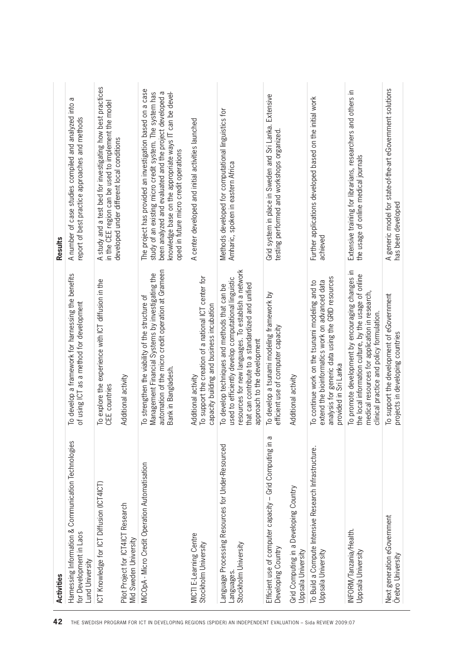| <b>Activities</b>                                                                                 |                                                                                                                                                                                                                                                  | Results                                                                                                                                                                                                                                                                               |
|---------------------------------------------------------------------------------------------------|--------------------------------------------------------------------------------------------------------------------------------------------------------------------------------------------------------------------------------------------------|---------------------------------------------------------------------------------------------------------------------------------------------------------------------------------------------------------------------------------------------------------------------------------------|
| Harnessing Information & Communication Technologies<br>for Development in Laos<br>Lund University | To develop a framework for harnessing the benefits<br>of using ICT as a method for development                                                                                                                                                   | A number of case studies compiled and analyzed into a<br>report of best practice approaches and methods                                                                                                                                                                               |
| ICT Knowledge for ICT Diffusion (ICT4ICT)                                                         | To explore the experience with ICT diffusion in the<br>CEE countries                                                                                                                                                                             | A study and a test bed for investigating how best practices<br>in the CEE region can be used to implement the model                                                                                                                                                                   |
| Pilot Project for ICT4ICT Research<br>Mid Sweden University                                       | Additional activity                                                                                                                                                                                                                              | developed under different local conditions                                                                                                                                                                                                                                            |
| MiCOpA - Micro Credit Operation Automatisation                                                    | automation of the micro credit operation at Grameen<br>Management Financial Systems by investigating the<br>To strengthen the viability of the structure of<br>Bank in Bangladesh.                                                               | The project has provided an investigation based on a case<br>knowledge base on the appropriate ways IT can be devel-<br>study of an existing micro credit system. The system has<br>been analyzed and evaluated and the project developed a<br>oped in future micro credit operations |
| MICTI E-Learning Centre<br>Stockholm University                                                   | To support the creation of a national ICT center for<br>capacity building and business incubation<br>Additional activity                                                                                                                         | A center developed and initial activities launched                                                                                                                                                                                                                                    |
| Language Processing Resources for Under-Resourced<br>Stockholm University<br>Languages.           | resources for new languages. To establish a network<br>used to efficiently develop computational linguistic<br>that can contribute to a standardized and unified<br>To develop techniques and methods that can be<br>approach to the development | Methods developed for computational linguistics for<br>Amharic, spoken in eastern Africa                                                                                                                                                                                              |
| Б<br>Efficient use of computer capacity - Grid Computing in<br>Developing Country                 | To develop a tsunami modeling framework by<br>efficient use of computer capacity                                                                                                                                                                 | Grid system in place in Sweden and Sri Lanka. Extensive<br>testing performed and workshops organized                                                                                                                                                                                  |
| Grid Computing in a Developing Country<br>Uppsala University                                      | Additional activity                                                                                                                                                                                                                              |                                                                                                                                                                                                                                                                                       |
| To Build a Compute Intensive Research Infrastructure.<br>Uppsala University                       | analysis for generic data using the GRID resources<br>extend the bioinformatics work on advanced data<br>To continue work on the tsunami modeling and to<br>provided in Sri Lanka                                                                | Further applications developed based on the initial work<br>achieved                                                                                                                                                                                                                  |
| INFORM/Tanzania/Health.<br>Uppsala University                                                     | To promote development by encouraging changes in<br>the local information culture, by the usage of online<br>medical resources for application in research<br>clinical practice and policy formulation.                                          | Extensive training for librarians, researchers and others in<br>the usage of online medical journals                                                                                                                                                                                  |
| Next generation eGovernment<br>Örebro University                                                  | To support the development of eGovernment<br>projects in developing countries                                                                                                                                                                    | A generic model for state-of-the-art eGovernment solutions<br>has been developed                                                                                                                                                                                                      |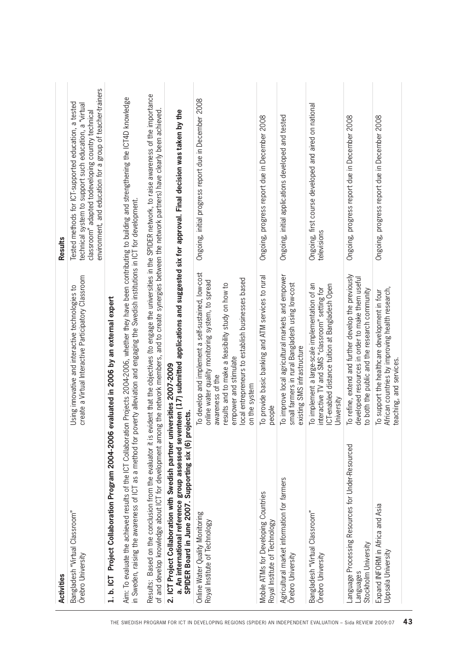| Activities                                                                                                                                                                                                                    |                                                                                                                                                                                                                                                                                                                       | Results                                                                                                                                                                                                                           |
|-------------------------------------------------------------------------------------------------------------------------------------------------------------------------------------------------------------------------------|-----------------------------------------------------------------------------------------------------------------------------------------------------------------------------------------------------------------------------------------------------------------------------------------------------------------------|-----------------------------------------------------------------------------------------------------------------------------------------------------------------------------------------------------------------------------------|
| Bangladesh "Virtual Classroom"<br>Örebro University                                                                                                                                                                           | create a Virtual Interactive Participatory Classroom<br>Using innovative and interactive technologies to                                                                                                                                                                                                              | environment, and education for a group of teacher-trainers<br>Tested methods for ICT-supported education, a tested<br>technical system to support such education, a "virtual<br>classroom" adapted todeveloping country technical |
| 1. b. ICT Project Collaboration Program 2004-2006                                                                                                                                                                             | evaluated in 2006 by an external expert                                                                                                                                                                                                                                                                               |                                                                                                                                                                                                                                   |
|                                                                                                                                                                                                                               | Aim: To evaluate the achieved results of the ICT Collaboration Projects 2004-2006, whether they have been contributing to building and strengthening the ICT4D knowledge<br>in Sweden, raising the awareness of ICT as a method for poverty alleviation and engaging the Swedish institutions in ICT for development. |                                                                                                                                                                                                                                   |
|                                                                                                                                                                                                                               | of and develop knowledge about ICT for development among the network members, and to create synergies between the network partners) have clearly been achieved                                                                                                                                                        | Results: Based on the conclusion from the evaluator it is evident that the objectives (to engage the universities in the SPIDER network, to raise awareness of the importance                                                     |
| SPIDER Board in June 2007. Supporting six (6) projects.<br>2. ICT Project Collaboration with Swedish partner un<br>THE SWEDISH PROGRAM FOR ICT IN DEVELOPING REGIONS (SPIDER) AN INDEPENDENT EVALUATION - Sida REVIEW 2009:07 | a. An international reference group assessed seventeen (17) submitted applications and suggested six for approval. Final decision was taken by the<br>iversities 2007-2009                                                                                                                                            |                                                                                                                                                                                                                                   |
| Online Water Quality Monitoring<br>Royal Institute of Technology                                                                                                                                                              | To develop and implement a self-sustained, low-cost<br>ocal entrepreneurs to establish businesses based<br>online water quality monitoring system, to spread<br>results and to make a feasibility study on how to<br>empower and stimulate<br>awareness of the<br>on the system                                       | Ongoing, initial progress report due in December 2008                                                                                                                                                                             |
| Mobile ATMs for Developing Countries<br>Royal Institute of Technology                                                                                                                                                         | To provide basic banking and ATM services to rural<br>people                                                                                                                                                                                                                                                          | Ongoing, progress report due in December 2008                                                                                                                                                                                     |
| Agricultural market information for farmers<br>Örebro University                                                                                                                                                              | To improve local agricultural markets and empower<br>small farmers in rural Bangladesh using low-cost<br>existing SMS infrastructure                                                                                                                                                                                  | Ongoing, initial applications developed and tested                                                                                                                                                                                |
| Bangladesh "Virtual Classroom"<br>Örebro University                                                                                                                                                                           | To implement a large-scale implementation of an<br>CT-enabled distance tuition at Bangladesh Open<br>interactive TV and SMS "classroom" setting for<br>University                                                                                                                                                     | Ongoing, first course developed and aired on national<br>televisions                                                                                                                                                              |
| Language Processing Resources for Under-Resourced<br>Stockholm University<br>Languages                                                                                                                                        | To refine, extend and further develop the previously<br>developed resources in order to make them useful<br>to both the public and the research community                                                                                                                                                             | Ongoing, progress report due in December 2008                                                                                                                                                                                     |
| Expand INFORM in Africa and Asia<br>Uppsala University                                                                                                                                                                        | African countries by improving health research,<br>To support the healthcare development in four<br>teaching, and services                                                                                                                                                                                            | Ongoing, progress report due in December 2008                                                                                                                                                                                     |
| 43                                                                                                                                                                                                                            |                                                                                                                                                                                                                                                                                                                       |                                                                                                                                                                                                                                   |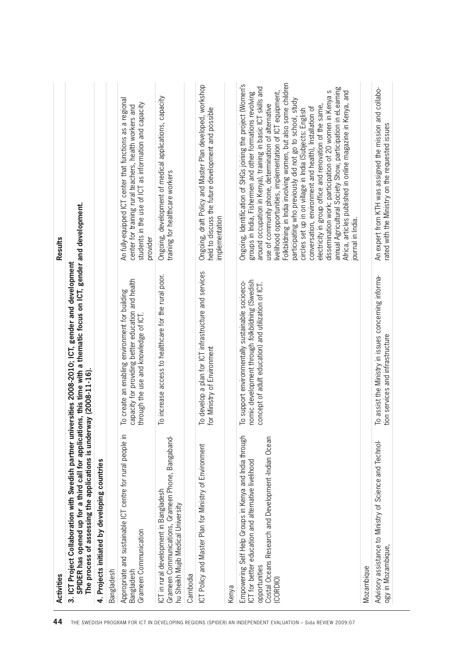| The process of assessing the applications is underway (2008-11-16).                                                                                                                               |                                                                                                                                                            | SPIDER has opened up for a third call for applications, this time with a thematic focus on ICT, gender and development.                                                                                                                                                                                                                                                                                                                                                                                                                                                                                                                                                                                                                                                                                                                        |
|---------------------------------------------------------------------------------------------------------------------------------------------------------------------------------------------------|------------------------------------------------------------------------------------------------------------------------------------------------------------|------------------------------------------------------------------------------------------------------------------------------------------------------------------------------------------------------------------------------------------------------------------------------------------------------------------------------------------------------------------------------------------------------------------------------------------------------------------------------------------------------------------------------------------------------------------------------------------------------------------------------------------------------------------------------------------------------------------------------------------------------------------------------------------------------------------------------------------------|
| 4. Projects initiated by developing countries                                                                                                                                                     |                                                                                                                                                            |                                                                                                                                                                                                                                                                                                                                                                                                                                                                                                                                                                                                                                                                                                                                                                                                                                                |
| Bangladesh                                                                                                                                                                                        |                                                                                                                                                            |                                                                                                                                                                                                                                                                                                                                                                                                                                                                                                                                                                                                                                                                                                                                                                                                                                                |
| Appropriate and sustainable ICT centre for rural people in<br>Grameen Communication<br>Bangladesh                                                                                                 | capacity for providing better education and health<br>To create an enabling environment for building<br>through the use and knowledge of ICT.              | An fully-equipped ICT center that functions as a regional<br>students in the use of ICT as information and capacity<br>center for training rural teachers, health workers and<br>provider                                                                                                                                                                                                                                                                                                                                                                                                                                                                                                                                                                                                                                                      |
| Grameen Communications, Grameen Phone, Bangaband-<br>ICT in rural development in Bangladesh<br>hu Sheikh Mujib Medical University                                                                 | To increase access to healthcare for the rural poor.                                                                                                       | Ongoing, development of medical applications, capacity<br>training for healthcare workers                                                                                                                                                                                                                                                                                                                                                                                                                                                                                                                                                                                                                                                                                                                                                      |
| Cambodia                                                                                                                                                                                          |                                                                                                                                                            |                                                                                                                                                                                                                                                                                                                                                                                                                                                                                                                                                                                                                                                                                                                                                                                                                                                |
| ICT Policy and Master Plan for Ministry of Environment<br>Kenya                                                                                                                                   | To develop a plan for ICT infrastructure and services<br>for Ministry of Environment                                                                       | Ongoing, draft Policy and Master Plan developed, workshop<br>held to discuss the future development and possible<br>implementation                                                                                                                                                                                                                                                                                                                                                                                                                                                                                                                                                                                                                                                                                                             |
|                                                                                                                                                                                                   |                                                                                                                                                            |                                                                                                                                                                                                                                                                                                                                                                                                                                                                                                                                                                                                                                                                                                                                                                                                                                                |
| Empowering Self Help Groups in Kenya and India through<br>Costal Oceans Research and Development-Indian Ocean<br>ICT for better education and alternative livelihood<br>opportunities<br>(CORDIO) | nomic development through folkbildning (Swedish<br>To support environmentally sustainable socioeco-<br>concept of adult education) and utilization of ICT. | Folkbildning in India involving women, but also some children<br>Ongoing, Identification of SHGs joining the project (Women's<br>around occupation in Kenya), training in basic ICT skills and<br>annual Agricultural Society Show, participation in eLearning<br>dissemination work: participation of 20 women in Kenya s<br>Africa, articles published in online magazine in Kenya, and<br>groups in India, Fishermen and other formations revolving<br>livelihood opportunities, implementation of ICT equipment,<br>participating who previously did not go to school, study<br>use of community phone, determination of alternative<br>electricity in group office and renovation of the same,<br>conversation, environment and health), Installation of<br>circles set up in on village in India (Subjects: English<br>journal in India. |
| Mozambique                                                                                                                                                                                        |                                                                                                                                                            |                                                                                                                                                                                                                                                                                                                                                                                                                                                                                                                                                                                                                                                                                                                                                                                                                                                |
| Advisory assistance to Ministry of Science and Technol-<br>ogy in Mozambique,                                                                                                                     | To assist the Ministry in issues concerning informa-<br>tion services and infrastructure                                                                   | An expert from KTH was assigned the mission and collabo-<br>rated with the Ministry on the requested issues                                                                                                                                                                                                                                                                                                                                                                                                                                                                                                                                                                                                                                                                                                                                    |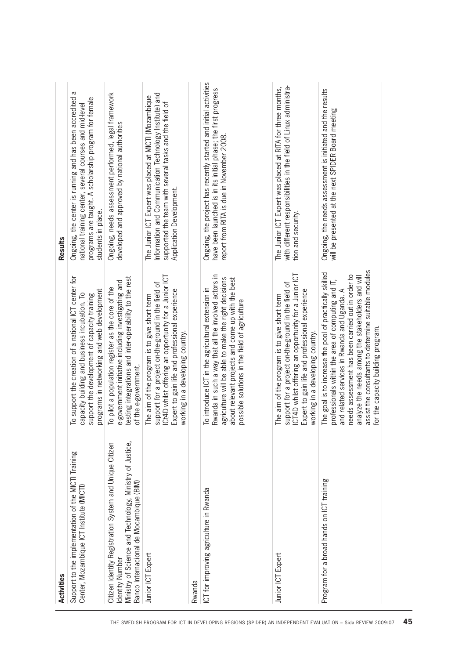| Activities                                                                                                                                                                        |                                                                                                                                                                                                                                                                                                                                                                       | Results                                                                                                                                                                                                |
|-----------------------------------------------------------------------------------------------------------------------------------------------------------------------------------|-----------------------------------------------------------------------------------------------------------------------------------------------------------------------------------------------------------------------------------------------------------------------------------------------------------------------------------------------------------------------|--------------------------------------------------------------------------------------------------------------------------------------------------------------------------------------------------------|
| Support to the implementation of the MICTI Training<br>Center, Mozambique ICT Institute (MICTI)                                                                                   | To support the creation of a national ICT center for<br>programs in networking and web development<br>capacity building and business incubation. To<br>support the development of capacity training                                                                                                                                                                   | Ongoing, the center is running and has been accredited a<br>programs are taught. A scholarship program for female<br>national training center, several courses and mid-level<br>students in place.     |
| Ministry of Science and Technology, Ministry of Justice,<br>Citizen Identity Registration System and Unique Citizen<br>Banco Internacional de Mocambique (BIM)<br>Identity Number | testing integrations and inter-operability to the rest<br>e-government initiative including investigating and<br>To pilot a population register as the core of the<br>of the e-government.                                                                                                                                                                            | Ongoing, needs assessment performed, legal framework<br>developed and approved by national authorities                                                                                                 |
| Junior ICT Expert                                                                                                                                                                 | Ct4D whilst offering an opportunity for a Junior ICT<br>support for a project on-the-ground in the field of<br>Expert to gain life and professional experience<br>The aim of the program is to give short term<br>working in a developing country.                                                                                                                    | Information and Communication Technology Institute) and<br>The Junior ICT Expert was placed at MICTI (Mozambique<br>supported the team with several tasks and the field of<br>Application Development. |
| Rwanda                                                                                                                                                                            |                                                                                                                                                                                                                                                                                                                                                                       |                                                                                                                                                                                                        |
| ICT for improving agriculture in Rwanda<br>THE SWEDISH PROGRAM FOR ICT IN DEVELOPING REGIONS (SPIDER) AN INDEPENDENT EVALUATION - Sida REVIEW 2009:07                             | Rwanda in such a way that all the involved actors in<br>agriculture will be able to make the right decisions<br>about relevant projects and come up with the best<br>To introduce ICT in the agricultural extension in<br>possible solutions in the field of agriculture                                                                                              | Ongoing, the project has recently started and initial activities<br>have been launched is in its initial phase; the first progress<br>report from RITA is due in November 2008.                        |
| Junior ICT Expert                                                                                                                                                                 | CT4D whilst offering an opportunity for a Junior ICT<br>support for a project on-the-ground in the field of<br>Expert to gain life and professional experience<br>The aim of the program is to give short term<br>working in a developing country.                                                                                                                    | with different responsibilities in the field of Linux administra-<br>The Junior ICT Expert was placed at RITA for three months,<br>tion and security.                                                  |
| Program for a broad hands on ICT training                                                                                                                                         | assist the consultants to determine suitable modules<br>The goal is to increase the pool of practically skilled<br>needs assessment has been carried out in order to<br>analyze the needs among the stakeholders and will<br>professionals within the area of computing and IT,<br>and related services in Rwanda and Uganda. A<br>for the capacity building program. | Ongoing, the needs assessment is initiated and the results<br>will be presented at the next SPIDER Board meeting                                                                                       |
| 45                                                                                                                                                                                |                                                                                                                                                                                                                                                                                                                                                                       |                                                                                                                                                                                                        |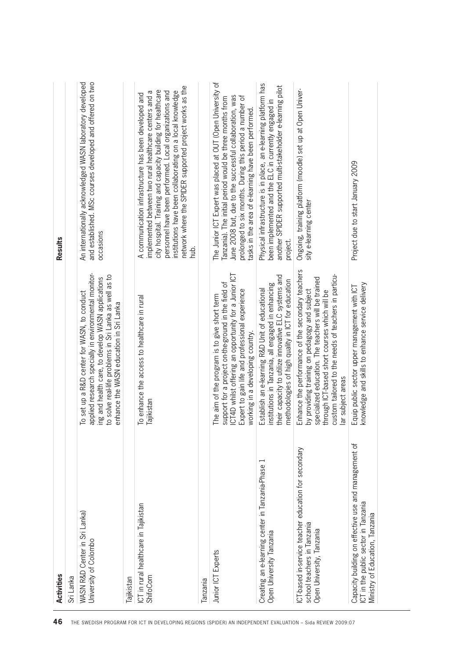| 46                                                                                                         | Activities                                                                                                                     |                                                                                                                                                                                                                                                                                        | Results                                                                                                                                                                                                                                                                                                                                                                  |
|------------------------------------------------------------------------------------------------------------|--------------------------------------------------------------------------------------------------------------------------------|----------------------------------------------------------------------------------------------------------------------------------------------------------------------------------------------------------------------------------------------------------------------------------------|--------------------------------------------------------------------------------------------------------------------------------------------------------------------------------------------------------------------------------------------------------------------------------------------------------------------------------------------------------------------------|
|                                                                                                            | Sri Lanka                                                                                                                      |                                                                                                                                                                                                                                                                                        |                                                                                                                                                                                                                                                                                                                                                                          |
|                                                                                                            | WASN R&D Center in Sri Lanka)<br>University of Colombo                                                                         | applied research specially in environmental monitor-<br>to solve real-life problems in Sri Lanka as well as to<br>ing and health care, to develop WASN applications<br>To set up a R&D center for WASN, to conduct<br>enhance the WASN education in Sri Lanka                          | and established. MSc courses developed and offered on two<br>An internationally acknowledged WASN laboratory developed<br>occasions                                                                                                                                                                                                                                      |
|                                                                                                            | Tajikistan                                                                                                                     |                                                                                                                                                                                                                                                                                        |                                                                                                                                                                                                                                                                                                                                                                          |
| THE SWEDISH PROGRAM FOR ICT IN DEVELOPING REGIONS (SPIDER) AN INDEPENDENT EVALUATION – Sida REVIEW 2009:07 | ICT in rural healthcare in Tajikistan<br>ShifoCom                                                                              | To enhance the access to healthcare in rural<br>Tajikistan                                                                                                                                                                                                                             | network where the SPIDER supported project works as the<br>city hospital. Training and capacity building for healthcare<br>institutions have been collaborating on a local knowledge<br>implemented between two rural healthcare centers and a<br>personnel have been performed. Local organizations and<br>A communication infrastructure has been developed and<br>dun |
|                                                                                                            | <b>Tanzania</b>                                                                                                                |                                                                                                                                                                                                                                                                                        |                                                                                                                                                                                                                                                                                                                                                                          |
|                                                                                                            | Junior ICT Experts                                                                                                             | ICT4D whilst offering an opportunity for a Junior ICT<br>support for a project on-the-ground in the field of<br>Expert to gain life and professional experience<br>The aim of the program is to give short term<br>working in a developing country.                                    | The Junior ICT Expert was placed at OUT (Open University of<br>June 2008 but, due to the successful collaboration, was<br>prolonged to six months. During this period a number of<br>Tanzania). The initial period would be three months from<br>tasks in the area of e-learning have been performed                                                                     |
|                                                                                                            | Creating an e-learning center in Tanzania-Phase<br>Open University Tanzania                                                    | their capacity to utilize innovative ELC systems and<br>methodologies of high quality in ICT for education<br>institutions in Tanzania, all engaged in enhancing<br>Establish an e-learning R&D Unit of educational                                                                    | Physical infrastructure is in place, an e-learning platform has<br>another SPIDER supported multi-stakeholder e-learning pilot<br>been implemented and the ELC in currently engaged in<br>project.                                                                                                                                                                       |
|                                                                                                            | ICT-based in-service teacher education for secondary<br>school teachers in Tanzania<br>Open University, Tanzania               | Enhance the performance of the secondary teachers<br>custom tailored to the needs of teachers in particu-<br>specialized education. The teachers will be trained<br>by providing training on pedagogy and subject<br>through ICT-based short courses which will be<br>ar subject areas | Ongoing, training platform (moodle) set up at Open Univer-<br>sity e-learning center                                                                                                                                                                                                                                                                                     |
|                                                                                                            | Capacity building on effective use and management of<br>CT in the public sector in Tanzania<br>Ministry of Education, Tanzania | knowledge and skills to enhance service delivery<br>Equip public sector upper management with ICT                                                                                                                                                                                      | Project due to start January 2009                                                                                                                                                                                                                                                                                                                                        |
|                                                                                                            |                                                                                                                                |                                                                                                                                                                                                                                                                                        |                                                                                                                                                                                                                                                                                                                                                                          |

 $\mathcal{L}^{\text{max}}_{\text{max}}$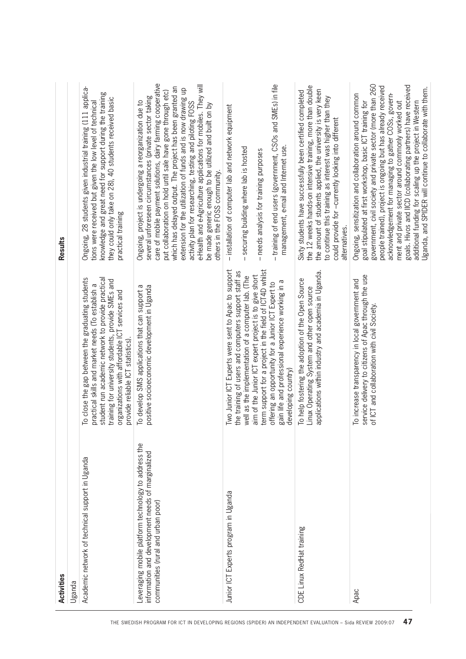| Activities                                                                                                                                                                                                                                                    |                                                                                                                                                                                                                                                                                                         | Results                                                                                                                                                                                                                                                                                                                                                                                                                                                                                                                                                                                              |
|---------------------------------------------------------------------------------------------------------------------------------------------------------------------------------------------------------------------------------------------------------------|---------------------------------------------------------------------------------------------------------------------------------------------------------------------------------------------------------------------------------------------------------------------------------------------------------|------------------------------------------------------------------------------------------------------------------------------------------------------------------------------------------------------------------------------------------------------------------------------------------------------------------------------------------------------------------------------------------------------------------------------------------------------------------------------------------------------------------------------------------------------------------------------------------------------|
| Uganda                                                                                                                                                                                                                                                        |                                                                                                                                                                                                                                                                                                         |                                                                                                                                                                                                                                                                                                                                                                                                                                                                                                                                                                                                      |
| Academic network of technical support in Uganda                                                                                                                                                                                                               | To close the gap between the graduating students<br>student run academic network to provide practical<br>training for university students, provide SMEs and<br>practical skills and market needs (To establish a<br>organizations with affordable ICT services and<br>provide reliable ICT statistics). | Ongoing, 28 students given industrial training (111 applica-<br>knowledge and great need for support during the training<br>they could only take on 28), 40 students received basic<br>tions were received but given the low level of technical<br>practical training                                                                                                                                                                                                                                                                                                                                |
| Leveraging mobile platform technology to address the<br>information and development needs of marginalized<br>communities (rural and urban poor)<br>THE SWEDISH PROGRAM FOR ICT IN DEVELOPING REGIONS (SPIDER) AN INDEPENDENT EVALUATION - Sida REVIEW 2009:07 | positive socioeconomic development in Uganda<br>To develop SMS applications that can support a                                                                                                                                                                                                          | care of mobile payment solutions, dairy farming cooperative<br>e-Health and e-Agriculture applications for mobiles. They will<br>which has delayed output. The project has been granted an<br>extension for the utilization of funds and is now drawing up<br>put collaboration on hold until sale have gone through etc)<br>several unforeseen circumstances (private sector taking<br>Ongoing, project is undergoing a reorganization due to<br>activity plan for researching, testing and piloting FOSS<br>be made generic enough to be utilized and built on by<br>others in the FOSS community. |
| Junior ICT Experts program in Uganda                                                                                                                                                                                                                          | Two Junior ICT Experts were sent to Apac to support<br>term support for a project in the field of ICT4D whilst<br>the training of users and computers support staff as<br>aim of the Junior ICT expert project is to give short<br>well as the implementation of a computer lab. (The                   | - installation of computer lab and network equipment<br>- securing building where lab is hosted<br>- needs analysis for training purposes                                                                                                                                                                                                                                                                                                                                                                                                                                                            |
|                                                                                                                                                                                                                                                               | gain life and professional experience working in a<br>offering an opportunity for a Junior ICT Expert to<br>developing country)                                                                                                                                                                         | - training of end users (government, CSOs and SMEs) in file<br>management, e-mail and Internet use.                                                                                                                                                                                                                                                                                                                                                                                                                                                                                                  |
| CDE Linux RedHat training                                                                                                                                                                                                                                     | applications within industry and academia in Uganda.<br>To help fostering the adoption of the Open Source<br>Linux Operating System and other open source                                                                                                                                               | the 12 weeks hands-on intensive training, more than double<br>the amount of students applied, the university is very keen<br>Sixty students have successfully been certified completed<br>to continue this training as interest was higher than they<br>could provide for -currently looking into different<br>alternatives.                                                                                                                                                                                                                                                                         |
| Apac<br>47                                                                                                                                                                                                                                                    | service delivery to citizens of Apac through the use<br>To increase transparency in local government and<br>of ICT and collaboration with civil Society.                                                                                                                                                | government, civil society and private sector (more than 260<br>goals. Hivos and IICD (collaborating partners) have received<br>people trained), project is ongoing but has already received<br>additional funding for scaling up the project in Western<br>Uganda, and SPIDER will continue to collaborate with them.<br>acknowledgement for managing to gather COSs, govern-<br>Ongoing, sensitization and collaboration around common<br>goal stipulated at first workshop, basic ICT training for<br>ment and private sector around commonly worked out                                           |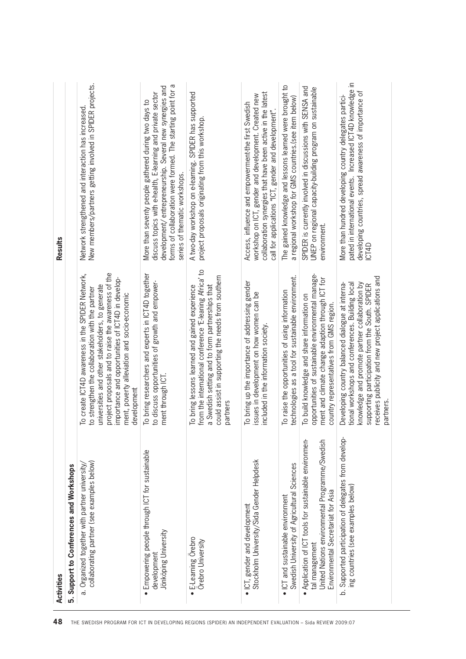| 48                                                                                                         | Activities                                                                                                                                                                  |                                                                                                                                                                                                                                                                                                                                     | Results                                                                                                                                                                                                                                                                          |
|------------------------------------------------------------------------------------------------------------|-----------------------------------------------------------------------------------------------------------------------------------------------------------------------------|-------------------------------------------------------------------------------------------------------------------------------------------------------------------------------------------------------------------------------------------------------------------------------------------------------------------------------------|----------------------------------------------------------------------------------------------------------------------------------------------------------------------------------------------------------------------------------------------------------------------------------|
|                                                                                                            | 5. Support to Conferences and Workshops                                                                                                                                     |                                                                                                                                                                                                                                                                                                                                     |                                                                                                                                                                                                                                                                                  |
| THE SWEDISH PROGRAM FOR ICT IN DEVELOPING REGIONS (SPIDER) AN INDEPENDENT EVALUATION – Sida REVIEW 2009:07 | collaborating partner (see examples below)<br>a. Organized together with partner university/                                                                                | project proposals and to raise the awareness of the<br>To create ICT4D awareness in the SPIDER Network,<br>importance and opportunities of ICT4D in develop-<br>universities and other stakeholders, to generate<br>to strengthen the collaboration with the partner<br>ment, poverty alleviation and socio-economic<br>development | New members/partners getting involved in SPIDER projects.<br>Network strengthened and interaction has increased                                                                                                                                                                  |
|                                                                                                            | Empowering people through ICT for sustainable<br>Jönköping University<br>development<br>$\bullet$                                                                           | To bring researchers and experts in ICT4D together<br>to discuss opportunities of growth and empower-<br>ment through ICT.                                                                                                                                                                                                          | forms of collaboration were formed. The starting point for a<br>development/ entrepreneurship. Several new synergies and<br>discuss topics with e-health, E-learning and private sector<br>More than seventy people gathered during two days to<br>series of thematic workshops. |
|                                                                                                            | E-Learning Orebro<br>Örebro University<br>$\bullet$                                                                                                                         | $\mathbf{S}$<br>could assist in supporting the needs from southern<br>from the international conference 'E-leaning Africa'<br>a Swedish setting and to form partnerships that<br>To bring lessons learned and gained experience<br>partners                                                                                         | A two-day workshop on e-learning. SPIDER has supported<br>project proposals originating from this workshop.                                                                                                                                                                      |
|                                                                                                            | Stockholm University/Sida Gender Helpdesk<br>• ICT, gender and development                                                                                                  | To bring up the importance of addressing gender<br>issues in development on how women can be<br>included in the information society.                                                                                                                                                                                                | collaboration synergies that have been active in the latest<br>workshop on ICT, gender and development. Created new<br>Access, influence and empowerment-the first Swedish<br>call for applications "ICT, gender and development".                                               |
|                                                                                                            | Swedish University of Agricultural Sciences<br>$\bullet$ ICT and sustainable environment                                                                                    | technologies as a tool for sustainable environment.<br>To raise the opportunities of using information                                                                                                                                                                                                                              | The gained knowledge and lessons learned were brought to<br>a regional workshop for GMS countries.(see item below)                                                                                                                                                               |
|                                                                                                            | Application of ICT tools for sustainable environmen-<br>United Nations environmental Programme/Swedish<br>Environmental Secretariat for Asia<br>tal management<br>$\bullet$ | opportunities of sustainable environmental manage-<br>ment and climate change adaption through ICT for<br>To build knowledge and share information on<br>country representatives from GMS region.                                                                                                                                   | SPIDER is currently involved in discussions with SENSA and<br>UNEP on regional capacity-building program on sustainable<br>environment.                                                                                                                                          |
|                                                                                                            | b. Supported participation of delegates from develop-<br>ing countries (see examples below)                                                                                 | eceives publicity and new project applications and<br>knowledge and promote partner collaboration by<br>tional workshops and conferences. Building local<br>Developing country balanced dialogue at interna-<br>supporting participation from the South. SPIDER<br>partners.                                                        | pated in international events. Increased ICT4D knowledge in<br>developing countries, spread awareness of importance of<br>More than hundred developing country delegates partici-<br>ICT4D                                                                                       |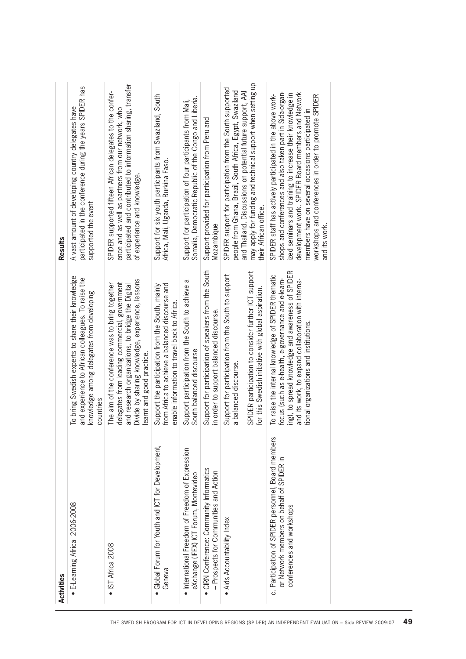| <b>Activities</b>                                                                                                             |                                                                                                                                                                                                                                                                | <b>Results</b>                                                                                                                                                                                                                                                                                                                                                         |
|-------------------------------------------------------------------------------------------------------------------------------|----------------------------------------------------------------------------------------------------------------------------------------------------------------------------------------------------------------------------------------------------------------|------------------------------------------------------------------------------------------------------------------------------------------------------------------------------------------------------------------------------------------------------------------------------------------------------------------------------------------------------------------------|
| • E-Learning Africa 2006-2008                                                                                                 | To bring Swedish experts to share their knowledge<br>and experience to African colleagues. To raise the<br>knowledge among delegates from developing<br>countries                                                                                              | participated in the conference during the years SPIDER has<br>A vast amount of developing country delegates have<br>supported the event                                                                                                                                                                                                                                |
| • IST Africa 2008                                                                                                             | Divide by sharing knowledge, experience, lessons<br>delegates from leading commercial, government<br>The aim of the conference was to bring together<br>and research organizations, to bridge the Digital<br>earnt and good practice.                          | participated and contributed to information sharing, transfer<br>SPIDER supported fifteen African delegates to the confer-<br>ence and as well as partners from our network, who<br>of experience and knowledge.                                                                                                                                                       |
| Global Forum for Youth and ICT for Development,<br>Geneva<br>$\bullet$                                                        | from Africa to achieve a balanced discourse and<br>Support the participation from the South, mainly<br>enable information to travel back to Africa.                                                                                                            | Support for six youth participants from Swaziland, South<br>Africa, Mali, Uganda, Burkina Faso.                                                                                                                                                                                                                                                                        |
| • International Freedom of Freedom of Expression<br>eXchange (IFEX) ICT Forum, Montevideo                                     | Support participation from the South to achieve a<br>South balanced discourse                                                                                                                                                                                  | Somalia, Democratic Republic of the Congo and Liberia.<br>Support for participation of four participants from Mali,                                                                                                                                                                                                                                                    |
| CIRN Conference: Community Informatics<br>- Prospects for Communities and Action<br>$\bullet$                                 | Support for participation of speakers from the South<br>in order to support balanced discourse.                                                                                                                                                                | Support provided for participation from Peru and<br>Mozambique                                                                                                                                                                                                                                                                                                         |
| • Aids Accountability Index                                                                                                   | SPIDER participation to consider further ICT support<br>Support for participation from the South to support<br>a balanced discourse.                                                                                                                           | SPIDER support for participation from the South supported<br>people from Ghana, Brazil, South Africa, Egypt, Swaziland<br>and Thailand. Discussions on potential future support, AAI                                                                                                                                                                                   |
|                                                                                                                               | for this Swedish initiative with global aspiration.                                                                                                                                                                                                            | may apply for funding and technical support when setting up<br>their African office.                                                                                                                                                                                                                                                                                   |
| c. Participation of SPIDER personnel, Board members<br>or Network members on behalf of SPIDER in<br>conferences and workshops | ing), to spread knowledge and awareness of SPIDER<br>To raise the internal knowledge of SPIDER thematic<br>focus (such as e-health, e-governance and e-learn-<br>and its work, to expand collaboration with interna-<br>tional organizations and institutions. | shops and conferences and also taken part in Sida-organ-<br>development work. SPIDER Board members and Network<br>ized seminars and training to increase their knowledge in<br>SPIDER staff has actively participated in the above work-<br>workshops and conferences in order to promote SPIDER<br>members have on several occasions participated in<br>and its work. |
|                                                                                                                               |                                                                                                                                                                                                                                                                |                                                                                                                                                                                                                                                                                                                                                                        |
|                                                                                                                               |                                                                                                                                                                                                                                                                |                                                                                                                                                                                                                                                                                                                                                                        |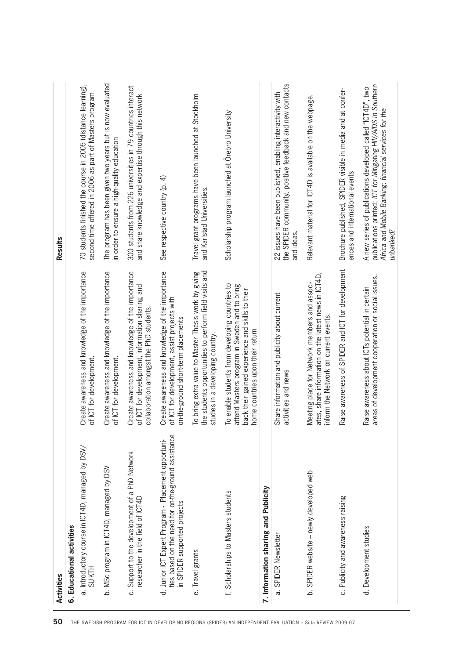| Activities                                                                                                                                 |                                                                                                                                                                                          | <b>Results</b>                                                                                                                                                                                    |
|--------------------------------------------------------------------------------------------------------------------------------------------|------------------------------------------------------------------------------------------------------------------------------------------------------------------------------------------|---------------------------------------------------------------------------------------------------------------------------------------------------------------------------------------------------|
| 6. Educational activities                                                                                                                  |                                                                                                                                                                                          |                                                                                                                                                                                                   |
| a. Introductory course in ICT4D, managed by DSV/<br><b>SUKTH</b>                                                                           | Create awareness and knowledge of the importance<br>of ICT for development.                                                                                                              | 70 students finished the course in 2005 (distance learning),<br>second time offered in 2006 as part of Masters program                                                                            |
| b. MSc program in ICT4D, managed by DSV                                                                                                    | Create awareness and knowledge of the importance<br>of ICT for development.                                                                                                              | The program has been given two years but is now evaluated<br>in order to ensure a high-quality education                                                                                          |
| c. Support to the development of a PhD Network<br>researcher in the field of ICT4D                                                         | Create awareness and knowledge of the importance<br>of ICT for development, information sharing and<br>collaboration amongst the PhD students                                            | 300 students from 226 universities in 79 countries interact<br>and share knowledge and expertise through this network                                                                             |
| ties based on the need for on-the-ground assistance<br>d. Junior ICT Expert Program - Placement opportuni-<br>in SPIDER supported projects | Create awareness and knowledge of the importance<br>of ICT for development, assist projects with<br>on-the-ground short-term placements                                                  | See respective country (p. 4)                                                                                                                                                                     |
| e. Travel grants                                                                                                                           | the students opportunities to perform field visits and<br>To bring extra value to Master Thesis work by giving<br>studies in a developing country.                                       | Travel grant programs have been launched at Stockholm<br>and Karlstad Universities.                                                                                                               |
| f. Scholarships to Masters students                                                                                                        | To enable students from developing countries to<br>attend Masters program in Sweden and to bring<br>back their gained experience and skills to their<br>home countries upon their return | Scholarship program launched at Orebro University                                                                                                                                                 |
| 7. Information sharing and Publicity                                                                                                       |                                                                                                                                                                                          |                                                                                                                                                                                                   |
| a. SPIDER Newsletter                                                                                                                       | Share information and publicity about current<br>activities and news                                                                                                                     | the SPIDER community, positive feedback and new contacts<br>22 issues have been published, enabling interactivity with<br>and ideas                                                               |
| b. SPIDER website - newly developed web                                                                                                    | ates, share information on the latest news in ICT4D,<br>Meeting place for Network members and associ-<br>inform the Network on current events.                                           | Relevant material for ICT4D is available on the webpage.                                                                                                                                          |
| c. Publicity and awareness raising                                                                                                         | Raise awareness of SPIDER and ICT for development                                                                                                                                        | Brochure published, SPIDER visible in media and at confer-<br>ences and international events                                                                                                      |
| d. Development studies                                                                                                                     | areas of development cooperation or social issues.<br>Raise awareness about ICTs potential in certain                                                                                    | publications printed: ICT for Mitigating HIV/AIDS in Southern<br>A new series of publications developed called "ICT4D", two<br>Africa and Mobile Banking: financial services for the<br>unbanked? |
|                                                                                                                                            |                                                                                                                                                                                          |                                                                                                                                                                                                   |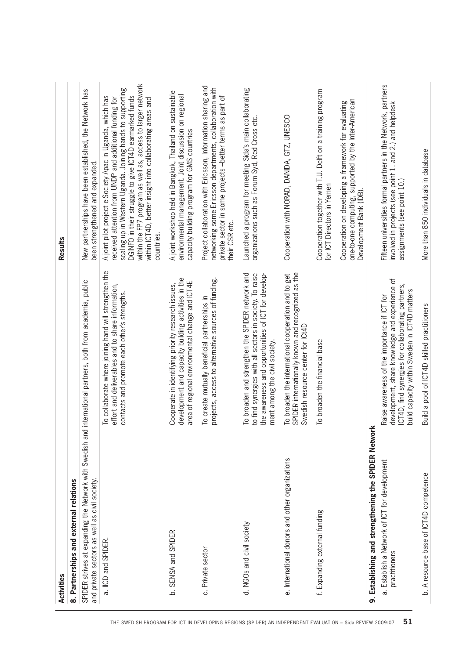|                                                                                                            | Activities                                                                                                                                                   |                                                                                                                                                                                                      | Results                                                                                                                                                                                                                                                                                                                                                                               |
|------------------------------------------------------------------------------------------------------------|--------------------------------------------------------------------------------------------------------------------------------------------------------------|------------------------------------------------------------------------------------------------------------------------------------------------------------------------------------------------------|---------------------------------------------------------------------------------------------------------------------------------------------------------------------------------------------------------------------------------------------------------------------------------------------------------------------------------------------------------------------------------------|
|                                                                                                            | 8. Partnerships and external relations                                                                                                                       |                                                                                                                                                                                                      |                                                                                                                                                                                                                                                                                                                                                                                       |
|                                                                                                            | SPIDER strives at expanding the Network with Swedish and international partners, both from academia, public<br>and private sectors as well as civil society. |                                                                                                                                                                                                      | New partnerships have been established, the Network has<br>been strengthened and expanded.                                                                                                                                                                                                                                                                                            |
| THE SWEDISH PROGRAM FOR ICT IN DEVELOPING REGIONS (SPIDER) AN INDEPENDENT EVALUATION - Sida REVIEW 2009:07 | a. IICD and SPIDER.                                                                                                                                          | To collaborate where joining hand will strengthen the<br>effort and deliverables and to share information,<br>contacts and promote each other's strengths.                                           | within the FP7 program as well as, access to larger network<br>scaling up in Western Uganda. Joining hands to supporting<br>DGINFO in their struggle to give ICT4D earmarked funds<br>A joint pilot project e-Society Apac in Uganda, which has<br>received attention from UNDP and additional funding for<br>within ICT4D, better insight into collaborating areas and<br>countries. |
|                                                                                                            | b. SENSA and SPIDER                                                                                                                                          | development and capacity building activities in the<br>area of regional environmental change and ICT4E<br>Cooperate in identifying priority research issues,                                         | A joint workshop held in Bangkok, Thailand on sustainable<br>environmental management. Joint discussion on regional<br>capacity building program for GMS countries                                                                                                                                                                                                                    |
|                                                                                                            | c. Private sector                                                                                                                                            | projects, access to alternative sources of funding.<br>To create mutually beneficial partnerships in                                                                                                 | Project collaboration with Ericsson, Information sharing and<br>networking some Ericsson departments, collaboration with<br>private sector in some projects -better terms as part of<br>their CSR etc.                                                                                                                                                                                |
|                                                                                                            | d. NGOs and civil society                                                                                                                                    | To broaden and strengthen the SPIDER network and<br>to find synergies with all sectors in society. To raise<br>the awareness and opportunities of ICT for develop-<br>ment among the civil society.  | Launched a program for meeting Sida's main collaborating<br>organizations such as Forum Syd, Red Cross etc.                                                                                                                                                                                                                                                                           |
|                                                                                                            | e. International donors and other organizations                                                                                                              | SPIDER internationally known and recognized as the<br>To broaden the international cooperation and to get<br>Swedish resource center for ICt4D                                                       | Cooperation with NORAD, DANIDA, GTZ, UNESCO                                                                                                                                                                                                                                                                                                                                           |
|                                                                                                            | f. Expanding external funding                                                                                                                                | To broaden the financial base                                                                                                                                                                        | Cooperation together with T.U. Delft on a training program<br>for ICT Directors in Yemen                                                                                                                                                                                                                                                                                              |
|                                                                                                            |                                                                                                                                                              |                                                                                                                                                                                                      | one-to-one computing, supported by the Inter-American<br>Cooperation on developing a framework for evaluating<br>Development Bank (IDB).                                                                                                                                                                                                                                              |
|                                                                                                            | 9. Establishing and strengthening the SPIDER Network                                                                                                         |                                                                                                                                                                                                      |                                                                                                                                                                                                                                                                                                                                                                                       |
| 51                                                                                                         | a. Establish a Network of ICT for development<br>practitioners                                                                                               | development, share knowledge and experience of<br>ICT4D, find synergies for collaborating partners,<br>build capacity within Sweden in ICT4D matters<br>Raise awareness of the importance if ICT for | Fifteen universities formal partners in the Network, partners<br>involved in projects (see point 1. and 2.) and helpdesk<br>assignments (see point 10.)                                                                                                                                                                                                                               |
|                                                                                                            | b. A resource base of ICT4D competence                                                                                                                       | Build a pool of ICT4D skilled practitioners                                                                                                                                                          | More than 850 individuals in database                                                                                                                                                                                                                                                                                                                                                 |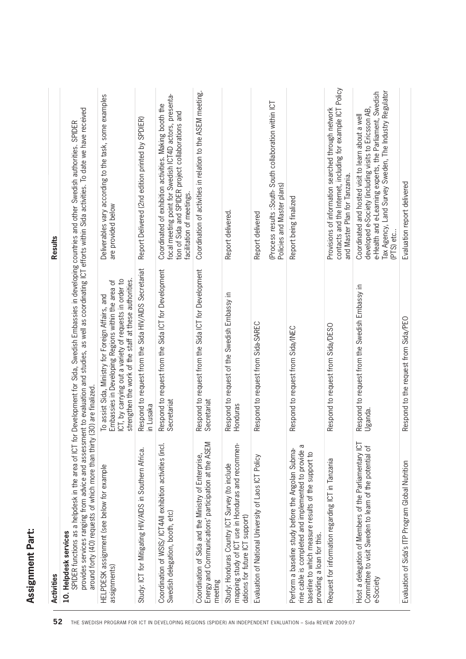| Assignment Part:      |                                                                                                                      |
|-----------------------|----------------------------------------------------------------------------------------------------------------------|
| <b>Activities</b>     | Results                                                                                                              |
| 10. Helpdesk services | SPINER functions as a belodesk in the area of ICT for Development for Sida Swedish Embassies in developing countries |

| <b>Activities</b> | <b>Helpde:</b><br>SPIDER<br>rovides<br>around<br>효<br>10. | $\omega$<br>assignments<br><b>PDESK</b><br>뫂 | ♀<br>⊢<br>Study: IC | Coordination<br>Swedish dele | Coordination<br>- -----v and (<br>and<br>meeting<br>nergy | Hond<br>stu<br>∓<br>mapping stu<br>dations for<br>Study: | ਠ<br>valuation<br>ш | ػ<br>⋝<br>≃<br>.≌<br>Б<br>$\overline{c}$<br>6<br>able<br>providing<br>baseline<br>Perform<br>ine ca<br>∼ | $\overline{\phantom{0}}$<br>ğ<br>Request |
|-------------------|-----------------------------------------------------------|----------------------------------------------|---------------------|------------------------------|-----------------------------------------------------------|----------------------------------------------------------|---------------------|----------------------------------------------------------------------------------------------------------|------------------------------------------|
|-------------------|-----------------------------------------------------------|----------------------------------------------|---------------------|------------------------------|-----------------------------------------------------------|----------------------------------------------------------|---------------------|----------------------------------------------------------------------------------------------------------|------------------------------------------|

| Activities                                                                                                                                                                                      |                                                                                                                                                                                                                                                                                                                                                          | <b>Results</b>                                                                                                                                                                                                                                  |
|-------------------------------------------------------------------------------------------------------------------------------------------------------------------------------------------------|----------------------------------------------------------------------------------------------------------------------------------------------------------------------------------------------------------------------------------------------------------------------------------------------------------------------------------------------------------|-------------------------------------------------------------------------------------------------------------------------------------------------------------------------------------------------------------------------------------------------|
| around forty (40) requests of which more than thirty (30<br>10. Helpdesk services                                                                                                               | provides services ranging from advice and assessment to evaluation and studies, as well as coordinating ICT efforts within Sida activities. To date we have received<br>SPIDER functions as a helpdesk in the area of ICT for Development for Sida, Swedish Embassies in developing countries and other Swedish authorities. SPIDER<br>)) are finalized. |                                                                                                                                                                                                                                                 |
| HELPDESK assignment (see below for example<br>assignments)                                                                                                                                      | strengthen the work of the staff at these authorities.<br>ICT, by carrying out a variety of requests in order to<br>To assist Sida, Ministry for Foreign Affairs, and<br>Embassies in Developing Regions within the area of                                                                                                                              | Deliverables vary according to the task, some examples<br>are provided below                                                                                                                                                                    |
| Study: ICT for Mitigating HIV/AIDS in Southern Africa.                                                                                                                                          | Respond to request from the Sida HIV/AIDS Secretariat<br>in Lusaka                                                                                                                                                                                                                                                                                       | Report Delivered (2nd edition printed by SPDIER)                                                                                                                                                                                                |
| Coordination of WSIS/ICT4All exhibition activities (incl.<br>Swedish delegation, booth, etc)                                                                                                    | Respond to request from the Sida ICT for Development<br>Secretariat                                                                                                                                                                                                                                                                                      | focal meeting point for Swedish ICT4D actors, presenta-<br>Coordinated of exhibition activities. Making booth the<br>tion of Sida and SPIDER project collaborations and<br>facilitation of meetings.                                            |
| Energy and Communications' participation at the ASEM<br>Coordination of Sida and the Ministry of Enterprise,<br>meeting                                                                         | Respond to request from the Sida ICT for Development<br>Secretariat                                                                                                                                                                                                                                                                                      | Coordination of activities in relation to the ASEM meeting.                                                                                                                                                                                     |
| mapping study of ICT use in Honduras and recommen-<br>Study: Honduras Country ICT Survey (to include<br>dations for future ICT support)                                                         | Respond to request of the Swedish Embassy in<br>Honduras                                                                                                                                                                                                                                                                                                 | Report delivered.                                                                                                                                                                                                                               |
| Evaluation of National University of Laos ICT Policy                                                                                                                                            | Respond to request from Sida-SAREC                                                                                                                                                                                                                                                                                                                       | Report delivered                                                                                                                                                                                                                                |
|                                                                                                                                                                                                 |                                                                                                                                                                                                                                                                                                                                                          | (Process results : South-South collaboration within ICT<br>Policies and Master plans)                                                                                                                                                           |
| rine cable is completed and implemented to provide a<br>Perform a baseline study before the Angolan Subma-<br>baseline to which measure results of the support to<br>providing a loan for this. | Respond to request from Sida/INEC                                                                                                                                                                                                                                                                                                                        | Report being finalized                                                                                                                                                                                                                          |
| Request for information regarding ICT in Tanzania                                                                                                                                               | Respond to request from Sida/DESO                                                                                                                                                                                                                                                                                                                        | contacts and the Internet, including for example ICT Policy<br>Provisions of information searched through network<br>and Master Plan for Tanzania.                                                                                              |
| Host a delegation of Members of the Parliamentary ICT<br>Committee to visit Sweden to learn of the potential of<br>e-Society                                                                    | Respond to request from the Swedish Embassy in<br>Uganda.                                                                                                                                                                                                                                                                                                | Tax Agency, Land Survey Sweden, The Industry Regulator<br>e-Health and e-Learning experts, the Parliament, Swedish<br>developed e-Society (including visits to Ericsson AB,<br>Coordinated and hosted visit to learn about a well<br>(PTS) etc. |
| Evaluation of Sida's ITP Program Global Nutrition                                                                                                                                               | Respond to the request from Sida/PEO                                                                                                                                                                                                                                                                                                                     | Evaluation report delivered                                                                                                                                                                                                                     |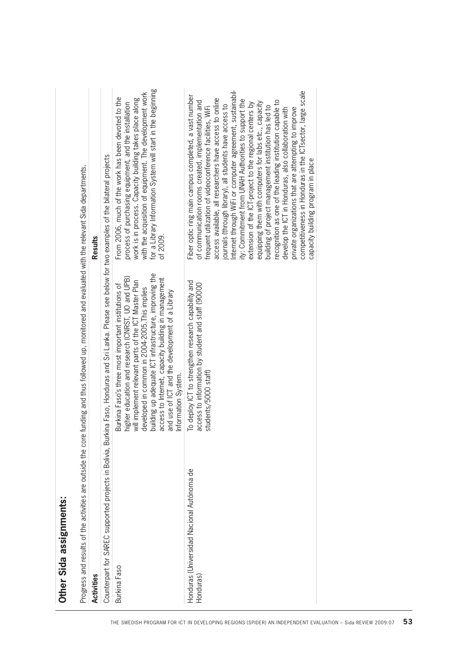| for a Library Information System will start in the beginning<br>Internet through WiFi or computer agreement, sustainabil-<br>competitiveness in Honduras in the ICTsector, large scale<br>with the acquisition of equipment. The development work<br>Fiber optic ring main campus completed, a vast number<br>From 2006, much of the work has been devoted to the<br>work is in process. Capacity building takes place along<br>access available, all researchers have access to online<br>ity: Commitment from UNAH Authorities to support the<br>recognition as one of the leading institution capable to<br>of communication rooms created, implementation and<br>equipping them with computers for labs etc., capacity<br>extension of the ICT-project to the regional centers by<br>process of purchasing equipment, and the installation<br>journals (through library), all students have access to<br>building of project management institution has led to<br>frequent utilization of videoconference facilities, WiFi<br>private organizations that are attempting to improve<br>develop the ICT in Honduras, also collaboration with<br>kina Faso, Honduras and Sri Lanka. Please see below for two examples of the bilateral projects<br>capacity building program in place<br>of 2009.<br>building up adequate ICT infrastructure, improving the<br>higher education and research (CNRST, UO and UPB)<br>access to Internet, capacity building in management<br>will implement relevant parts of the ICT Master Plan<br>To deploy ICT to strengthen research capability and<br>access to information by student and staff (90000<br>Burkina Faso's three most important institutions of<br>developed in common in 2004-2005. This implies<br>and use of ICT and the development of a Library<br>students/5000 staff)<br>nformation System.<br>Counterpart for SAREC supported projects in Bolivia, Bur<br>Honduras (Universidad Nacional Autónoma de<br>Burkina Faso<br>Honduras, | <b>Activities</b> | Results |
|-----------------------------------------------------------------------------------------------------------------------------------------------------------------------------------------------------------------------------------------------------------------------------------------------------------------------------------------------------------------------------------------------------------------------------------------------------------------------------------------------------------------------------------------------------------------------------------------------------------------------------------------------------------------------------------------------------------------------------------------------------------------------------------------------------------------------------------------------------------------------------------------------------------------------------------------------------------------------------------------------------------------------------------------------------------------------------------------------------------------------------------------------------------------------------------------------------------------------------------------------------------------------------------------------------------------------------------------------------------------------------------------------------------------------------------------------------------------------------------------------------------------------------------------------------------------------------------------------------------------------------------------------------------------------------------------------------------------------------------------------------------------------------------------------------------------------------------------------------------------------------------------------------------------------------------------------------------------------------------------------|-------------------|---------|
|                                                                                                                                                                                                                                                                                                                                                                                                                                                                                                                                                                                                                                                                                                                                                                                                                                                                                                                                                                                                                                                                                                                                                                                                                                                                                                                                                                                                                                                                                                                                                                                                                                                                                                                                                                                                                                                                                                                                                                                               |                   |         |
|                                                                                                                                                                                                                                                                                                                                                                                                                                                                                                                                                                                                                                                                                                                                                                                                                                                                                                                                                                                                                                                                                                                                                                                                                                                                                                                                                                                                                                                                                                                                                                                                                                                                                                                                                                                                                                                                                                                                                                                               |                   |         |
|                                                                                                                                                                                                                                                                                                                                                                                                                                                                                                                                                                                                                                                                                                                                                                                                                                                                                                                                                                                                                                                                                                                                                                                                                                                                                                                                                                                                                                                                                                                                                                                                                                                                                                                                                                                                                                                                                                                                                                                               |                   |         |
|                                                                                                                                                                                                                                                                                                                                                                                                                                                                                                                                                                                                                                                                                                                                                                                                                                                                                                                                                                                                                                                                                                                                                                                                                                                                                                                                                                                                                                                                                                                                                                                                                                                                                                                                                                                                                                                                                                                                                                                               |                   |         |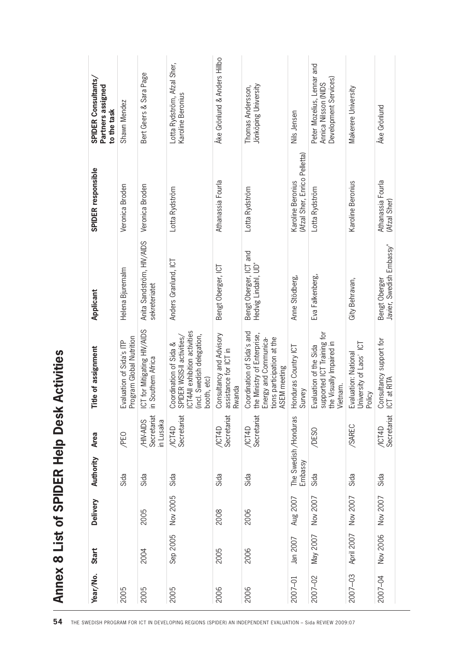|          |            |          |           | Annex 8 List of SPIDER Help Desk      | <b>Activities</b>                                                                                                                  |                                               |                                                    |                                                                             |
|----------|------------|----------|-----------|---------------------------------------|------------------------------------------------------------------------------------------------------------------------------------|-----------------------------------------------|----------------------------------------------------|-----------------------------------------------------------------------------|
| Year/No. | Start      | Delivery | Authority | Area                                  | tle of assignment<br>Ē                                                                                                             | Applicant                                     | SPIDER responsible                                 | SPIDER Consultants,<br>Partners assigned<br>to the task                     |
| 2005     |            |          | Sida      | /PEO                                  | Evaluation of Sida's ITP<br>Program Global Nutrition                                                                               | Helena Bjuremalm                              | Veronica Broden                                    | Shawn Mendez                                                                |
| 2005     | 2004       | 2005     | Sida      | Secretariat<br>/HIV-AIDS<br>in Lusaka | ICT for Mitigating HIV/AIDS<br>in Southern Africa<br>Southern Africa                                                               | Anita Sandström, HIV/AIDS<br>sekreteriatet    | Veronica Broden                                    | Bert Geers & Sara Page                                                      |
| 2005     | Sep 2005   | Nov 2005 | Sida      | /ICT4D<br>Secretariat                 | Coordination of Sida &<br>SPIDER WSIS-II activities/<br>ICT4AII exhibition activities<br>(incl. Swedish delegation,<br>booth, etc) | Anders Granlund, ICT                          | Lotta Rydström                                     | Lotta Rydström, Afzal Sher,<br>Karoline Beronius                            |
| 2006     | 2005       | 2008     | Sida      | /ICT4D<br>Secretariat                 | Consultancy and Advisory<br>assistance for ICT in<br>Rwanda                                                                        | Bengt Oberger, ICT                            | Athanassia Fourla                                  | Åke Grönlund & Anders Hillbo                                                |
| 2006     | 2006       | 2006     | Sida      | Secretariat<br>/ICI4D                 | Coordination of Sida's and<br>the Ministry of Enterprise,<br>Energy and Communica-<br>tions participation at the<br>ASEM meeting   | Bengt Oberger, ICT and<br>Hedvig Lindahl, UD" | Lotta Rydström                                     | Jönköping University<br>Thomas Andersson,                                   |
| 2007-01  | Jan 2007   | Aug 2007 | Embassy   | The Swedish /Honduras                 | Honduras Country ICT<br>Survey                                                                                                     | Anne Stödberg,                                | (Afzal Sher, Enrico Pelletta)<br>Karoline Beronius | Nils Jensen                                                                 |
| 2007-02  | May 2007   | Nov 2007 | Sida      | /DESO                                 | Evaluation of the Sida<br>supported ICT Training for<br>the Visually Impaired in<br>Vietnam.                                       | Eva Falkenberg,                               | Lotta Rydström                                     | Peter Mozelius, Lennar and<br>Development Services)<br>Annica Nilsson (NIDS |
| 2007-03  | April 2007 | Nov 2007 | Sida      | /SAREC                                | Evaluation: National<br>University of Laos' ICT<br>Policy                                                                          | Gity Behravan,                                | Karoline Beronius                                  | Makerere University                                                         |
| 2007-04  | Nov 2006   | Nov 2007 | Sida      | Secretariat<br>/ICT4D                 | Consultancy support for<br>ICT at RITA                                                                                             | Javier, Swedish Embassy"<br>Bengt Oberger     | Athanassia Fourla<br>(Afzal Sher)                  | Åke Grönlund                                                                |
|          |            |          |           |                                       |                                                                                                                                    |                                               |                                                    |                                                                             |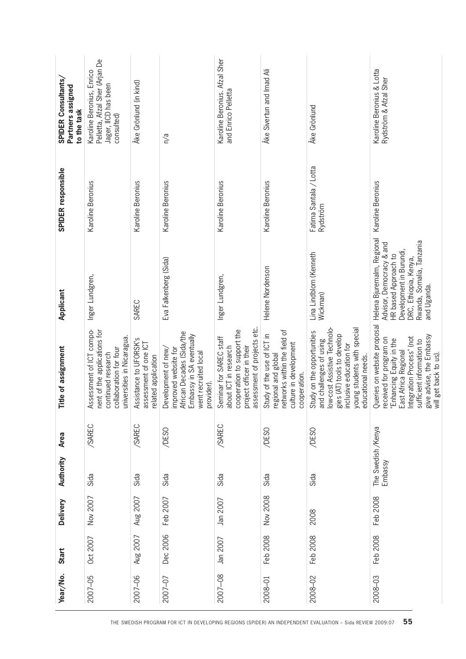|                                                                                                            | Year/No. | Start    | <b>Delivery</b> | Authority                     | Area   | Title of assignment                                                                                                                                                                                                      | Applicant                                                                                                                                                                      | SPIDER responsible                 | SPIDER Consultants,<br>Partners assigned<br>to the task                                           |
|------------------------------------------------------------------------------------------------------------|----------|----------|-----------------|-------------------------------|--------|--------------------------------------------------------------------------------------------------------------------------------------------------------------------------------------------------------------------------|--------------------------------------------------------------------------------------------------------------------------------------------------------------------------------|------------------------------------|---------------------------------------------------------------------------------------------------|
|                                                                                                            | 2007-05  | Oct 2007 | Nov 2007        | Sida                          | /SAREC | Assessment of ICT compo-<br>nent of the applications for<br>universities in Nicaragua<br>collaboration for four<br>continued research                                                                                    | Inger Lundgren,                                                                                                                                                                | Karoline Beronius                  | Pelletta, Afzal Sher (Arjan De<br>Karoline Beronius, Enrico<br>Jager, IICD has been<br>consulted) |
|                                                                                                            | 2007-06  | Aug 2007 | Aug 2007        | Sida                          | /SAREC | Assistance to UFORSK's<br>assessment of one ICT<br>related application                                                                                                                                                   | SAREC                                                                                                                                                                          | Karoline Beronius                  | Åke Grönlund (in kind)                                                                            |
|                                                                                                            | 2007-07  | Dec 2006 | Feb 2007        | Sida                          | /DESO  | African Decades (Sida/the<br>Embassy in SA eventually<br>Development of new<br>improved website for<br>went recruited local<br>provider).                                                                                | Eva Falkenberg (Sida)                                                                                                                                                          | Karoline Beronius                  | n/a                                                                                               |
|                                                                                                            | 2007-08  | Jan 2007 | Jan 2007        | Sida                          | /SAREC | assessment of projects etc.<br>cooperation to support the<br>Seminar for SAREC staff<br>about ICT in research<br>project officer in their                                                                                | Inger Lundgren,                                                                                                                                                                | Karoline Beronius                  | Karoline Beronius. Afzal Sher<br>and Enrico Pelletta                                              |
|                                                                                                            | 2008-01  | Feb 2008 | Nov 2008        | Sida                          | /DESO  | networks within the field of<br>Study of the use of ICT in<br>culture in development<br>regional and global<br>cooperation.                                                                                              | Helene Nordenson                                                                                                                                                               | Karoline Beronius                  | Åke Sivertun and Imad Ali                                                                         |
| THE SWEDISH PROGRAM FOR ICT IN DEVELOPING REGIONS (SPIDER) AN INDEPENDENT EVALUATION - Sida REVIEW 2009:07 | 2008-02  | Feb 2008 | 2008            | Sida                          | /DESO  | low-cost Assistive Technolo-<br>young students with special<br>Study on the opportunities<br>gies (AT) tools to develop<br>and challenges of using<br>inclusive education for<br>educational needs.                      | Lina Lindblom (Kenneth<br>Wickman)                                                                                                                                             | Fatima Santala / Lotta<br>Rydström | Åke Grönlund                                                                                      |
| 55                                                                                                         | 2008-03  | Feb 2008 | Feb 2008        | The Swedish /Kenya<br>Embassy |        | Queries on website proposal<br>give advise, the Embassy<br>Integration Process" (not<br>received for program on<br>Enhancing Equity in the<br>sufficient information to<br>East Africa Regional<br>will get back to us). | Helena Bjuremalm, Regional<br>Rwanda, Somalia, Tanzania<br>Advisor, Democracy & and<br>Development in Burundi,<br>HR based Approach to<br>DRC, Ethiopia, Kenya,<br>and Uganda. | Karoline Beronius                  | Karoline Beronius & Lotta<br>Rydström & Afzal Sher                                                |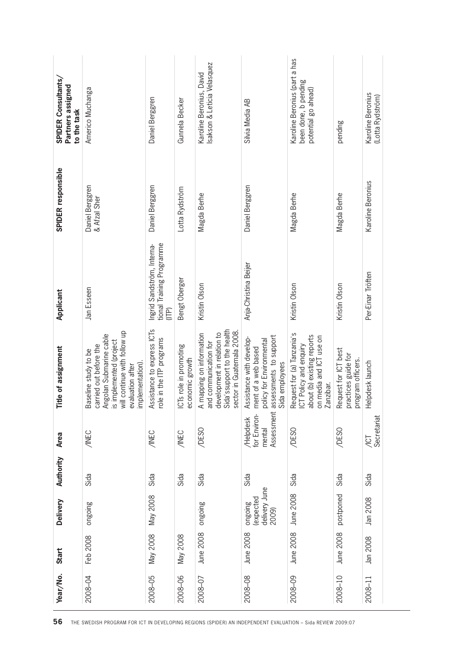| Karoline Beronius, David<br>been done, b pending<br>Americo Muchanga<br>potential go ahead)<br>Karoline Beronius<br>(Lotta Rydström)<br>Daniel Berggren<br>Gunnela Becker<br>Silvia Media AB<br>pending<br>Karoline Beronius<br>Daniel Berggren<br>Daniel Berggren<br>Daniel Berggren<br>Lotta Rydström<br>Magda Berhe<br>Magda Berhe<br>Magda Berhe<br>& Afzal Sher<br>tional Training Programme<br>Ingrid Sandström, Interna-<br>Anja-Christina Beijer<br>Per-Einar Tröften<br>Bengt Oberger<br>Kristin Olson<br>Kristin Olson<br>Kristin Olson<br>Jan Esseen<br>(ITP)<br>Assistance to express ICTs<br>Sida's support to the health<br>will continue with follow up<br>sector in Guatemala 2008<br>development in relation to<br>A mapping on information<br>Request for (a) Tanzania's<br>Angolan Submarine cable<br>about (b) existing reports<br>assessments to support<br>on media and ICT use on<br>role in the ITP programs<br>Assistance with develop-<br>policy for Environmental<br>is implemented (project<br>and communication for<br>ICT Policy and enquiry<br>carried out before the<br>ICTs role in promoting<br>ment of a web based<br>Request for ICT best<br>Baseline study to be<br>practices guide for<br>program officers.<br>economic growth<br>Helpdesk launch<br>Sida employees<br>implementation).<br>evaluation after<br>Zanzibar.<br>Assessment<br>for Environ-<br>Secretariat<br><b>Helpdesk</b><br>/DESO<br>mental<br>/DESO<br>/DESO<br><b>/INEC</b><br>/INEC<br><b>ANEC</b><br><b>UOI</b><br>Sida<br>Sida<br>Sida<br>Sida<br>Sida<br>Sida<br>Sida<br>Sida<br>delivery June<br>June 2008<br>postponed<br>May 2008<br>(expected<br>Jan 2008<br>aupauo<br>ongoing<br>aupauo<br>2009)<br>June 2008<br>June 2008<br>June 2008<br>June 2008<br>May 2008<br>May 2008<br>Feb 2008<br>Jan 2008<br>2008-04<br>2008-05<br>2008-06<br>2008-07<br>2008-08<br>2008-09<br>2008-10<br>2008-11 | Year/No. | Start | <b>Delivery</b> | Authority | Area | Title of assignment | Applicant | SPIDER responsible | SPIDER Consultants,<br>Partners assigned<br>to the task |
|---------------------------------------------------------------------------------------------------------------------------------------------------------------------------------------------------------------------------------------------------------------------------------------------------------------------------------------------------------------------------------------------------------------------------------------------------------------------------------------------------------------------------------------------------------------------------------------------------------------------------------------------------------------------------------------------------------------------------------------------------------------------------------------------------------------------------------------------------------------------------------------------------------------------------------------------------------------------------------------------------------------------------------------------------------------------------------------------------------------------------------------------------------------------------------------------------------------------------------------------------------------------------------------------------------------------------------------------------------------------------------------------------------------------------------------------------------------------------------------------------------------------------------------------------------------------------------------------------------------------------------------------------------------------------------------------------------------------------------------------------------------------------------------------------------------------------------------------------------------------------------------------------------------|----------|-------|-----------------|-----------|------|---------------------|-----------|--------------------|---------------------------------------------------------|
|                                                                                                                                                                                                                                                                                                                                                                                                                                                                                                                                                                                                                                                                                                                                                                                                                                                                                                                                                                                                                                                                                                                                                                                                                                                                                                                                                                                                                                                                                                                                                                                                                                                                                                                                                                                                                                                                                                               |          |       |                 |           |      |                     |           |                    |                                                         |
|                                                                                                                                                                                                                                                                                                                                                                                                                                                                                                                                                                                                                                                                                                                                                                                                                                                                                                                                                                                                                                                                                                                                                                                                                                                                                                                                                                                                                                                                                                                                                                                                                                                                                                                                                                                                                                                                                                               |          |       |                 |           |      |                     |           |                    |                                                         |
|                                                                                                                                                                                                                                                                                                                                                                                                                                                                                                                                                                                                                                                                                                                                                                                                                                                                                                                                                                                                                                                                                                                                                                                                                                                                                                                                                                                                                                                                                                                                                                                                                                                                                                                                                                                                                                                                                                               |          |       |                 |           |      |                     |           |                    |                                                         |
|                                                                                                                                                                                                                                                                                                                                                                                                                                                                                                                                                                                                                                                                                                                                                                                                                                                                                                                                                                                                                                                                                                                                                                                                                                                                                                                                                                                                                                                                                                                                                                                                                                                                                                                                                                                                                                                                                                               |          |       |                 |           |      |                     |           |                    | Isakson & Leticia Velasquez                             |
|                                                                                                                                                                                                                                                                                                                                                                                                                                                                                                                                                                                                                                                                                                                                                                                                                                                                                                                                                                                                                                                                                                                                                                                                                                                                                                                                                                                                                                                                                                                                                                                                                                                                                                                                                                                                                                                                                                               |          |       |                 |           |      |                     |           |                    |                                                         |
|                                                                                                                                                                                                                                                                                                                                                                                                                                                                                                                                                                                                                                                                                                                                                                                                                                                                                                                                                                                                                                                                                                                                                                                                                                                                                                                                                                                                                                                                                                                                                                                                                                                                                                                                                                                                                                                                                                               |          |       |                 |           |      |                     |           |                    | Karoline Beronius (part a has                           |
|                                                                                                                                                                                                                                                                                                                                                                                                                                                                                                                                                                                                                                                                                                                                                                                                                                                                                                                                                                                                                                                                                                                                                                                                                                                                                                                                                                                                                                                                                                                                                                                                                                                                                                                                                                                                                                                                                                               |          |       |                 |           |      |                     |           |                    |                                                         |
|                                                                                                                                                                                                                                                                                                                                                                                                                                                                                                                                                                                                                                                                                                                                                                                                                                                                                                                                                                                                                                                                                                                                                                                                                                                                                                                                                                                                                                                                                                                                                                                                                                                                                                                                                                                                                                                                                                               |          |       |                 |           |      |                     |           |                    |                                                         |

 $\overline{\phantom{a}}$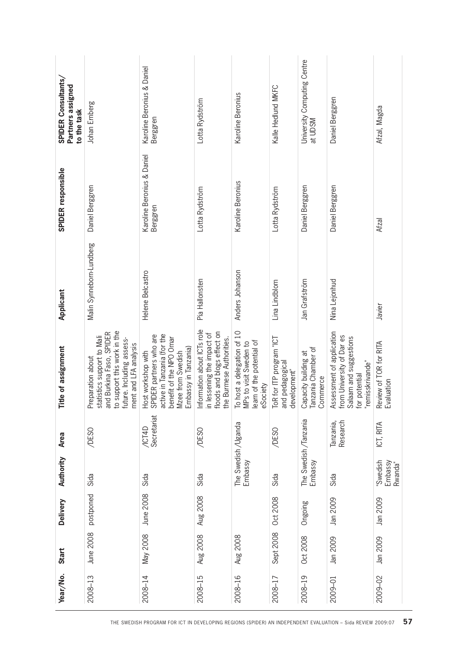| Year/No. | Start           | <b>Delivery</b> | Authority                        | Area                         | Title of assignment                                                                                                                                              | Applicant                | SPIDER responsible                     | SPIDER Consultants,<br>Partners assigned<br>to the task |
|----------|-----------------|-----------------|----------------------------------|------------------------------|------------------------------------------------------------------------------------------------------------------------------------------------------------------|--------------------------|----------------------------------------|---------------------------------------------------------|
| 2008-13  | June 2008       | postponed       | Sida                             | /DESO                        | to support this work in the<br>and Burkina Faso, SPIDER<br>statistics support to Mali<br>future. Including assess-<br>ment and LFA analysis<br>Preparation about | Malin Synneborn-Lundberg | Daniel Berggren                        | Johan Ernberg                                           |
| 2008-14  | May 2008        | June 2008       | Sida                             | Secretariat<br><b>/ICT4D</b> | active in Tanzania (for the<br>SPIDER partners who are<br>benefit of the NPO Omar<br>Embassy in Tanzania)<br>Mzee from Swedish<br>Host workshop with             | Helene Belcastro         | Karoline Beronius & Daniel<br>Berggren | Karoline Beronius & Daniel<br>Berggren                  |
| 2008-15  | Aug 2008        | Aug 2008        | Sida                             | /DESO                        | Information about ICTs role<br>floods and blogs effect on<br>in lessening the impact of<br>the Burmese Authorities.                                              | Pia Hallonsten           | Lotta Rydström                         | Lotta Rydström                                          |
| 2008-16  | <b>Aug 2008</b> |                 | The Swedish/Uganda<br>Embassy    |                              | To host a delegation of 10<br>learn of the potential of<br>MPs to visit Sweden to<br>eSociety                                                                    | Anders Johanson          | Karoline Beronius                      | Karoline Beronius                                       |
| 2008-17  | Sept 2008       | Oct 2008        | Sida                             | /DESO                        | ToR for ITP program "ICT<br>and pedagogical<br>development"                                                                                                      | Lina Lindblom            | Lotta Rydström                         | Kalle Hedlund MKFC                                      |
| 2008-19  | Oct 2008        | Ongoing         | The Swedish /Tanzania<br>Embassy |                              | Tanzania Chamber of<br>Capacity building at<br>Commerce                                                                                                          | Jan Grafström            | Daniel Berggren                        | University Computing Centre<br>at UDSM                  |
| 2009-01  | Jan 2009        | Jan 2009        | Sida                             | Research<br>Tanzania,        | Assessment of application<br>from University of Dar es<br>Salaam and suggestions<br>"remisskrivande"<br>for potential                                            | Nina Lejonhud            | Daniel Berggren                        | Daniel Berggren                                         |
| 2009-02  | Jan 2009        | Jan 2009        | 'Swedish<br>Embassy<br>Rwanda"   | ICT, RITA                    | Review of TOR for RITA<br>Evaluation                                                                                                                             | Javier                   | Afzal                                  | Afzal, Magda                                            |
|          |                 |                 |                                  |                              |                                                                                                                                                                  |                          |                                        |                                                         |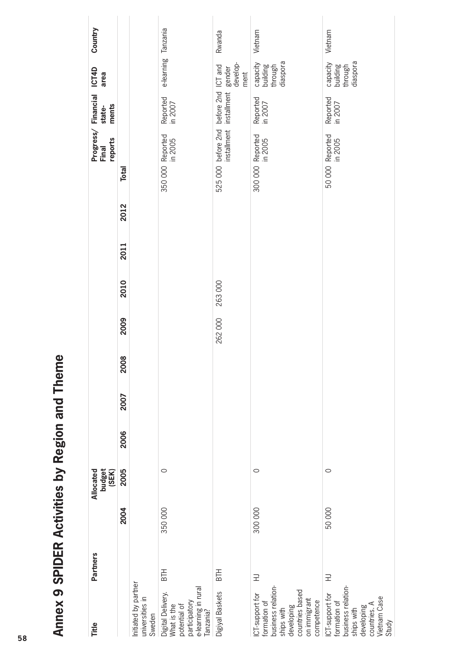| Title                                                                                                                              | <b>Partners</b> |         | budget<br>(SEK)<br>Allocated |      |      |      |        |        |      |      | Progress/<br>reports<br>Final        | <b>Financial</b><br>ments<br>state- | ICT4D<br>area                               | Country |
|------------------------------------------------------------------------------------------------------------------------------------|-----------------|---------|------------------------------|------|------|------|--------|--------|------|------|--------------------------------------|-------------------------------------|---------------------------------------------|---------|
|                                                                                                                                    |                 | 2004    | 2005                         | 2006 | 2007 | 2008 | 2009   | 2010   | 2011 | 2012 | <b>Total</b>                         |                                     |                                             |         |
| Initiated by partner<br>universities in<br>Sweden                                                                                  |                 |         |                              |      |      |      |        |        |      |      |                                      |                                     |                                             |         |
| e-learning in rural<br>Digital Delivery.<br>participatory<br>What is the<br>potential of<br>Tanzania?                              | <b>BTH</b>      | 350 000 | $\circ$                      |      |      |      |        |        |      |      | 350 000 Reported<br>in 2005          | Reported<br>in 2007                 | e-learning Tanzania                         |         |
| Digiyal Baskets                                                                                                                    | <b>BTH</b>      |         |                              |      |      |      | 262000 | 263000 |      |      | before 2nd<br>installment<br>525 000 | before 2nd<br>installment           | develop-<br>ICT and<br>gender<br>ment       | Rwanda  |
| business relation-<br>countries based<br>ICT-support for<br>on immigrant<br>competence<br>formation of<br>developing<br>ships with | 三               | 300 000 | $\circ$                      |      |      |      |        |        |      |      | 300 000 Reported<br>in 2005          | Reported<br>in 2007                 | diaspora<br>capacity<br>building<br>through | Vietnam |
| business relation-<br>ICT-support for<br>Vietnam Case<br>formation of<br>countries. A<br>developing<br>ships with<br>Study         | $\exists$       | 50 000  | $\circ$                      |      |      |      |        |        |      |      | 50 000 Reported<br>in 2005           | Reported<br>in 2007                 | diaspora<br>capacity<br>building<br>through | Vietnam |

# Annex 9 SPIDER Activities by Region and Theme **Annex 9 SPIDER Activities by Region and Theme**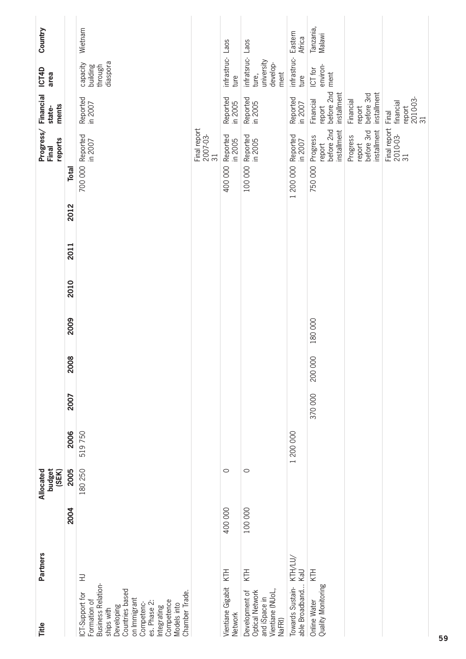| Title                                                                                                                                                                                                            | <b>Partners</b> |         | budget<br>Allocated<br>(SEK) |           |        |         |         |      |      |      | Progress/<br>reports<br>Final                              | <b>Financial</b><br>ments<br>state-              | ICT4D<br>area                                               | Country             |
|------------------------------------------------------------------------------------------------------------------------------------------------------------------------------------------------------------------|-----------------|---------|------------------------------|-----------|--------|---------|---------|------|------|------|------------------------------------------------------------|--------------------------------------------------|-------------------------------------------------------------|---------------------|
|                                                                                                                                                                                                                  |                 | 2004    | 2005                         | 2006      | 2007   | 2008    | 2009    | 2010 | 2011 | 2012 | Total                                                      |                                                  |                                                             |                     |
| Business Relation-<br>Countries based<br>Chamber Trade.<br>ICT-Support for<br>on Immigrant<br>Competence<br>Formation of<br>es. Phase 2:<br>Competenc-<br>Models into<br>Developing<br>Integrating<br>ships with | 三               |         | 180 250                      | 519750    |        |         |         |      |      |      | Reported<br>in 2007<br>700 000                             | Reported<br>in 2007                              | diaspora<br>capacity<br>building<br>through                 | Wietnam             |
|                                                                                                                                                                                                                  |                 |         |                              |           |        |         |         |      |      |      | Final report<br>2007-03-<br>31                             |                                                  |                                                             |                     |
| Vientiane Gigabit<br>Network                                                                                                                                                                                     | KTH             | 400 000 | $\circ$                      |           |        |         |         |      |      |      | Reported<br>in 2005<br>400 000                             | Reported<br>in 2005                              | infrastruc-<br>ture                                         | Laos                |
| Development of<br>Optical Network<br>Vientiane (NUoL,<br>and iSpace in<br>NaFRI)                                                                                                                                 | KTH             | 100 000 | $\circ$                      |           |        |         |         |      |      |      | Reported<br>in 2005<br>100 000                             | Reported<br>in 2005                              | infratsruc- Laos<br>university<br>develop-<br>ment<br>ture, |                     |
| able Broadband KaU<br>Towards Sustain-                                                                                                                                                                           | KTH/LU/         |         |                              | 1 200 000 |        |         |         |      |      |      | Reported<br>in 2007<br>1 200 000                           | Reported<br>in 2007                              | infrastruc-<br>ture                                         | Eastern<br>Africa   |
| Quality Monitoring<br>Online Water                                                                                                                                                                               | KTH             |         |                              |           | 370000 | 200 000 | 180 000 |      |      |      | before 2nd<br>installment<br>Progress<br>report<br>750 000 | before 2nd<br>installment<br>Financial<br>report | environ-<br>ICT for<br>ment                                 | Tanzania,<br>Malawi |
|                                                                                                                                                                                                                  |                 |         |                              |           |        |         |         |      |      |      | installment<br>before 3rd<br>Progress<br>report            | installment<br>before 3rd<br>Financial<br>report |                                                             |                     |
|                                                                                                                                                                                                                  |                 |         |                              |           |        |         |         |      |      |      | Final report<br>2010-03-<br>31                             | 2010-03-<br>31<br>financial<br>report<br>Final   |                                                             |                     |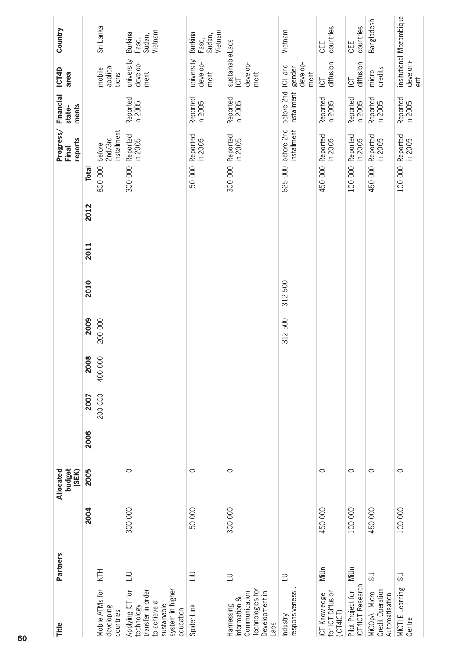| Title                                                                                                              | <b>Partners</b>         |         | budget<br>Allocated<br>(SEK) |      |         |         |         |         |      |      | Progress/<br>reports<br>Final               | Financial<br>ments<br>state- | <b>ICT4D</b><br>area                             | Country                                      |
|--------------------------------------------------------------------------------------------------------------------|-------------------------|---------|------------------------------|------|---------|---------|---------|---------|------|------|---------------------------------------------|------------------------------|--------------------------------------------------|----------------------------------------------|
|                                                                                                                    |                         | 2004    | 2005                         | 2006 | 2007    | 2008    | 2009    | 2010    | 2011 | 2012 | <b>Total</b>                                |                              |                                                  |                                              |
| Mobile ATMs for<br>developing<br>countries                                                                         | KTH                     |         |                              |      | 200 000 | 400 000 | 200 000 |         |      |      | installment<br>2nd/3rd<br>before<br>800 000 |                              | applica-<br>mobile<br>tions                      | Sri Lanka                                    |
| system in higher<br>transfer in order<br>Applying ICT for<br>to achieve a<br>sustainable<br>echnology<br>education | $\exists$               | 300 000 | $\circ$                      |      |         |         |         |         |      |      | Reported<br>in 2005<br>300 000              | Reported<br>in 2005          | university<br>develop-<br>ment                   | Vietnam<br><b>Burkina</b><br>Sudan,<br>Faso, |
| Spider-Link                                                                                                        | 吕                       | 50000   | $\circ$                      |      |         |         |         |         |      |      | Reported<br>in 2005<br>50 000               | Reported<br>in 2005          | university<br>develop-<br>ment                   | Vietnam<br><b>Burkina</b><br>Sudan,<br>Faso, |
| echnologies for<br>Development in<br>Communication<br>nformation &<br><b>Harnessing</b><br>-aos                    | $\equiv$                | 300 000 | $\circ$                      |      |         |         |         |         |      |      | Reported<br>in 2005<br>300 000              | Reported<br>in 2005          | sustainableLaos<br>develop-<br>ment<br><b>UD</b> |                                              |
| responsiveness.<br>Industry                                                                                        | $\equiv$                |         |                              |      |         |         | 312 500 | 312 500 |      |      | installment<br>before 2nd<br>625 000        | before 2nd<br>installment    | develop-<br>ICT and<br>gender<br>ment            | Vietnam                                      |
| for ICT Diffusion<br>(ICT4ICT)<br>CT Knowledge                                                                     | Milln                   | 450 000 | $\circ$                      |      |         |         |         |         |      |      | Reported<br>in 2005<br>450 000              | Reported<br>in 2005          | diffusion<br><b>UOT</b>                          | countries<br>CEE                             |
| CT4ICT Research<br>Pilot Project for                                                                               | Milh                    | 100 000 | $\circ$                      |      |         |         |         |         |      |      | Reported<br>in 2005<br>100 000              | Reported<br>in 2005          | diffusion<br><b>ICT</b>                          | countries<br>CEE                             |
| Credit Operation<br>MiCOpA - Micro<br>Automatisation                                                               | 50                      | 450 000 | $\circ$                      |      |         |         |         |         |      |      | Reported<br>in 2005<br>450 000              | Reported<br>in 2005          | credits<br>micro-                                | Bangladesh                                   |
| MICTI E-Learning<br>Centre                                                                                         | $\overline{\mathrm{S}}$ | 100 000 | $\circ$                      |      |         |         |         |         |      |      | Reported<br>in 2005<br>100 000              | Reported<br>in 2005          | develom-<br>$\overline{a}$                       | insitutional Mozambique                      |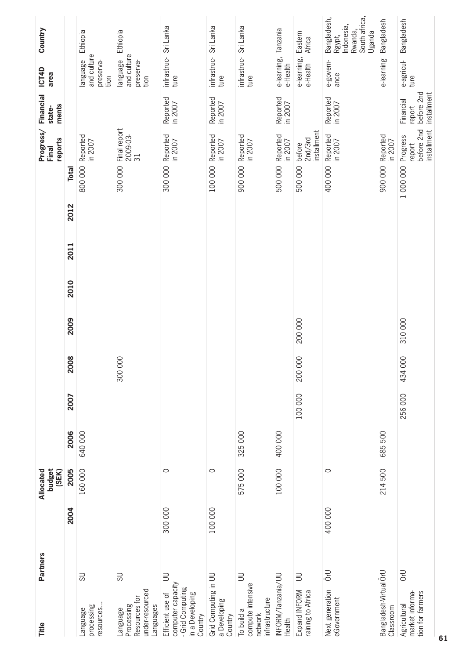| Title                                                                                   | <b>Partners</b>          |         | budget<br>(SEK)<br>Allocated |         |         |         |         |      |      |      |              | Progress/<br>reports<br>Final                   | <b>Financial</b><br>ments<br>state-              | ICT4D<br>area                                | Country                                                                   |
|-----------------------------------------------------------------------------------------|--------------------------|---------|------------------------------|---------|---------|---------|---------|------|------|------|--------------|-------------------------------------------------|--------------------------------------------------|----------------------------------------------|---------------------------------------------------------------------------|
|                                                                                         |                          | 2004    | 2005                         | 2006    | 2007    | 2008    | 2009    | 2010 | 2011 | 2012 | <b>Total</b> |                                                 |                                                  |                                              |                                                                           |
| resources<br>processing<br>Language                                                     | 5U                       |         | 160 000                      | 640000  |         |         |         |      |      |      | 800 000      | Reported<br>in 2007                             |                                                  | and culture<br>language<br>preserva-<br>tion | Ethiopia                                                                  |
| under-resourced<br>Resources for<br>Languages<br>Processing<br>Language                 | $\overline{\mathrm{SO}}$ |         |                              |         |         | 300 000 |         |      |      |      | 300 000      | Final report<br>2009-03-<br>31                  |                                                  | and culture<br>language<br>preserva-<br>tion | Ethiopia                                                                  |
| computer capacity<br>- Grid Computing<br>in a Developing<br>Efficient use of<br>Country | $\equiv$                 | 300 000 | $\circ$                      |         |         |         |         |      |      |      | 300 000      | Reported<br>in 2007                             | Reported<br>in 2007                              | infrastruc-<br>ture                          | Sri Lanka                                                                 |
| Grid Computing in UU<br>a Developing<br>Country                                         |                          | 100 000 | $\circ$                      |         |         |         |         |      |      |      | 100 000      | Reported<br>in 2007                             | Reported<br>in 2007                              | infrastruc-<br>ture                          | Sri Lanka                                                                 |
| compute intensive<br>infrastructure<br>To build a<br>network                            | $\exists$                |         | 575 000                      | 325 000 |         |         |         |      |      |      | 900 000      | Reported<br>in 2007                             |                                                  | infrastruc-<br>ture                          | Sri Lanka                                                                 |
| INFORM/Tanzania/UU<br>Health                                                            |                          |         | 100 000                      | 400 000 |         |         |         |      |      |      | 500 000      | Reported<br>in 2007                             | Reported<br>in 2007                              | e-learning,<br>e-Health                      | Tanzania                                                                  |
| Expand INFORM<br>raining to Africa                                                      | $\equiv$                 |         |                              |         | 100 000 | 200 000 | 200 000 |      |      |      | 500 000      | installment<br>2nd/3rd<br>before                |                                                  | e-learning,<br>e-Health                      | Eastern<br>Africa                                                         |
| Next generation<br>eGovernment                                                          | <b>U</b> -ö              | 400 000 | $\circ$                      |         |         |         |         |      |      |      | 400 000      | Reported<br>in 2007                             | Reported<br>in 2007                              | e-govern-<br>ance                            | South africa,<br>Bangladesh,<br>Indonesia,<br>Rwanda,<br>Uganda<br>Rgypt, |
| Bangladesh-Virtual ÖrU<br>Classroom                                                     |                          |         | 214 500                      | 685 500 |         |         |         |      |      |      | 900 000      | Reported<br>in 2007                             |                                                  | e-learning                                   | Bangladesh                                                                |
| tion for farmers<br>market informa-<br>Agricultural                                     | <b>UKO</b>               |         |                              |         | 256 000 | 434 000 | 310000  |      |      |      | 1 000 000    | before 2nd<br>installment<br>Progress<br>report | before 2nd<br>installment<br>Financial<br>report | e-agricul-<br>ture                           | Bangladesh                                                                |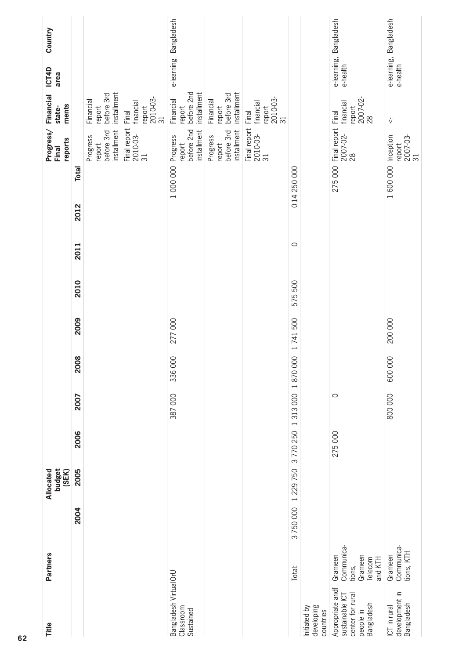| Title                                                                              | Partners                                                         |         | budget<br>(SEK)<br>Allocated |         |         |         |         |         |         |                      | Progress/<br>reports<br>Final                   | Financial<br>ments<br>state-                                | ICT4D<br>area | Country                |
|------------------------------------------------------------------------------------|------------------------------------------------------------------|---------|------------------------------|---------|---------|---------|---------|---------|---------|----------------------|-------------------------------------------------|-------------------------------------------------------------|---------------|------------------------|
|                                                                                    |                                                                  | 2004    | 2005                         | 2006    | 2007    | 2008    | 2009    | 2010    | 2011    | <b>Total</b><br>2012 |                                                 |                                                             |               |                        |
|                                                                                    |                                                                  |         |                              |         |         |         |         |         |         |                      | installment<br>before 3rd<br>Progress<br>report | installment<br>before 3rd<br>Financial<br>report            |               |                        |
|                                                                                    |                                                                  |         |                              |         |         |         |         |         |         |                      | Final report<br>2010-03-<br>31                  | 2010-03-<br>financial<br>report<br>Final<br>$\overline{31}$ |               |                        |
| Bangladesh Virtual OrU<br>Classroom<br>Sustained                                   |                                                                  |         |                              |         | 387 000 | 336 000 | 277000  |         |         | 1 000 000            | before 2nd<br>installment<br>Progress<br>report | before 2nd<br>installment<br>Financial<br>report            |               | e-learning Bangladesh  |
|                                                                                    |                                                                  |         |                              |         |         |         |         |         |         |                      | installment<br>before 3rd<br>Progress<br>report | installment<br>before 3rd<br>Financial<br>report            |               |                        |
|                                                                                    |                                                                  |         |                              |         |         |         |         |         |         |                      | Final report<br>2010-03-<br>31                  | 2010-03-<br>31<br>financial<br>report<br>Final              |               |                        |
|                                                                                    | Total:                                                           | 3750000 | 1 229 750                    | 3770250 | 1313000 | 1870000 | 1741500 | 575 500 | $\circ$ | 014 250 000          |                                                 |                                                             |               |                        |
| developing<br>Initiated by<br>countries                                            |                                                                  |         |                              |         |         |         |         |         |         |                      |                                                 |                                                             |               |                        |
| Appropriate andf<br>sustainable ICT<br>center for rural<br>people in<br>Bangladesh | Communica-<br>Grameen<br>Grameen<br>Telecom<br>and KTH<br>tions, |         |                              | 275 000 | $\circ$ |         |         |         |         | 275 000              | Final report<br>2007-02-<br>28                  | 2007-02-<br>28<br>financial<br>report<br>Final              | e-health      | e-learning, Bangladesh |
| development in<br>Bangladesh<br>ICT in rural                                       | Communica-<br>tions, KTH<br>Grameen                              |         |                              |         | 800 000 | 600000  | 200 000 |         |         |                      | 1 600 000 Inception<br>report<br>2007-03-<br>31 | V                                                           | e-health      | e-learning, Bangladesh |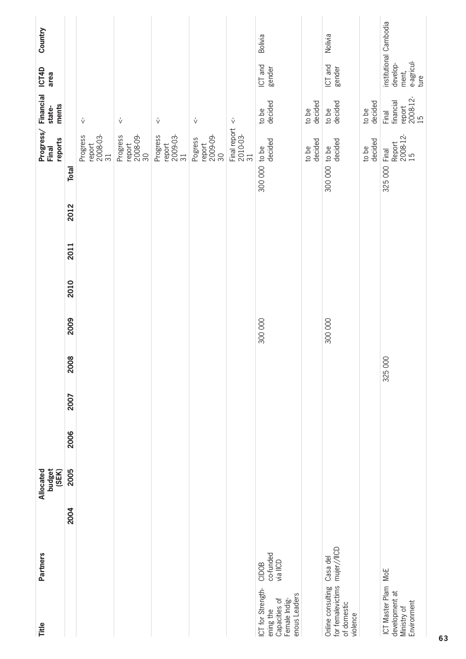| <b>Partners</b><br>Title                                                                                            |      | budget<br>(SEK)<br>Allocated |      |      |         |         |      |      |      | reports<br>Final                             | Progress/Financial<br>ments<br>state-             | ICT4D<br>area                           |                        | Country |
|---------------------------------------------------------------------------------------------------------------------|------|------------------------------|------|------|---------|---------|------|------|------|----------------------------------------------|---------------------------------------------------|-----------------------------------------|------------------------|---------|
|                                                                                                                     | 2004 | 2005                         | 2006 | 2007 | 2008    | 2009    | 2010 | 2011 | 2012 | <b>Total</b>                                 |                                                   |                                         |                        |         |
|                                                                                                                     |      |                              |      |      |         |         |      |      |      | 2008-03-<br>31<br>Progress<br>report         | $\sqrt{ }$                                        |                                         |                        |         |
|                                                                                                                     |      |                              |      |      |         |         |      |      |      | Progress<br>2008-09-<br>30<br>report         | $\sqrt{ }$                                        |                                         |                        |         |
|                                                                                                                     |      |                              |      |      |         |         |      |      |      | Progress<br>2009-03-<br>31<br>report         | $\sqrt{ }$                                        |                                         |                        |         |
|                                                                                                                     |      |                              |      |      |         |         |      |      |      | report<br>2009-09-<br>Pogress<br>30          | $\mathring{\vee}$                                 |                                         |                        |         |
|                                                                                                                     |      |                              |      |      |         |         |      |      |      |                                              | $\sqrt{ }$<br>Final report    <<br>2010-03-<br>31 |                                         |                        |         |
| co-funded<br>via IICD<br>CIDOB<br>ICT for Strength-<br>enous Leaders<br>Capacities of<br>Female Indig-<br>ening the |      |                              |      |      |         | 300 000 |      |      |      | decided<br>300 000 to be                     | decided<br>to be                                  | ICT and<br>gender                       |                        | Bolivia |
|                                                                                                                     |      |                              |      |      |         |         |      |      |      | decided<br>to be                             | decided<br>to be                                  |                                         |                        |         |
| mujer//IICD<br>Casa del<br>for femalevictims<br>Online consulting<br>of domestic<br>violence                        |      |                              |      |      |         | 300 000 |      |      |      | decided<br>300 000 to be                     | decided<br>to be                                  | ICT and<br>gender                       |                        | Nolivia |
|                                                                                                                     |      |                              |      |      |         |         |      |      |      | decided<br>to be                             | decided<br>to be                                  |                                         |                        |         |
| MoE<br>ICT Master Plam<br>development at<br>Environment<br>Ministry of                                              |      |                              |      |      | 325 000 |         |      |      |      | 2008-12-<br>15<br>Report<br>Final<br>325 000 | report<br>2008-12-<br>15<br>financial<br>Final    | e-agricul-<br>ture<br>develop-<br>ment, | institutional Cambodia |         |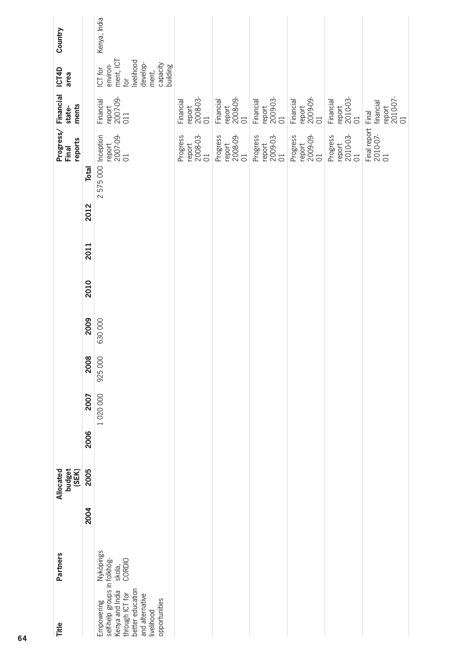| Country                                |              | Kenya, India                                                                                                                                           |                                       |                                       |                                       |                                       |                                       |                                                |
|----------------------------------------|--------------|--------------------------------------------------------------------------------------------------------------------------------------------------------|---------------------------------------|---------------------------------------|---------------------------------------|---------------------------------------|---------------------------------------|------------------------------------------------|
| ICT4D<br>area                          |              | ment, ICT<br>for<br>livelihood<br>develop-<br>capacity<br>building<br>environ-<br>ICT for<br>ment,                                                     |                                       |                                       |                                       |                                       |                                       |                                                |
| ments<br>state-                        |              | report<br>2007-09-<br>011<br>Financial                                                                                                                 | report<br>2008-03-<br>01<br>Financial | report<br>2008-09-<br>01<br>Financial | Financial<br>report<br>2009-03-<br>01 | report<br>2009-09-<br>01<br>Financial | report<br>2010-03-<br>01<br>Financial | report<br>2010-07-<br>01<br>financial<br>Final |
| Progress/Financial<br>reports<br>Final |              | report<br>2007-09-<br>01                                                                                                                               | report<br>2008-03-<br>01<br>Progress  | report<br>2008-09-<br>01<br>Progress  | report<br>2009-03-<br>01<br>Progress  | report<br>2009-09-<br>01<br>Progress  | 2010-03-<br>01<br>Progress<br>report  | Final report 1<br>2010-07-<br>01               |
|                                        | <b>Total</b> | 2 575 000 Inception                                                                                                                                    |                                       |                                       |                                       |                                       |                                       |                                                |
|                                        | 2012         |                                                                                                                                                        |                                       |                                       |                                       |                                       |                                       |                                                |
|                                        | 2011         |                                                                                                                                                        |                                       |                                       |                                       |                                       |                                       |                                                |
|                                        | 2010         |                                                                                                                                                        |                                       |                                       |                                       |                                       |                                       |                                                |
|                                        | 2009         | 630 000                                                                                                                                                |                                       |                                       |                                       |                                       |                                       |                                                |
|                                        | 2008         | 925000                                                                                                                                                 |                                       |                                       |                                       |                                       |                                       |                                                |
|                                        | 2007         | 1020000                                                                                                                                                |                                       |                                       |                                       |                                       |                                       |                                                |
|                                        | 2006         |                                                                                                                                                        |                                       |                                       |                                       |                                       |                                       |                                                |
| budget<br>(SEK)<br>Allocated           | 2005         |                                                                                                                                                        |                                       |                                       |                                       |                                       |                                       |                                                |
|                                        | 2004         |                                                                                                                                                        |                                       |                                       |                                       |                                       |                                       |                                                |
| <b>Partners</b>                        |              | Nyköpings<br>skola,<br>CORDIO                                                                                                                          |                                       |                                       |                                       |                                       |                                       |                                                |
| Title                                  |              | self-help groups in folkhög-<br>better education<br>Kenya and India<br>through ICT for<br>and alternative<br>opportunities<br>Empowering<br>livelihood |                                       |                                       |                                       |                                       |                                       |                                                |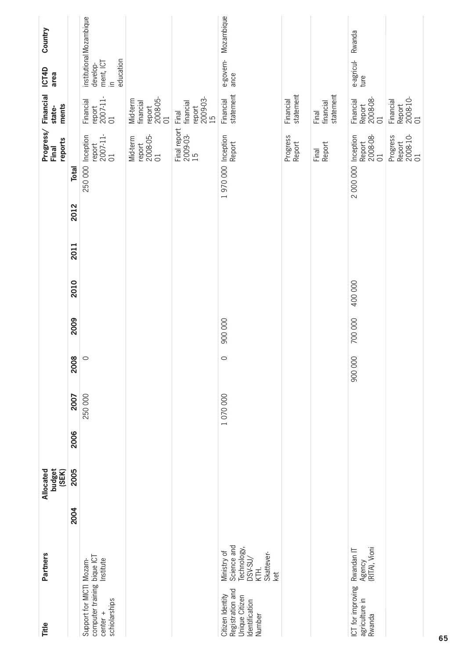| Title                                                                                  | <b>Partners</b>                                                                   |      | budget<br>(SEK)<br>Allocated |      |         |         |         |         |      |      |                   | Progress/Financial<br>reports<br>Final            | ments<br>state-                                             | <b>ICT4D</b><br>area                           | Country                  |
|----------------------------------------------------------------------------------------|-----------------------------------------------------------------------------------|------|------------------------------|------|---------|---------|---------|---------|------|------|-------------------|---------------------------------------------------|-------------------------------------------------------------|------------------------------------------------|--------------------------|
|                                                                                        |                                                                                   | 2004 | 2005                         | 2006 | 2007    | 2008    | 2009    | 2010    | 2011 | 2012 | Total             |                                                   |                                                             |                                                |                          |
| computer training bique ICT<br>Support for MICTI Mozam-<br>schiolarships<br>$center +$ | Institute                                                                         |      |                              |      | 250 000 | $\circ$ |         |         |      |      | 250 000           | $\frac{2007-11}{01}$<br>Inception<br>report       | 2007-11-<br>01<br>Financial<br>report                       | education<br>ment, ICT<br>develop-<br>$\equiv$ | institutional Mozambique |
|                                                                                        |                                                                                   |      |                              |      |         |         |         |         |      |      |                   | 2008-05-<br>01<br>Mid-term<br>report              | 2008-05-<br>01<br>Mid-term<br>financial<br>report           |                                                |                          |
|                                                                                        |                                                                                   |      |                              |      |         |         |         |         |      |      |                   | Final report<br>2009-03-<br>$\overline{15}$       | 2009-03-<br>financial<br>report<br>Final<br>$\overline{15}$ |                                                |                          |
| Registration and<br>Citizen Identity<br>Jnique Citizen<br>dentification<br>Number      | Science and<br>Technology,<br>Ministry of<br>Skattever-<br>DSV-SU/<br>KTH.<br>ket |      |                              |      | 1070000 | $\circ$ | 900 000 |         |      |      | 1970000 Inception | Report                                            | statement<br>Financial                                      | e-govern-<br>ance                              | Mozambique               |
|                                                                                        |                                                                                   |      |                              |      |         |         |         |         |      |      |                   | Progress<br>Report                                | statement<br>Financial                                      |                                                |                          |
|                                                                                        |                                                                                   |      |                              |      |         |         |         |         |      |      |                   | Report<br>Final                                   | statement<br>financial<br>Final                             |                                                |                          |
| ICT for improving<br>agriculture in<br>Rwanda                                          | Agency<br>(RITA), Vioni<br>Rwandan IT                                             |      |                              |      |         | 900000  | 700 000 | 400 000 |      |      | 2000000           | Inception<br>2008-08-<br>Report<br>$\overline{C}$ | Report<br>2008-08-<br>Financial<br>$\overline{C}$           | e-agricul-<br>ture                             | Rwanda                   |
|                                                                                        |                                                                                   |      |                              |      |         |         |         |         |      |      |                   | Report<br>2008-10-<br>01<br>Progress              | Report<br>2008-10-<br>01<br>Financial                       |                                                |                          |
|                                                                                        |                                                                                   |      |                              |      |         |         |         |         |      |      |                   |                                                   |                                                             |                                                |                          |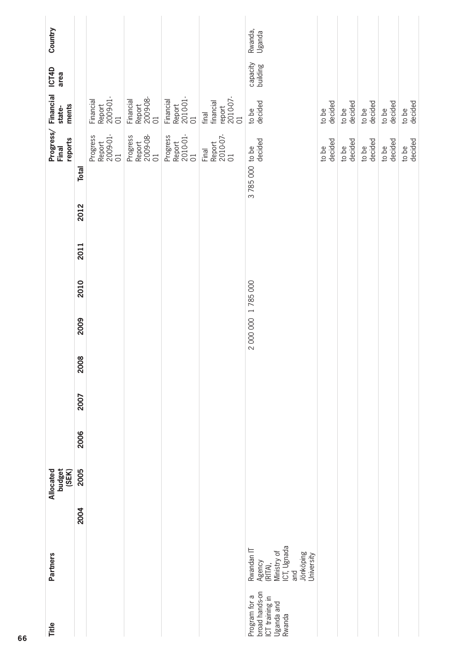| Title                                                                     | <b>Partners</b>                                                                                 |      | budget<br>Allocated<br>(SEK) |      |      |      |                     |      |      |      | reports<br>Final                                 | Progress/Financial<br>ments<br>state-          | ICT4D<br>area        | Country           |
|---------------------------------------------------------------------------|-------------------------------------------------------------------------------------------------|------|------------------------------|------|------|------|---------------------|------|------|------|--------------------------------------------------|------------------------------------------------|----------------------|-------------------|
|                                                                           |                                                                                                 | 2004 | 2005                         | 2006 | 2007 | 2008 | 2009                | 2010 | 2011 | 2012 | <b>Total</b>                                     |                                                |                      |                   |
|                                                                           |                                                                                                 |      |                              |      |      |      |                     |      |      |      | Report<br>2009-01-<br>01<br>Progress             | Report<br>2009-01-<br>01<br>Financial          |                      |                   |
|                                                                           |                                                                                                 |      |                              |      |      |      |                     |      |      |      | Report<br>2009-08-<br>01<br>Progress             | Report<br>2009-08-<br>01<br>Financial          |                      |                   |
|                                                                           |                                                                                                 |      |                              |      |      |      |                     |      |      |      | Report<br>2010-01-<br>Progress<br>$\overline{C}$ | Financial<br>Report<br>2010-01-<br>01          |                      |                   |
|                                                                           |                                                                                                 |      |                              |      |      |      |                     |      |      |      | Report<br>2010-07-<br>01<br>Final                | 2010-07-<br>01<br>financial<br>report<br>final |                      |                   |
| broad hands-on<br>Program for a<br>CT training in<br>Uganda and<br>Rwanda | ICT, Ugnada<br>Rwandan IT<br>Ministry of<br>Jönköping<br>University<br>Agency<br>(RITA),<br>and |      |                              |      |      |      | 2 000 000 1 785 000 |      |      |      | decided<br>3785 000 to be                        | decided<br>to be                               | capacity<br>building | Rwanda,<br>Uganda |
|                                                                           |                                                                                                 |      |                              |      |      |      |                     |      |      |      | decided<br>to be                                 | decided<br>to be                               |                      |                   |
|                                                                           |                                                                                                 |      |                              |      |      |      |                     |      |      |      | decided<br>to be                                 | decided<br>to be                               |                      |                   |
|                                                                           |                                                                                                 |      |                              |      |      |      |                     |      |      |      | decided<br>to be                                 | decided<br>to be                               |                      |                   |
|                                                                           |                                                                                                 |      |                              |      |      |      |                     |      |      |      | decided<br>to be                                 | decided<br>to be                               |                      |                   |
|                                                                           |                                                                                                 |      |                              |      |      |      |                     |      |      |      | decided<br>to be                                 | decided<br>to be                               |                      |                   |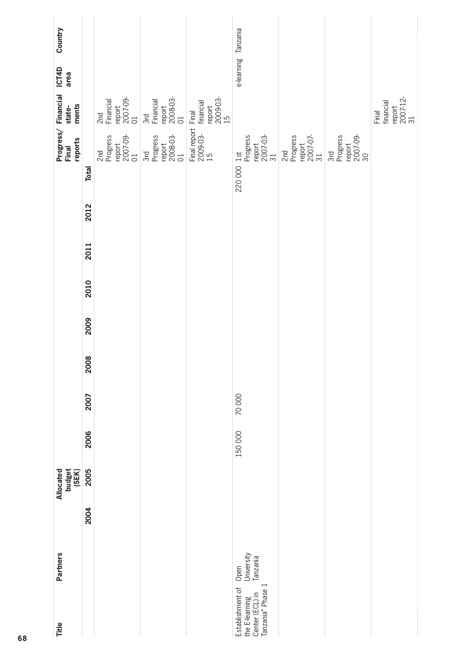| <b>Partners</b><br>Title                                                                                     |      | Allocated<br>budget<br>(SEK) |         |       |      |      |      |      |      | reports<br>Final                                         | Progress/Financial<br>ments<br>state-          | ICT4D<br>area       | Country |
|--------------------------------------------------------------------------------------------------------------|------|------------------------------|---------|-------|------|------|------|------|------|----------------------------------------------------------|------------------------------------------------|---------------------|---------|
|                                                                                                              | 2004 | 2005                         | 2006    | 2007  | 2008 | 2009 | 2010 | 2011 | 2012 | <b>Total</b>                                             |                                                |                     |         |
|                                                                                                              |      |                              |         |       |      |      |      |      |      | report<br>2007-09-<br>01<br>Progress<br>2 <sub>nd</sub>  | 2nd<br>Financial<br>report<br>2007-09-<br>01   |                     |         |
|                                                                                                              |      |                              |         |       |      |      |      |      |      | 2008-03-<br>01<br>Progress<br>report<br>3rd              | report<br>2008-03-<br>01<br>3rd<br>Financial   |                     |         |
|                                                                                                              |      |                              |         |       |      |      |      |      |      | Final report F<br>2009-03-<br>15                         | 2009-03-<br>15<br>Final<br>financial<br>report |                     |         |
| University<br>Tanzania<br>Open<br>the E-learning<br>Center (ECL) in<br>Tanzania" Phase 1<br>Establishment of |      |                              | 150 000 | 70000 |      |      |      |      |      | report<br>2007-03-<br>31<br>Progress<br>220 000 1st      |                                                | e-learning Tanzania |         |
|                                                                                                              |      |                              |         |       |      |      |      |      |      | Progress<br>report<br>2007-07-<br>31<br>2 <sub>n</sub> d |                                                |                     |         |
|                                                                                                              |      |                              |         |       |      |      |      |      |      | 2007-09-<br>30<br>Progress<br>report<br>3rd              |                                                |                     |         |
|                                                                                                              |      |                              |         |       |      |      |      |      |      |                                                          | Final<br>financial<br>report<br>2007-12-<br>31 |                     |         |
|                                                                                                              |      |                              |         |       |      |      |      |      |      |                                                          |                                                |                     |         |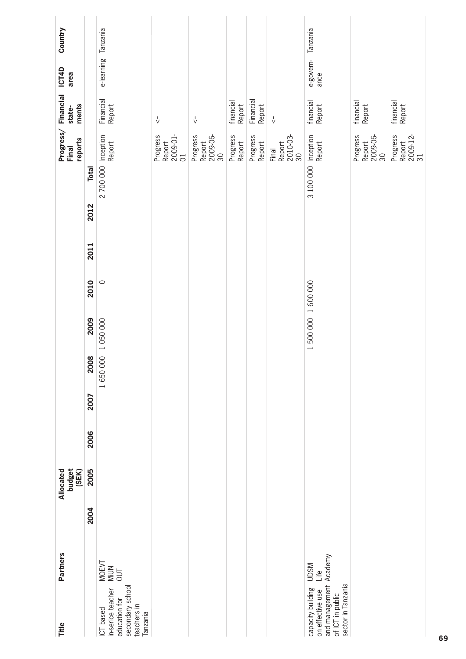| <b>Partners</b><br>Title                                                                                                         |      | Allocated<br>budget<br>(SEK) |      |      |                 |                   |         |      |      |                     | Progress/Financial<br>reports<br>Final | ments<br>state-                     | <b>ICT4D</b><br>area       | Country |
|----------------------------------------------------------------------------------------------------------------------------------|------|------------------------------|------|------|-----------------|-------------------|---------|------|------|---------------------|----------------------------------------|-------------------------------------|----------------------------|---------|
|                                                                                                                                  | 2004 | 2005                         | 2006 | 2007 | 2008            | 2009              | 2010    | 2011 | 2012 | <b>Total</b>        |                                        |                                     |                            |         |
| MOEVT<br>MiUN<br>OUT<br>secondary school<br>in-serice teacher<br>education for<br>teachers in<br>ICT based<br>Tanzania           |      |                              |      |      | 1650000 1050000 |                   | $\circ$ |      |      | 2 700 000 Inception | Report                                 | Financial<br>Report                 | e-learning Tanzania        |         |
|                                                                                                                                  |      |                              |      |      |                 |                   |         |      |      |                     | Report<br>2009-01-<br>01<br>Progress   | $\sqrt{ }$                          |                            |         |
|                                                                                                                                  |      |                              |      |      |                 |                   |         |      |      |                     | 2009-06-<br>30<br>Progress<br>Report   | $\sqrt{ }$                          |                            |         |
|                                                                                                                                  |      |                              |      |      |                 |                   |         |      |      |                     | Progress<br>Report                     | financial<br>Report                 |                            |         |
|                                                                                                                                  |      |                              |      |      |                 |                   |         |      |      |                     | Progress<br>Report                     | Financial<br>Report                 |                            |         |
|                                                                                                                                  |      |                              |      |      |                 |                   |         |      |      |                     | 2010-03-<br>30<br>Report<br>Final      | $\stackrel{\mathsf{I}}{\mathsf{v}}$ |                            |         |
| and management Academy<br><b>UDSM</b><br>Life<br>sector in Tanzania<br>capacity building<br>on effective use<br>of ICT in public |      |                              |      |      |                 | 1500 000 1600 000 |         |      |      | 3 100 000 Inception | Report                                 | financial<br>Report                 | e-govern- Tanzania<br>ance |         |
|                                                                                                                                  |      |                              |      |      |                 |                   |         |      |      |                     | Progress<br>Report<br>2009-06-<br>30   | financial<br>Report                 |                            |         |
|                                                                                                                                  |      |                              |      |      |                 |                   |         |      |      |                     | Report<br>2009-12-<br>31<br>Progress   | financial<br>Report                 |                            |         |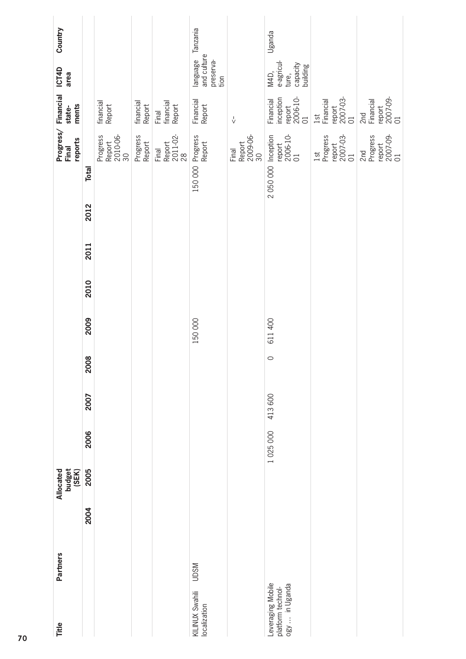| Title                                                    | Partners    |      | budget<br>(SEK)<br>Allocated |         |        |         |         |      |      |      | Final                      | reports                              | Progress/Financial<br>ments<br>state-              | ICT4D<br>area                                       | Country  |
|----------------------------------------------------------|-------------|------|------------------------------|---------|--------|---------|---------|------|------|------|----------------------------|--------------------------------------|----------------------------------------------------|-----------------------------------------------------|----------|
|                                                          |             | 2004 | 2005                         | 2006    | 2007   | 2008    | 2009    | 2010 | 2011 | 2012 | <b>Total</b>               |                                      |                                                    |                                                     |          |
|                                                          |             |      |                              |         |        |         |         |      |      |      |                            | Report<br>2010-06-<br>30<br>Progress | financial<br>Report                                |                                                     |          |
|                                                          |             |      |                              |         |        |         |         |      |      |      |                            | Progress<br>Report                   | financial<br>Report                                |                                                     |          |
|                                                          |             |      |                              |         |        |         |         |      |      |      |                            | Final<br>Report<br>2011-02-<br>28    | Final<br>financial<br>Report                       |                                                     |          |
| KILINUX Swahili<br>localization                          | <b>NSCN</b> |      |                              |         |        |         | 150 000 |      |      |      | 150 000 Progress<br>Report |                                      | Financial<br>Report                                | language<br>and culture<br>preserva-<br>tion        | Tanzania |
|                                                          |             |      |                              |         |        |         |         |      |      |      |                            | Final<br>Report<br>2009-06-<br>30    | $\sqrt{ }$                                         |                                                     |          |
| Leveraging Mobile<br>platform technol-<br>ogy  in Uganda |             |      |                              | 1025000 | 413600 | $\circ$ | 611 400 |      |      |      | 2 050 000 Inception        | report<br>2006-10-<br>01             | inception<br>report<br>2006-10-<br>01<br>Financial | e-agricul-<br>ture,<br>capacity<br>building<br>M4D, | Uganda   |
|                                                          |             |      |                              |         |        |         |         |      |      |      | 1st                        | report<br>2007-03-<br>01<br>Progress | report<br>2007-03-<br>01<br>1st<br>Financial       |                                                     |          |
|                                                          |             |      |                              |         |        |         |         |      |      |      | 2nd                        | report<br>2007-09-<br>01<br>Progress | report<br>2007-09-<br>01<br>2nd<br>Financial       |                                                     |          |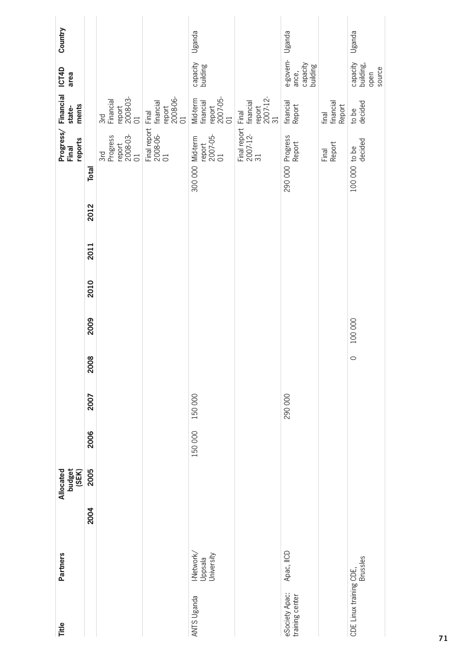| Title                             | <b>Partners</b>                     | Allocated | budget<br>(SEK) |         |         |         |         |      |      |      |                                    | reports<br>Final                                      | Progress/ Financial ICT4D<br>ments<br>state-      | area                                       | Country |
|-----------------------------------|-------------------------------------|-----------|-----------------|---------|---------|---------|---------|------|------|------|------------------------------------|-------------------------------------------------------|---------------------------------------------------|--------------------------------------------|---------|
|                                   | 2004                                |           | 2005            | 2006    | 2007    | 2008    | 2009    | 2010 | 2011 | 2012 | <b>Total</b>                       |                                                       |                                                   |                                            |         |
|                                   |                                     |           |                 |         |         |         |         |      |      |      |                                    | report<br>2008-03-<br>01<br>Progress<br>3rd           | report<br>2008-03-<br>01<br>3rd<br>Financial      |                                            |         |
|                                   |                                     |           |                 |         |         |         |         |      |      |      |                                    | Final report Final<br>2008-06- financial<br>01 report | report<br>2008-06-<br>01                          |                                            |         |
| <b>ANTS Uganda</b>                | I-Network/<br>Uppsala<br>University |           |                 | 150 000 | 150 000 |         |         |      |      |      | 300 000 Mid-term<br>$\overline{C}$ | report<br>2007-05-                                    | report<br>2007-05-<br>01<br>Mid-term<br>financial | capacity<br>building                       | Uganda  |
|                                   |                                     |           |                 |         |         |         |         |      |      |      |                                    | Final report Final<br>2007-12- financi<br>31          | report<br>2007-12-<br>31<br>financial             |                                            |         |
| eSociety Apac:<br>training center | Apac, IICD                          |           |                 |         | 290 000 |         |         |      |      |      | 290 000 Progress<br>Report         |                                                       | financial<br>Report                               | e-govern-<br>capacity<br>building<br>ance, | Uganda  |
|                                   |                                     |           |                 |         |         |         |         |      |      |      |                                    | Report<br>Final                                       | financial<br>Report<br>final                      |                                            |         |
| CDE Linux training CDE,           | <b>Brussles</b>                     |           |                 |         |         | $\circ$ | 100 000 |      |      |      | 100 000 to be                      | decided                                               | decided<br>to be                                  | capacity<br>building,<br>source<br>open    | Uganda  |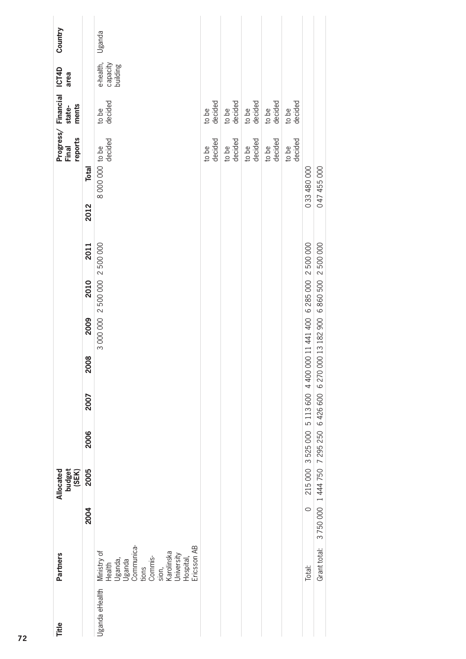| Title           | <b>Partners</b>                                                                                                                                          |         | budget<br>(SEK)<br>Allocated |                                                                                  |      |      |                               |      |      |             | reports<br>Final           | Progress/Financial<br>ments<br>state- | <b>ICT4D</b><br>area              | Country |  |
|-----------------|----------------------------------------------------------------------------------------------------------------------------------------------------------|---------|------------------------------|----------------------------------------------------------------------------------|------|------|-------------------------------|------|------|-------------|----------------------------|---------------------------------------|-----------------------------------|---------|--|
|                 |                                                                                                                                                          | 2004    | 2005                         | 2006                                                                             | 2007 | 2008 | 2009                          | 2010 | 2011 | 2012        | <b>Total</b>               |                                       |                                   |         |  |
| Uganda eHeallth | Communica-<br>Ericsson <sub>AB</sub><br>Ministry of<br>Karolinska<br>University<br>Commis-<br>Hospital,<br>Uganda,<br>Uganda<br>Health<br>tions<br>sion, |         |                              |                                                                                  |      |      | 3 000 000 2 500 000 2 500 000 |      |      |             | decided<br>8 000 000 to be | decided<br>to be                      | e-health,<br>capacity<br>building | Uganda  |  |
|                 |                                                                                                                                                          |         |                              |                                                                                  |      |      |                               |      |      |             | to be<br>decided           | to be<br>decided                      |                                   |         |  |
|                 |                                                                                                                                                          |         |                              |                                                                                  |      |      |                               |      |      |             | to be<br>decided           | to be<br>decided                      |                                   |         |  |
|                 |                                                                                                                                                          |         |                              |                                                                                  |      |      |                               |      |      |             | to be<br>decided           | to be<br>decided                      |                                   |         |  |
|                 |                                                                                                                                                          |         |                              |                                                                                  |      |      |                               |      |      |             | to be<br>decided           | to be<br>decided                      |                                   |         |  |
|                 |                                                                                                                                                          |         |                              |                                                                                  |      |      |                               |      |      |             | decided<br>to be           | decided<br>to be                      |                                   |         |  |
|                 | Total:                                                                                                                                                   | $\circ$ |                              | 215 000 3 525 000 5 113 600 4 400 000 11 441 400 6 285 000 2 500 000             |      |      |                               |      |      | 033 480 000 |                            |                                       |                                   |         |  |
|                 | Grant total:                                                                                                                                             |         |                              | 3 750 000 1 444 750 7 295 250 6 426 600 6 270 000 13 182 900 6 860 500 2 500 000 |      |      |                               |      |      | 047 455 000 |                            |                                       |                                   |         |  |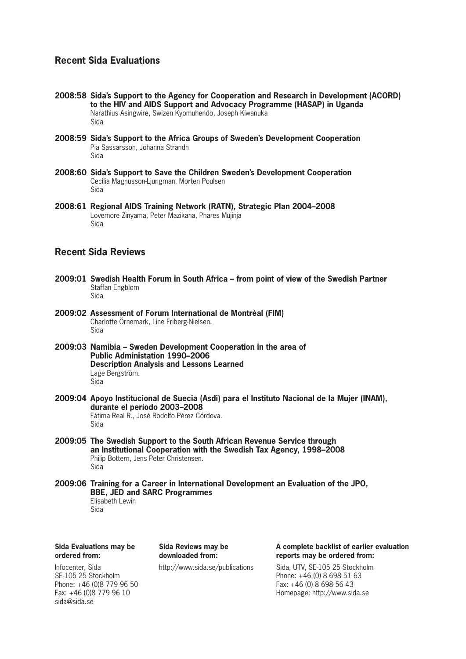## **Recent Sida Evaluations**

- **2008:58 Sida's Support to the Agency for Cooperation and Research in Development (ACORD) to the HIV and AIDS Support and Advocacy Programme (HASAP) in Uganda** Narathius Asingwire, Swizen Kyomuhendo, Joseph Kiwanuka Sida
- **2008:59 Sida's Support to the Africa Groups of Sweden's Development Cooperation** Pia Sassarsson, Johanna Strandh Sida
- **2008:60 Sida's Support to Save the Children Sweden's Development Cooperation** Cecilia Magnusson-Ljungman, Morten Poulsen Sida
- **2008:61 Regional AIDS Training Network (RATN), Strategic Plan 2004–2008** Lovemore Zinyama, Peter Mazikana, Phares Mujinja Sida

## **Recent Sida Reviews**

- **2009:01 Swedish Health Forum in South Africa from point of view of the Swedish Partner** Staffan Engblom Sida
- **2009:02 Assessment of Forum International de Montréal (FIM)** Charlotte Örnemark, Line Friberg-Nielsen. Sida
- **2009:03 Namibia Sweden Development Cooperation in the area of Public Administation 1990–2006 Description Analysis and Lessons Learned** Lage Bergström. Sida
- **2009:04 Apoyo Institucional de Suecia (Asdi) para el Instituto Nacional de la Mujer (INAM), durante el período 2003–2008** Fátima Real R., José Rodolfo Pérez Córdova. Sida
- **2009:05 The Swedish Support to the South African Revenue Service through an Institutional Cooperation with the Swedish Tax Agency, 1998–2008** Philip Bottern, Jens Peter Christensen. Sida
- **2009:06 Training for a Career in International Development an Evaluation of the JPO, BBE, JED and SARC Programmes** Elisabeth Lewin

Sida

**Sida Evaluations may be ordered from:**

**Sida Reviews may be downloaded from:**

**A complete backlist of earlier evaluation reports may be ordered from:**

http://www.sida.se/publications Sida, UTV, SE-105 25 Stockholm Phone: +46 (0) 8 698 51 63 Fax: +46 (0) 8 698 56 43 Homepage: http://www.sida.se

Infocenter, Sida SE-105 25 Stockholm Phone: +46 (0)8 779 96 50 Fax: +46 (0)8 779 96 10 sida@sida.se